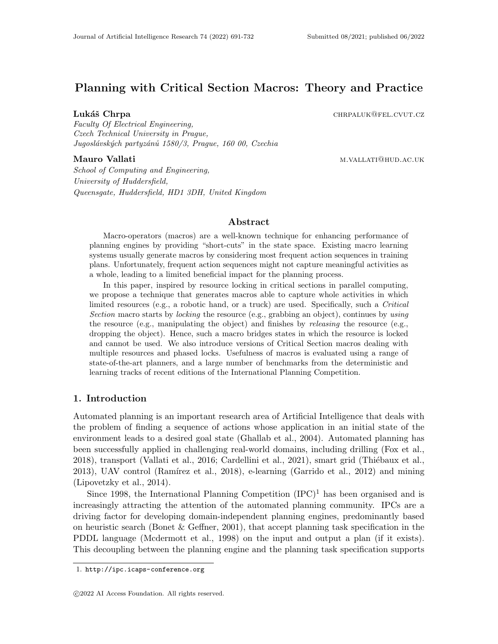# Planning with Critical Section Macros: Theory and Practice

Lukáš Chrpa chrane chrpa chrpa chrpa chrpa chrpa chrpa chrpa chrpa chrpa chrpa chrpa chrpa chrpa chrpa chrpa chrp

Faculty Of Electrical Engineering, Czech Technical University in Prague, Jugoslávských partyzánů 1580/3, Prague, 160 00, Czechia

Mauro Vallati m.vallati m.vallati m.vallati m.vallati m.vallati m.vallati m.vallati m.vallati m.vallati m.v

School of Computing and Engineering, University of Huddersfield, Queensgate, Huddersfield, HD1 3DH, United Kingdom

#### Abstract

Macro-operators (macros) are a well-known technique for enhancing performance of planning engines by providing "short-cuts" in the state space. Existing macro learning systems usually generate macros by considering most frequent action sequences in training plans. Unfortunately, frequent action sequences might not capture meaningful activities as a whole, leading to a limited beneficial impact for the planning process.

In this paper, inspired by resource locking in critical sections in parallel computing, we propose a technique that generates macros able to capture whole activities in which limited resources (e.g., a robotic hand, or a truck) are used. Specifically, such a Critical Section macro starts by *locking* the resource (e.g., grabbing an object), continues by using the resource (e.g., manipulating the object) and finishes by releasing the resource (e.g., dropping the object). Hence, such a macro bridges states in which the resource is locked and cannot be used. We also introduce versions of Critical Section macros dealing with multiple resources and phased locks. Usefulness of macros is evaluated using a range of state-of-the-art planners, and a large number of benchmarks from the deterministic and learning tracks of recent editions of the International Planning Competition.

## 1. Introduction

Automated planning is an important research area of Artificial Intelligence that deals with the problem of finding a sequence of actions whose application in an initial state of the environment leads to a desired goal state (Ghallab et al., 2004). Automated planning has been successfully applied in challenging real-world domains, including drilling (Fox et al., 2018), transport (Vallati et al., 2016; Cardellini et al., 2021), smart grid (Thiébaux et al.,  $2013$ ), UAV control (Ramírez et al.,  $2018$ ), e-learning (Garrido et al.,  $2012$ ) and mining (Lipovetzky et al., 2014).

Since 1998, the International Planning Competition  $(IPC)^1$  has been organised and is increasingly attracting the attention of the automated planning community. IPCs are a driving factor for developing domain-independent planning engines, predominantly based on heuristic search (Bonet & Geffner, 2001), that accept planning task specification in the PDDL language (Mcdermott et al., 1998) on the input and output a plan (if it exists). This decoupling between the planning engine and the planning task specification supports

<sup>1.</sup> http://ipc.icaps-conference.org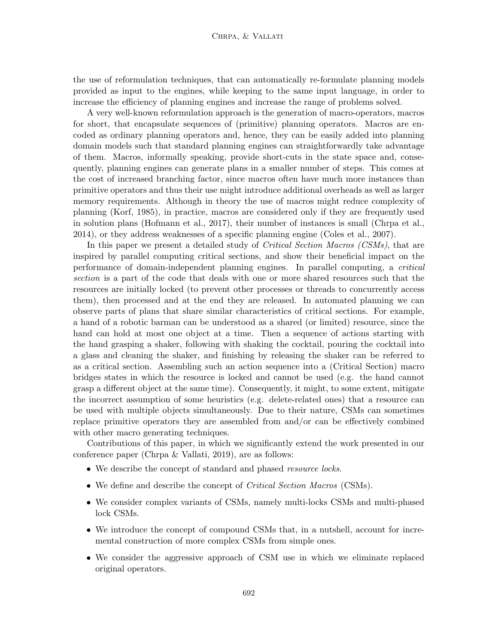the use of reformulation techniques, that can automatically re-formulate planning models provided as input to the engines, while keeping to the same input language, in order to increase the efficiency of planning engines and increase the range of problems solved.

A very well-known reformulation approach is the generation of macro-operators, macros for short, that encapsulate sequences of (primitive) planning operators. Macros are encoded as ordinary planning operators and, hence, they can be easily added into planning domain models such that standard planning engines can straightforwardly take advantage of them. Macros, informally speaking, provide short-cuts in the state space and, consequently, planning engines can generate plans in a smaller number of steps. This comes at the cost of increased branching factor, since macros often have much more instances than primitive operators and thus their use might introduce additional overheads as well as larger memory requirements. Although in theory the use of macros might reduce complexity of planning (Korf, 1985), in practice, macros are considered only if they are frequently used in solution plans (Hofmann et al., 2017), their number of instances is small (Chrpa et al., 2014), or they address weaknesses of a specific planning engine (Coles et al., 2007).

In this paper we present a detailed study of *Critical Section Macros (CSMs)*, that are inspired by parallel computing critical sections, and show their beneficial impact on the performance of domain-independent planning engines. In parallel computing, a critical section is a part of the code that deals with one or more shared resources such that the resources are initially locked (to prevent other processes or threads to concurrently access them), then processed and at the end they are released. In automated planning we can observe parts of plans that share similar characteristics of critical sections. For example, a hand of a robotic barman can be understood as a shared (or limited) resource, since the hand can hold at most one object at a time. Then a sequence of actions starting with the hand grasping a shaker, following with shaking the cocktail, pouring the cocktail into a glass and cleaning the shaker, and finishing by releasing the shaker can be referred to as a critical section. Assembling such an action sequence into a (Critical Section) macro bridges states in which the resource is locked and cannot be used (e.g. the hand cannot grasp a different object at the same time). Consequently, it might, to some extent, mitigate the incorrect assumption of some heuristics (e.g. delete-related ones) that a resource can be used with multiple objects simultaneously. Due to their nature, CSMs can sometimes replace primitive operators they are assembled from and/or can be effectively combined with other macro generating techniques.

Contributions of this paper, in which we significantly extend the work presented in our conference paper (Chrpa & Vallati, 2019), are as follows:

- We describe the concept of standard and phased resource locks.
- We define and describe the concept of *Critical Section Macros* (CSMs).
- We consider complex variants of CSMs, namely multi-locks CSMs and multi-phased lock CSMs.
- We introduce the concept of compound CSMs that, in a nutshell, account for incremental construction of more complex CSMs from simple ones.
- We consider the aggressive approach of CSM use in which we eliminate replaced original operators.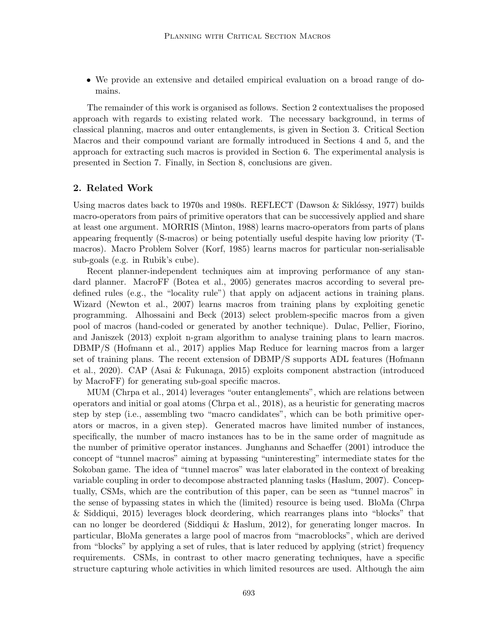• We provide an extensive and detailed empirical evaluation on a broad range of domains.

The remainder of this work is organised as follows. Section 2 contextualises the proposed approach with regards to existing related work. The necessary background, in terms of classical planning, macros and outer entanglements, is given in Section 3. Critical Section Macros and their compound variant are formally introduced in Sections 4 and 5, and the approach for extracting such macros is provided in Section 6. The experimental analysis is presented in Section 7. Finally, in Section 8, conclusions are given.

## 2. Related Work

Using macros dates back to 1970s and 1980s. REFLECT (Dawson  $\&$  Siklóssy, 1977) builds macro-operators from pairs of primitive operators that can be successively applied and share at least one argument. MORRIS (Minton, 1988) learns macro-operators from parts of plans appearing frequently (S-macros) or being potentially useful despite having low priority (Tmacros). Macro Problem Solver (Korf, 1985) learns macros for particular non-serialisable sub-goals (e.g. in Rubik's cube).

Recent planner-independent techniques aim at improving performance of any standard planner. MacroFF (Botea et al., 2005) generates macros according to several predefined rules (e.g., the "locality rule") that apply on adjacent actions in training plans. Wizard (Newton et al., 2007) learns macros from training plans by exploiting genetic programming. Alhossaini and Beck (2013) select problem-specific macros from a given pool of macros (hand-coded or generated by another technique). Dulac, Pellier, Fiorino, and Janiszek (2013) exploit n-gram algorithm to analyse training plans to learn macros. DBMP/S (Hofmann et al., 2017) applies Map Reduce for learning macros from a larger set of training plans. The recent extension of DBMP/S supports ADL features (Hofmann et al., 2020). CAP (Asai & Fukunaga, 2015) exploits component abstraction (introduced by MacroFF) for generating sub-goal specific macros.

MUM (Chrpa et al., 2014) leverages "outer entanglements", which are relations between operators and initial or goal atoms (Chrpa et al., 2018), as a heuristic for generating macros step by step (i.e., assembling two "macro candidates", which can be both primitive operators or macros, in a given step). Generated macros have limited number of instances, specifically, the number of macro instances has to be in the same order of magnitude as the number of primitive operator instances. Junghanns and Schaeffer (2001) introduce the concept of "tunnel macros" aiming at bypassing "uninteresting" intermediate states for the Sokoban game. The idea of "tunnel macros" was later elaborated in the context of breaking variable coupling in order to decompose abstracted planning tasks (Haslum, 2007). Conceptually, CSMs, which are the contribution of this paper, can be seen as "tunnel macros" in the sense of bypassing states in which the (limited) resource is being used. BloMa (Chrpa & Siddiqui, 2015) leverages block deordering, which rearranges plans into "blocks" that can no longer be deordered (Siddiqui & Haslum, 2012), for generating longer macros. In particular, BloMa generates a large pool of macros from "macroblocks", which are derived from "blocks" by applying a set of rules, that is later reduced by applying (strict) frequency requirements. CSMs, in contrast to other macro generating techniques, have a specific structure capturing whole activities in which limited resources are used. Although the aim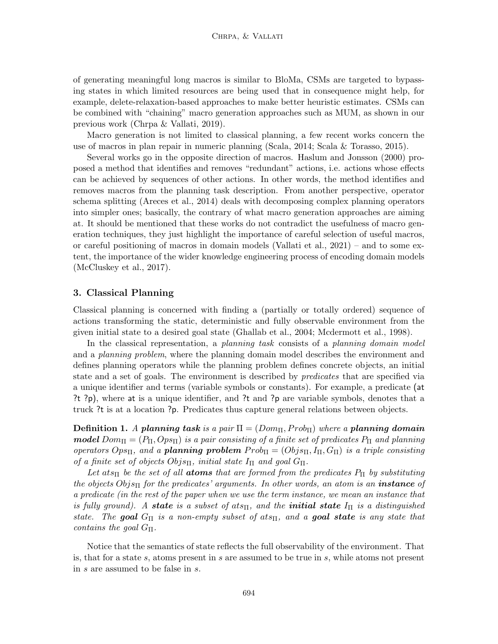of generating meaningful long macros is similar to BloMa, CSMs are targeted to bypassing states in which limited resources are being used that in consequence might help, for example, delete-relaxation-based approaches to make better heuristic estimates. CSMs can be combined with "chaining" macro generation approaches such as MUM, as shown in our previous work (Chrpa & Vallati, 2019).

Macro generation is not limited to classical planning, a few recent works concern the use of macros in plan repair in numeric planning (Scala, 2014; Scala & Torasso, 2015).

Several works go in the opposite direction of macros. Haslum and Jonsson (2000) proposed a method that identifies and removes "redundant" actions, i.e. actions whose effects can be achieved by sequences of other actions. In other words, the method identifies and removes macros from the planning task description. From another perspective, operator schema splitting (Areces et al., 2014) deals with decomposing complex planning operators into simpler ones; basically, the contrary of what macro generation approaches are aiming at. It should be mentioned that these works do not contradict the usefulness of macro generation techniques, they just highlight the importance of careful selection of useful macros, or careful positioning of macros in domain models (Vallati et al., 2021) – and to some extent, the importance of the wider knowledge engineering process of encoding domain models (McCluskey et al., 2017).

## 3. Classical Planning

Classical planning is concerned with finding a (partially or totally ordered) sequence of actions transforming the static, deterministic and fully observable environment from the given initial state to a desired goal state (Ghallab et al., 2004; Mcdermott et al., 1998).

In the classical representation, a planning task consists of a planning domain model and a *planning problem*, where the planning domain model describes the environment and defines planning operators while the planning problem defines concrete objects, an initial state and a set of goals. The environment is described by *predicates* that are specified via a unique identifier and terms (variable symbols or constants). For example, a predicate (at ?t ?p), where at is a unique identifier, and ?t and ?p are variable symbols, denotes that a truck ?t is at a location ?p. Predicates thus capture general relations between objects.

**Definition 1.** A planning task is a pair  $\Pi = (Dom_{\Pi}, Prob_{\Pi})$  where a planning domain **model**  $Dom_{\Pi} = (P_{\Pi}, Op_{\Pi})$  is a pair consisting of a finite set of predicates  $P_{\Pi}$  and planning operators  $Op_{\text{STL}}$ , and a **planning problem**  $Prob_{\text{H}} = (Obj_{\text{STL}}, I_{\text{H}}, G_{\text{H}})$  is a triple consisting of a finite set of objects  $Objs<sub>II</sub>$ , initial state  $I<sub>II</sub>$  and goal  $G<sub>II</sub>$ .

Let ats<sub>II</sub> be the set of all **atoms** that are formed from the predicates  $P_{\Pi}$  by substituting the objects  $Obj_{\text{ST}}$  for the predicates' arguments. In other words, an atom is an **instance** of a predicate (in the rest of the paper when we use the term instance, we mean an instance that is fully ground). A state is a subset of ats<sub>II</sub>, and the **initial state**  $I_{\Pi}$  is a distinguished state. The goal  $G_{\Pi}$  is a non-empty subset of ats<sub>II</sub>, and a goal state is any state that contains the goal  $G_{\Pi}$ .

Notice that the semantics of state reflects the full observability of the environment. That is, that for a state s, atoms present in s are assumed to be true in s, while atoms not present in s are assumed to be false in s.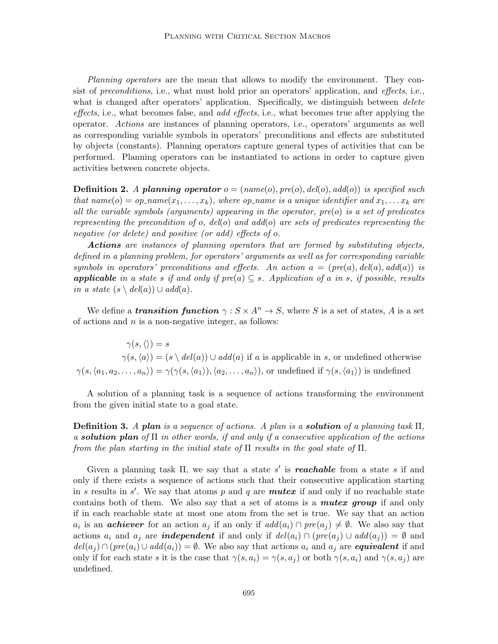Planning operators are the mean that allows to modify the environment. They consist of preconditions, i.e., what must hold prior an operators' application, and effects, i.e., what is changed after operators' application. Specifically, we distinguish between *delete* effects, i.e., what becomes false, and *add effects*, i.e., what becomes true after applying the operator. Actions are instances of planning operators, i.e., operators' arguments as well as corresponding variable symbols in operators' preconditions and effects are substituted by objects (constants). Planning operators capture general types of activities that can be performed. Planning operators can be instantiated to actions in order to capture given activities between concrete objects.

**Definition 2.** A planning operator  $o = (name(o), pre(o), del(o), add(o))$  is specified such that name(o) = op\_name(x<sub>1</sub>,...,x<sub>k</sub>), where op\_name is a unique identifier and  $x_1, \ldots x_k$  are all the variable symbols (arguments) appearing in the operator,  $pre(o)$  is a set of predicates representing the precondition of o, del(o) and add(o) are sets of predicates representing the negative (or delete) and positive (or add) effects of o.

Actions are instances of planning operators that are formed by substituting objects, defined in a planning problem, for operators' arguments as well as for corresponding variable symbols in operators' preconditions and effects. An action  $a = (pre(a), del(a), add(a))$  is **applicable** in a state s if and only if  $pre(a) \subseteq s$ . Application of a in s, if possible, results in a state  $(s \setminus \mathit{del}(a)) \cup \mathit{add}(a)$ .

We define a **transition function**  $\gamma : S \times A^n \to S$ , where S is a set of states, A is a set of actions and  $n$  is a non-negative integer, as follows:

 $\gamma(s,\langle\rangle) = s$  $\gamma(s,\langle a \rangle) = (s \setminus \mathit{del}(a)) \cup \mathit{add}(a)$  if a is applicable in s, or undefined otherwise  $\gamma(s, \langle a_1, a_2, \ldots, a_n \rangle) = \gamma(\gamma(s, \langle a_1 \rangle), \langle a_2, \ldots, a_n \rangle)$ , or undefined if  $\gamma(s, \langle a_1 \rangle)$  is undefined

A solution of a planning task is a sequence of actions transforming the environment from the given initial state to a goal state.

**Definition 3.** A plan is a sequence of actions. A plan is a **solution** of a planning task  $\Pi$ , a **solution plan** of  $\Pi$  in other words, if and only if a consecutive application of the actions from the plan starting in the initial state of  $\Pi$  results in the goal state of  $\Pi$ .

Given a planning task  $\Pi$ , we say that a state s' is **reachable** from a state s if and only if there exists a sequence of actions such that their consecutive application starting in s results in s'. We say that atoms p and q are **mutex** if and only if no reachable state contains both of them. We also say that a set of atoms is a **mutex group** if and only if in each reachable state at most one atom from the set is true. We say that an action  $a_i$  is an **achiever** for an action  $a_j$  if an only if  $add(a_i) \cap pre(a_j) \neq \emptyset$ . We also say that actions  $a_i$  and  $a_j$  are *independent* if and only if  $del(a_i) \cap (pre(a_j) \cup add(a_j)) = \emptyset$  and  $del(a_i) \cap (pre(a_i) \cup add(a_i)) = \emptyset$ . We also say that actions  $a_i$  and  $a_j$  are **equivalent** if and only if for each state s it is the case that  $\gamma(s, a_i) = \gamma(s, a_i)$  or both  $\gamma(s, a_i)$  and  $\gamma(s, a_i)$  are undefined.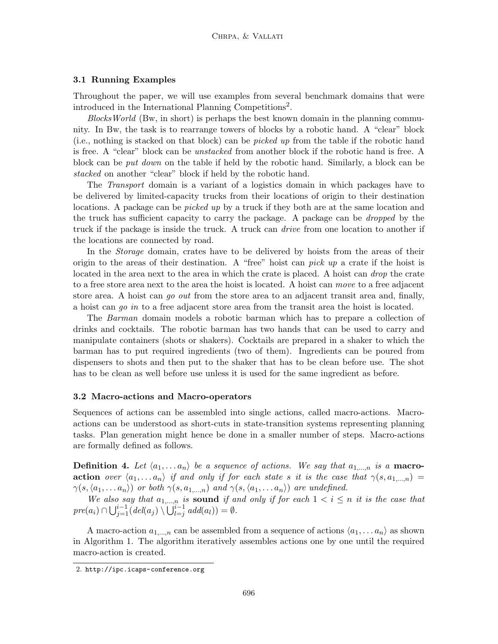#### 3.1 Running Examples

Throughout the paper, we will use examples from several benchmark domains that were introduced in the International Planning Competitions<sup>2</sup>.

Blocks World (Bw, in short) is perhaps the best known domain in the planning community. In Bw, the task is to rearrange towers of blocks by a robotic hand. A "clear" block (i.e., nothing is stacked on that block) can be picked up from the table if the robotic hand is free. A "clear" block can be unstacked from another block if the robotic hand is free. A block can be put down on the table if held by the robotic hand. Similarly, a block can be stacked on another "clear" block if held by the robotic hand.

The Transport domain is a variant of a logistics domain in which packages have to be delivered by limited-capacity trucks from their locations of origin to their destination locations. A package can be *picked up* by a truck if they both are at the same location and the truck has sufficient capacity to carry the package. A package can be dropped by the truck if the package is inside the truck. A truck can drive from one location to another if the locations are connected by road.

In the Storage domain, crates have to be delivered by hoists from the areas of their origin to the areas of their destination. A "free" hoist can *pick up* a crate if the hoist is located in the area next to the area in which the crate is placed. A hoist can *drop* the crate to a free store area next to the area the hoist is located. A hoist can move to a free adjacent store area. A hoist can go out from the store area to an adjacent transit area and, finally, a hoist can go in to a free adjacent store area from the transit area the hoist is located.

The Barman domain models a robotic barman which has to prepare a collection of drinks and cocktails. The robotic barman has two hands that can be used to carry and manipulate containers (shots or shakers). Cocktails are prepared in a shaker to which the barman has to put required ingredients (two of them). Ingredients can be poured from dispensers to shots and then put to the shaker that has to be clean before use. The shot has to be clean as well before use unless it is used for the same ingredient as before.

#### 3.2 Macro-actions and Macro-operators

Sequences of actions can be assembled into single actions, called macro-actions. Macroactions can be understood as short-cuts in state-transition systems representing planning tasks. Plan generation might hence be done in a smaller number of steps. Macro-actions are formally defined as follows.

**Definition 4.** Let  $\langle a_1, \ldots, a_n \rangle$  be a sequence of actions. We say that  $a_{1,\ldots,n}$  is a **macro**action over  $\langle a_1, \ldots a_n \rangle$  if and only if for each state s it is the case that  $\gamma(s, a_{1,...,n}) =$  $\gamma(s, \langle a_1, \ldots a_n \rangle)$  or both  $\gamma(s, a_{1,\ldots,n})$  and  $\gamma(s, \langle a_1, \ldots a_n \rangle)$  are undefined.

We also say that  $a_{1,...,n}$  is sound if and only if for each  $1 < i \leq n$  it is the case that  $pre(a_i) \cap \bigcup_{j=1}^{i-1} (del(a_j) \setminus \bigcup_{l=j}^{i-1} add(a_l)) = \emptyset.$ 

A macro-action  $a_{1,\dots,n}$  can be assembled from a sequence of actions  $\langle a_1, \dots, a_n \rangle$  as shown in Algorithm 1. The algorithm iteratively assembles actions one by one until the required macro-action is created.

<sup>2.</sup> http://ipc.icaps-conference.org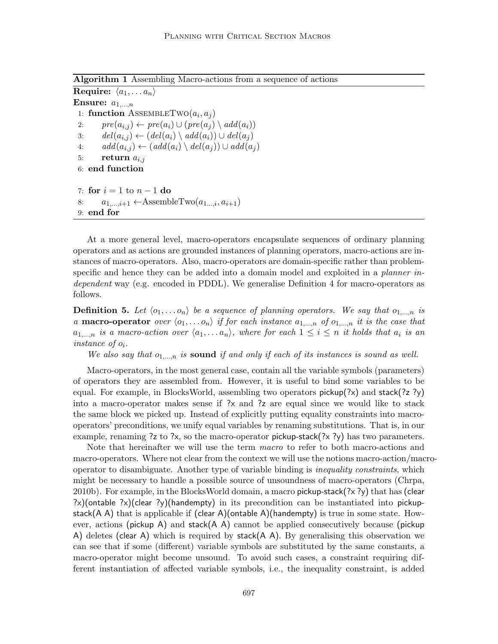Algorithm 1 Assembling Macro-actions from a sequence of actions

Require:  $\langle a_1, \ldots a_n \rangle$ Ensure:  $a_{1,\dots,n}$ 1: function ASSEMBLETWO $(a_i, a_j)$ 2:  $pre(a_{i,j}) \leftarrow pre(a_i) \cup (pre(a_j) \setminus add(a_i))$ 3:  $del(a_{i,j}) \leftarrow (del(a_i) \setminus add(a_i)) \cup del(a_j)$ 4:  $add(a_{i,j}) \leftarrow (add(a_i) \setminus del(a_j)) \cup add(a_j)$ 5: return  $a_{i,j}$ 6: end function 7: for  $i = 1$  to  $n - 1$  do 8:  $a_{1,\ldots,i+1} \leftarrow$ AssembleTwo $(a_{1,\ldots,i}, a_{i+1})$ 

9: end for

At a more general level, macro-operators encapsulate sequences of ordinary planning operators and as actions are grounded instances of planning operators, macro-actions are instances of macro-operators. Also, macro-operators are domain-specific rather than problemspecific and hence they can be added into a domain model and exploited in a *planner in*dependent way (e.g. encoded in PDDL). We generalise Definition 4 for macro-operators as follows.

**Definition 5.** Let  $\langle o_1, \ldots, o_n \rangle$  be a sequence of planning operators. We say that  $o_1, \ldots, o_n$  is a **macro-operator** over  $\langle o_1, \ldots, o_n \rangle$  if for each instance  $a_{1,...,n}$  of  $o_{1,...,n}$  it is the case that  $a_{1,...,n}$  is a macro-action over  $\langle a_1,... a_n \rangle$ , where for each  $1 \leq i \leq n$  it holds that  $a_i$  is an instance of oi.

We also say that  $o_{1,...,n}$  is sound if and only if each of its instances is sound as well.

Macro-operators, in the most general case, contain all the variable symbols (parameters) of operators they are assembled from. However, it is useful to bind some variables to be equal. For example, in BlocksWorld, assembling two operators pickup(?x) and stack(?z ?y) into a macro-operator makes sense if ?x and ?z are equal since we would like to stack the same block we picked up. Instead of explicitly putting equality constraints into macrooperators' preconditions, we unify equal variables by renaming substitutions. That is, in our example, renaming ?z to ?x, so the macro-operator pickup-stack(?x ?y) has two parameters.

Note that hereinafter we will use the term macro to refer to both macro-actions and macro-operators. Where not clear from the context we will use the notions macro-action/macrooperator to disambiguate. Another type of variable binding is inequality constraints, which might be necessary to handle a possible source of unsoundness of macro-operators (Chrpa, 2010b). For example, in the BlocksWorld domain, a macro pickup-stack(?x ?y) that has (clear  $?x$ )(ontable  $?x$ )(clear  $?y$ )(handempty) in its precondition can be instantiated into pickupstack(A A) that is applicable if (clear A)(ontable A)(handempty) is true in some state. However, actions (pickup A) and stack( $A$  A) cannot be applied consecutively because (pickup A) deletes (clear A) which is required by stack( $A$  A). By generalising this observation we can see that if some (different) variable symbols are substituted by the same constants, a macro-operator might become unsound. To avoid such cases, a constraint requiring different instantiation of affected variable symbols, i.e., the inequality constraint, is added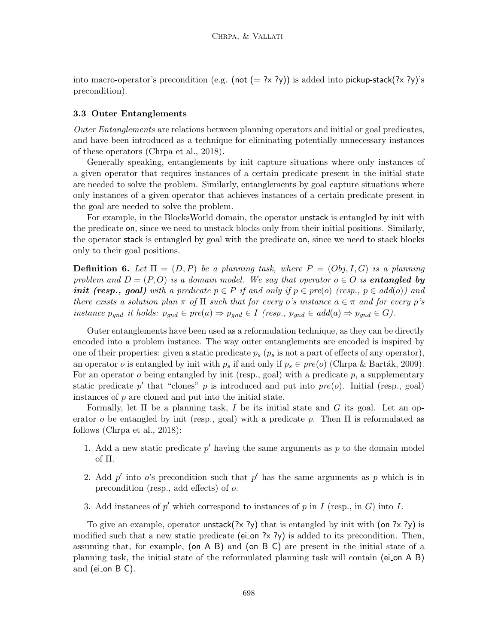into macro-operator's precondition (e.g. (not  $(= ? \times ? \gamma)$ ) is added into pickup-stack(?x ?y)'s precondition).

#### 3.3 Outer Entanglements

Outer Entanglements are relations between planning operators and initial or goal predicates, and have been introduced as a technique for eliminating potentially unnecessary instances of these operators (Chrpa et al., 2018).

Generally speaking, entanglements by init capture situations where only instances of a given operator that requires instances of a certain predicate present in the initial state are needed to solve the problem. Similarly, entanglements by goal capture situations where only instances of a given operator that achieves instances of a certain predicate present in the goal are needed to solve the problem.

For example, in the BlocksWorld domain, the operator unstack is entangled by init with the predicate on, since we need to unstack blocks only from their initial positions. Similarly, the operator stack is entangled by goal with the predicate on, since we need to stack blocks only to their goal positions.

**Definition 6.** Let  $\Pi = (D, P)$  be a planning task, where  $P = (Obj, I, G)$  is a planning problem and  $D = (P, O)$  is a domain model. We say that operator  $o \in O$  is entangled by **init** (resp., goal) with a predicate  $p \in P$  if and only if  $p \in pre(o)$  (resp.,  $p \in add(o)$ ) and there exists a solution plan  $\pi$  of  $\Pi$  such that for every o's instance  $a \in \pi$  and for every p's instance  $p_{qnd}$  it holds:  $p_{qnd} \in pre(a) \Rightarrow p_{qnd} \in I$  (resp.,  $p_{qnd} \in add(a) \Rightarrow p_{qnd} \in G$ ).

Outer entanglements have been used as a reformulation technique, as they can be directly encoded into a problem instance. The way outer entanglements are encoded is inspired by one of their properties: given a static predicate  $p_s$  ( $p_s$  is not a part of effects of any operator), an operator o is entangled by init with  $p_s$  if and only if  $p_s \in pre(o)$  (Chrpa & Barták, 2009). For an operator  $o$  being entangled by init (resp., goal) with a predicate  $p$ , a supplementary static predicate  $p'$  that "clones" p is introduced and put into  $pre(o)$ . Initial (resp., goal) instances of p are cloned and put into the initial state.

Formally, let  $\Pi$  be a planning task, I be its initial state and G its goal. Let an operator o be entangled by init (resp., goal) with a predicate p. Then  $\Pi$  is reformulated as follows (Chrpa et al., 2018):

- 1. Add a new static predicate  $p'$  having the same arguments as  $p$  to the domain model of Π.
- 2. Add  $p'$  into o's precondition such that  $p'$  has the same arguments as p which is in precondition (resp., add effects) of o.
- 3. Add instances of  $p'$  which correspond to instances of  $p$  in  $I$  (resp., in  $G$ ) into  $I$ .

To give an example, operator unstack(?x ?y) that is entangled by init with (on ?x ?y) is modified such that a new static predicate (ei on  $\frac{2}{x}$  ?y) is added to its precondition. Then, assuming that, for example, (on A B) and (on B C) are present in the initial state of a planning task, the initial state of the reformulated planning task will contain (ei on A B) and (ei\_on  $B$  C).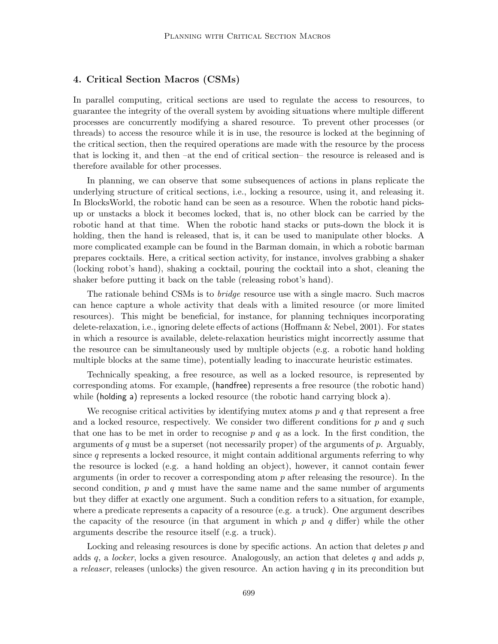## 4. Critical Section Macros (CSMs)

In parallel computing, critical sections are used to regulate the access to resources, to guarantee the integrity of the overall system by avoiding situations where multiple different processes are concurrently modifying a shared resource. To prevent other processes (or threads) to access the resource while it is in use, the resource is locked at the beginning of the critical section, then the required operations are made with the resource by the process that is locking it, and then –at the end of critical section– the resource is released and is therefore available for other processes.

In planning, we can observe that some subsequences of actions in plans replicate the underlying structure of critical sections, i.e., locking a resource, using it, and releasing it. In BlocksWorld, the robotic hand can be seen as a resource. When the robotic hand picksup or unstacks a block it becomes locked, that is, no other block can be carried by the robotic hand at that time. When the robotic hand stacks or puts-down the block it is holding, then the hand is released, that is, it can be used to manipulate other blocks. A more complicated example can be found in the Barman domain, in which a robotic barman prepares cocktails. Here, a critical section activity, for instance, involves grabbing a shaker (locking robot's hand), shaking a cocktail, pouring the cocktail into a shot, cleaning the shaker before putting it back on the table (releasing robot's hand).

The rationale behind CSMs is to bridge resource use with a single macro. Such macros can hence capture a whole activity that deals with a limited resource (or more limited resources). This might be beneficial, for instance, for planning techniques incorporating delete-relaxation, i.e., ignoring delete effects of actions (Hoffmann & Nebel, 2001). For states in which a resource is available, delete-relaxation heuristics might incorrectly assume that the resource can be simultaneously used by multiple objects (e.g. a robotic hand holding multiple blocks at the same time), potentially leading to inaccurate heuristic estimates.

Technically speaking, a free resource, as well as a locked resource, is represented by corresponding atoms. For example, (handfree) represents a free resource (the robotic hand) while (holding a) represents a locked resource (the robotic hand carrying block a).

We recognise critical activities by identifying mutex atoms  $p$  and  $q$  that represent a free and a locked resource, respectively. We consider two different conditions for  $p$  and  $q$  such that one has to be met in order to recognise  $p$  and  $q$  as a lock. In the first condition, the arguments of q must be a superset (not necessarily proper) of the arguments of  $p$ . Arguably, since  $q$  represents a locked resource, it might contain additional arguments referring to why the resource is locked (e.g. a hand holding an object), however, it cannot contain fewer arguments (in order to recover a corresponding atom  $p$  after releasing the resource). In the second condition,  $p$  and  $q$  must have the same name and the same number of arguments but they differ at exactly one argument. Such a condition refers to a situation, for example, where a predicate represents a capacity of a resource (e.g. a truck). One argument describes the capacity of the resource (in that argument in which p and q differ) while the other arguments describe the resource itself (e.g. a truck).

Locking and releasing resources is done by specific actions. An action that deletes p and adds q, a locker, locks a given resource. Analogously, an action that deletes q and adds  $p$ , a releaser, releases (unlocks) the given resource. An action having q in its precondition but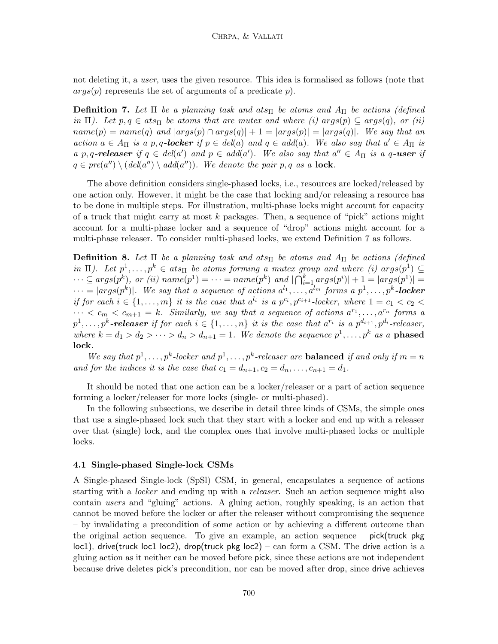not deleting it, a user, uses the given resource. This idea is formalised as follows (note that  $args(p)$  represents the set of arguments of a predicate p).

**Definition 7.** Let  $\Pi$  be a planning task and ats $\Pi$  be atoms and  $A_{\Pi}$  be actions (defined in Π). Let  $p, q \in ats$ <sub>Π</sub> be atoms that are mutex and where (i) args(p)  $\subseteq args(q)$ , or (ii)  $name(p) = name(q)$  and  $|args(p) \cap args(q)| + 1 = |args(p)| = |args(q)|$ . We say that an action  $a \in A_{\Pi}$  is a p, q-locker if  $p \in del(a)$  and  $q \in add(a)$ . We also say that  $a' \in A_{\Pi}$  is a p, q-releaser if  $q \in del(a')$  and  $p \in add(a')$ . We also say that  $a'' \in A_{\Pi}$  is a q-user if  $q \in pre(a'') \setminus (del(a'') \setminus add(a''))$ . We denote the pair p, q as a lock.

The above definition considers single-phased locks, i.e., resources are locked/released by one action only. However, it might be the case that locking and/or releasing a resource has to be done in multiple steps. For illustration, multi-phase locks might account for capacity of a truck that might carry at most  $k$  packages. Then, a sequence of "pick" actions might account for a multi-phase locker and a sequence of "drop" actions might account for a multi-phase releaser. To consider multi-phased locks, we extend Definition 7 as follows.

**Definition 8.** Let  $\Pi$  be a planning task and ats $\Pi$  be atoms and  $A_{\Pi}$  be actions (defined in  $\Pi$ ). Let  $p^1, \ldots, p^k \in ats_{\Pi}$  be atoms forming a mutex group and where (i)  $args(p^1) \subseteq$  $\cdots \subseteq args(p^k)$ , or (ii)  $name(p^1) = \cdots = name(p^k)$  and  $|\bigcap_{i=1}^k args(p^i)| + 1 = |args(p^1)| =$  $\cdots = |args(p^k)|$ . We say that a sequence of actions  $a^{l_1}, \ldots, a^{l_m}$  forms a  $p^1, \ldots, p^k$ -locker if for each  $i \in \{1, \ldots, m\}$  it is the case that  $a^{l_i}$  is a  $p^{c_i}, p^{c_{i+1}}$ -locker, where  $1 = c_1 < c_2 <$  $\cdots < c_m < c_{m+1} = k$ . Similarly, we say that a sequence of actions  $a^{r_1}, \ldots, a^{r_n}$  forms a  $p^1, \ldots, p^k$ -releaser if for each  $i \in \{1, \ldots, n\}$  it is the case that  $a^{r_i}$  is a  $p^{d_{i+1}}, p^{d_i}$ -releaser, where  $k = d_1 > d_2 > \cdots > d_n > d_{n+1} = 1$ . We denote the sequence  $p^1, \ldots, p^k$  as a **phased** lock.

We say that  $p^1, \ldots, p^k$ -locker and  $p^1, \ldots, p^k$ -releaser are **balanced** if and only if  $m = n$ and for the indices it is the case that  $c_1 = d_{n+1}, c_2 = d_n, \ldots, c_{n+1} = d_1$ .

It should be noted that one action can be a locker/releaser or a part of action sequence forming a locker/releaser for more locks (single- or multi-phased).

In the following subsections, we describe in detail three kinds of CSMs, the simple ones that use a single-phased lock such that they start with a locker and end up with a releaser over that (single) lock, and the complex ones that involve multi-phased locks or multiple locks.

#### 4.1 Single-phased Single-lock CSMs

A Single-phased Single-lock (SpSl) CSM, in general, encapsulates a sequence of actions starting with a *locker* and ending up with a *releaser*. Such an action sequence might also contain users and "gluing" actions. A gluing action, roughly speaking, is an action that cannot be moved before the locker or after the releaser without compromising the sequence – by invalidating a precondition of some action or by achieving a different outcome than the original action sequence. To give an example, an action sequence –  $pick(true$  pkg loc1), drive(truck loc1 loc2), drop(truck pkg loc2) – can form a CSM. The drive action is a gluing action as it neither can be moved before pick, since these actions are not independent because drive deletes pick's precondition, nor can be moved after drop, since drive achieves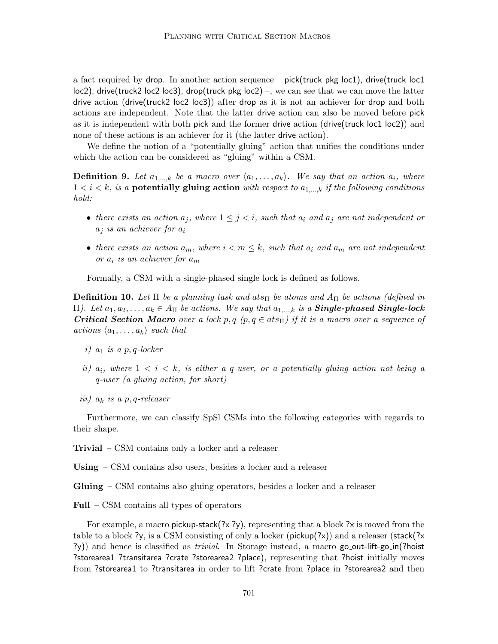a fact required by drop. In another action sequence – pick(truck pkg loc1), drive(truck loc1 loc2), drive(truck2 loc2 loc3), drop(truck pkg loc2) –, we can see that we can move the latter drive action (drive(truck2 loc2 loc3)) after drop as it is not an achiever for drop and both actions are independent. Note that the latter drive action can also be moved before pick as it is independent with both pick and the former drive action (drive(truck loc1 loc2)) and none of these actions is an achiever for it (the latter drive action).

We define the notion of a "potentially gluing" action that unifies the conditions under which the action can be considered as "gluing" within a CSM.

**Definition 9.** Let  $a_{1,...,k}$  be a macro over  $\langle a_1,..., a_k \rangle$ . We say that an action  $a_i$ , where  $1 < i < k$ , is a **potentially gluing action** with respect to  $a_{1,...,k}$  if the following conditions hold:

- there exists an action  $a_j$ , where  $1 \leq j \leq i$ , such that  $a_i$  and  $a_j$  are not independent or  $a_i$  is an achiever for  $a_i$
- there exists an action  $a_m$ , where  $i < m \leq k$ , such that  $a_i$  and  $a_m$  are not independent or  $a_i$  is an achiever for  $a_m$

Formally, a CSM with a single-phased single lock is defined as follows.

**Definition 10.** Let  $\Pi$  be a planning task and ats $\Pi$  be atoms and  $A_{\Pi}$  be actions (defined in Π). Let  $a_1, a_2, \ldots, a_k \in A_{\Pi}$  be actions. We say that  $a_1,...,k$  is a **Single-phased Single-lock Critical Section Macro** over a lock p, q  $(p, q \in ats<sub>II</sub>)$  if it is a macro over a sequence of actions  $\langle a_1, \ldots, a_k \rangle$  such that

- i)  $a_1$  is a p, q-locker
- ii)  $a_i$ , where  $1 \le i \le k$ , is either a q-user, or a potentially gluing action not being a q-user (a gluing action, for short)
- iii)  $a_k$  is a p, q-releaser

Furthermore, we can classify SpSl CSMs into the following categories with regards to their shape.

Trivial – CSM contains only a locker and a releaser

Using – CSM contains also users, besides a locker and a releaser

Gluing – CSM contains also gluing operators, besides a locker and a releaser

Full – CSM contains all types of operators

For example, a macro pickup-stack $(?x ?y)$ , representing that a block  $?x$  is moved from the table to a block ?y, is a CSM consisting of only a locker ( $\text{pickup}(?x)$ ) and a releaser (stack(?x  $(\gamma)$ ) and hence is classified as *trivial*. In Storage instead, a macro go out-lift-go in(?hoist) ?storearea1 ?transitarea ?crate ?storearea2 ?place), representing that ?hoist initially moves from ?storearea1 to ?transitarea in order to lift ?crate from ?place in ?storearea2 and then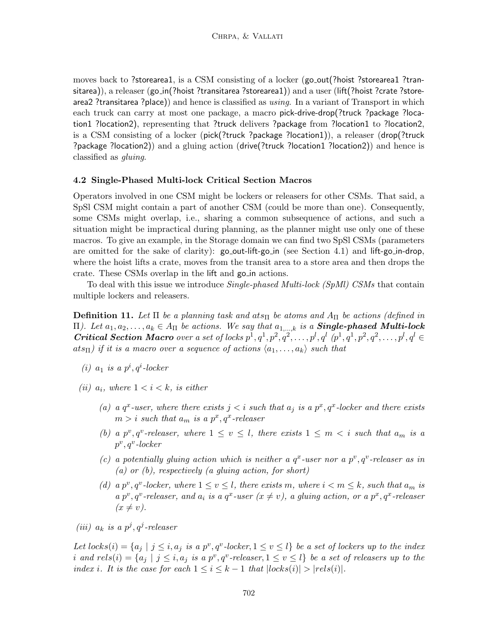moves back to ?storearea1, is a CSM consisting of a locker (go\_out(?hoist ?storearea1 ?transitarea)), a releaser (go\_in(?hoist ?transitarea ?storearea1)) and a user (lift(?hoist ?crate ?storearea2 ?transitarea ?place)) and hence is classified as  $using$ . In a variant of Transport in which each truck can carry at most one package, a macro pick-drive-drop(?truck ?package ?location1 ?location2), representing that ?truck delivers ?package from ?location1 to ?location2, is a CSM consisting of a locker (pick(?truck ?package ?location1)), a releaser (drop(?truck ?package ?location2)) and a gluing action (drive(?truck ?location1 ?location2)) and hence is classified as gluing.

#### 4.2 Single-Phased Multi-lock Critical Section Macros

Operators involved in one CSM might be lockers or releasers for other CSMs. That said, a SpSl CSM might contain a part of another CSM (could be more than one). Consequently, some CSMs might overlap, i.e., sharing a common subsequence of actions, and such a situation might be impractical during planning, as the planner might use only one of these macros. To give an example, in the Storage domain we can find two SpSl CSMs (parameters are omitted for the sake of clarity):  $\text{go\_out-lift-go\_in}$  (see Section 4.1) and lift-go\_in-drop, where the hoist lifts a crate, moves from the transit area to a store area and then drops the crate. These CSMs overlap in the lift and go in actions.

To deal with this issue we introduce *Single-phased Multi-lock (SpMl) CSMs* that contain multiple lockers and releasers.

**Definition 11.** Let  $\Pi$  be a planning task and ats $\Pi$  be atoms and  $A_{\Pi}$  be actions (defined in Π). Let  $a_1, a_2, \ldots, a_k \in A_{\Pi}$  be actions. We say that  $a_{1,\ldots,k}$  is a **Single-phased Multi-lock** Critical Section Macro over a set of locks  $p^1, q^1, p^2, q^2, \ldots, p^l, q^l$   $(p^1, q^1, p^2, q^2, \ldots, p^l, q^l \in$  $ats_{\Pi}$ ) if it is a macro over a sequence of actions  $\langle a_1, \ldots, a_k \rangle$  such that

- (i)  $a_1$  is a  $p^i, q^i$ -locker
- (ii)  $a_i$ , where  $1 \lt i \lt k$ , is either
	- (a) a  $q^x$ -user, where there exists  $j < i$  such that  $a_j$  is a  $p^x, q^x$ -locker and there exists  $m > i$  such that  $a_m$  is a  $p^x, q^x$ -releaser
	- (b) a  $p^v, q^v$ -releaser, where  $1 \le v \le l$ , there exists  $1 \le m \lt i$  such that  $a_m$  is a  $p^v, q^v$ -locker
	- (c) a potentially gluing action which is neither a  $q^x$ -user nor a  $p^v, q^v$ -releaser as in (a) or  $(b)$ , respectively (a gluing action, for short)
	- (d) a  $p^v, q^v$ -locker, where  $1 \le v \le l$ , there exists m, where  $i < m \le k$ , such that  $a_m$  is a p<sup>v</sup>, q<sup>v</sup>-releaser, and  $a_i$  is a  $q^x$ -user  $(x \neq v)$ , a gluing action, or a p<sup>x</sup>,  $q^x$ -releaser  $(x \neq v)$ .
- (iii)  $a_k$  is a  $p^j, q^j$ -releaser

Let  $locks(i) = \{a_j \mid j \leq i, a_j \text{ is a } p^v, q^v\text{-}locker, 1 \leq v \leq l\}$  be a set of lockers up to the index i and  $rels(i) = \{a_j | j \leq i, a_j \text{ is a } p^v, q^v \text{-}releaser, 1 \leq v \leq l\}$  be a set of releasers up to the index i. It is the case for each  $1 \le i \le k-1$  that  $|locks(i)| > |rels(i)|$ .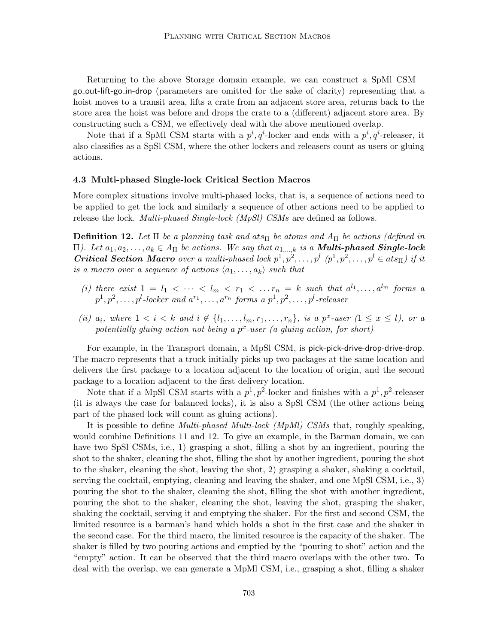Returning to the above Storage domain example, we can construct a SpMl CSM – go out-lift-go in-drop (parameters are omitted for the sake of clarity) representing that a hoist moves to a transit area, lifts a crate from an adjacent store area, returns back to the store area the hoist was before and drops the crate to a (different) adjacent store area. By constructing such a CSM, we effectively deal with the above mentioned overlap.

Note that if a SpMl CSM starts with a  $p^i, q^i$ -locker and ends with a  $p^i, q^i$ -releaser, it also classifies as a SpSl CSM, where the other lockers and releasers count as users or gluing actions.

#### 4.3 Multi-phased Single-lock Critical Section Macros

More complex situations involve multi-phased locks, that is, a sequence of actions need to be applied to get the lock and similarly a sequence of other actions need to be applied to release the lock. *Multi-phased Single-lock* (*MpSl)* CSMs are defined as follows.

**Definition 12.** Let  $\Pi$  be a planning task and ats $\Pi$  be atoms and  $A_{\Pi}$  be actions (defined in Π). Let  $a_1, a_2, \ldots, a_k \in A_{\Pi}$  be actions. We say that  $a_{1,\ldots,k}$  is a **Multi-phased Single-lock Critical Section Macro** over a multi-phased lock  $p^1, p^2, \ldots, p^l$   $(p^1, p^2, \ldots, p^l \in ats_{\Pi})$  if it is a macro over a sequence of actions  $\langle a_1, \ldots, a_k \rangle$  such that

- (i) there exist  $1 = l_1 < \cdots < l_m < r_1 < \ldots r_n = k$  such that  $a^{l_1}, \ldots, a^{l_m}$  forms a  $p^{1}, p^{2}, \ldots, p^{l}$ -locker and  $a^{r_{1}}, \ldots, a^{r_{n}}$  forms a  $p^{1}, p^{2}, \ldots, p^{l}$ -releaser
- (ii)  $a_i$ , where  $1 \leq i \leq k$  and  $i \notin \{l_1, \ldots, l_m, r_1, \ldots, r_n\}$ , is a  $p^x$ -user  $(1 \leq x \leq l)$ , or a potentially gluing action not being a  $p^x$ -user (a gluing action, for short)

For example, in the Transport domain, a MpSl CSM, is pick-pick-drive-drop-drive-drop. The macro represents that a truck initially picks up two packages at the same location and delivers the first package to a location adjacent to the location of origin, and the second package to a location adjacent to the first delivery location.

Note that if a MpSl CSM starts with a  $p^1, p^2$ -locker and finishes with a  $p^1, p^2$ -releaser (it is always the case for balanced locks), it is also a SpSl CSM (the other actions being part of the phased lock will count as gluing actions).

It is possible to define Multi-phased Multi-lock (MpMl) CSMs that, roughly speaking, would combine Definitions 11 and 12. To give an example, in the Barman domain, we can have two SpSl CSMs, i.e., 1) grasping a shot, filling a shot by an ingredient, pouring the shot to the shaker, cleaning the shot, filling the shot by another ingredient, pouring the shot to the shaker, cleaning the shot, leaving the shot, 2) grasping a shaker, shaking a cocktail, serving the cocktail, emptying, cleaning and leaving the shaker, and one MpSl CSM, i.e., 3) pouring the shot to the shaker, cleaning the shot, filling the shot with another ingredient, pouring the shot to the shaker, cleaning the shot, leaving the shot, grasping the shaker, shaking the cocktail, serving it and emptying the shaker. For the first and second CSM, the limited resource is a barman's hand which holds a shot in the first case and the shaker in the second case. For the third macro, the limited resource is the capacity of the shaker. The shaker is filled by two pouring actions and emptied by the "pouring to shot" action and the "empty" action. It can be observed that the third macro overlaps with the other two. To deal with the overlap, we can generate a MpMl CSM, i.e., grasping a shot, filling a shaker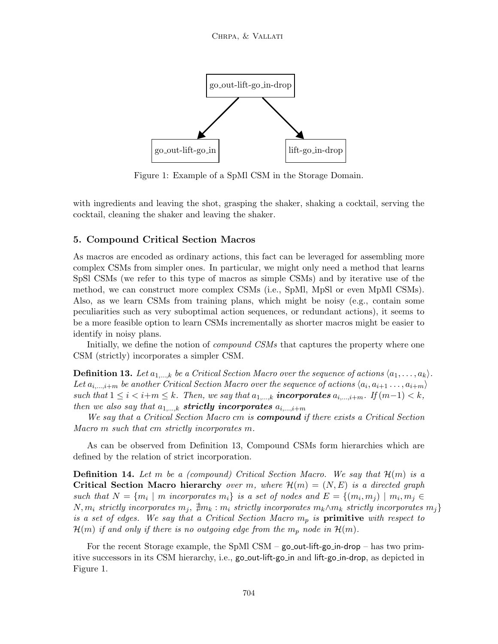

Figure 1: Example of a SpMl CSM in the Storage Domain.

with ingredients and leaving the shot, grasping the shaker, shaking a cocktail, serving the cocktail, cleaning the shaker and leaving the shaker.

## 5. Compound Critical Section Macros

As macros are encoded as ordinary actions, this fact can be leveraged for assembling more complex CSMs from simpler ones. In particular, we might only need a method that learns SpSl CSMs (we refer to this type of macros as simple CSMs) and by iterative use of the method, we can construct more complex CSMs (i.e., SpMl, MpSl or even MpMl CSMs). Also, as we learn CSMs from training plans, which might be noisy (e.g., contain some peculiarities such as very suboptimal action sequences, or redundant actions), it seems to be a more feasible option to learn CSMs incrementally as shorter macros might be easier to identify in noisy plans.

Initially, we define the notion of *compound CSMs* that captures the property where one CSM (strictly) incorporates a simpler CSM.

**Definition 13.** Let  $a_{1,...,k}$  be a Critical Section Macro over the sequence of actions  $\langle a_1, \ldots, a_k \rangle$ . Let  $a_{i,\dots,i+m}$  be another Critical Section Macro over the sequence of actions  $\langle a_i, a_{i+1}, \dots, a_{i+m} \rangle$ such that  $1 \leq i < i+m \leq k$ . Then, we say that  $a_{1,\dots,k}$  incorporates  $a_{i,\dots,i+m}$ . If  $(m-1) < k$ , then we also say that  $a_{1,...,k}$  strictly incorporates  $a_{i,...,i+m}$ 

We say that a Critical Section Macro cm is **compound** if there exists a Critical Section Macro m such that cm strictly incorporates m.

As can be observed from Definition 13, Compound CSMs form hierarchies which are defined by the relation of strict incorporation.

**Definition 14.** Let m be a (compound) Critical Section Macro. We say that  $\mathcal{H}(m)$  is a Critical Section Macro hierarchy over m, where  $\mathcal{H}(m) = (N, E)$  is a directed graph such that  $N = \{m_i \mid m \text{ incorporates } m_i\}$  is a set of nodes and  $E = \{(m_i, m_j) \mid m_i, m_j \in$  $N, m_i$  strictly incorporates  $m_j$ ,  $\sharp m_k : m_i$  strictly incorporates  $m_k \wedge m_k$  strictly incorporates  $m_j$ } is a set of edges. We say that a Critical Section Macro  $m_p$  is primitive with respect to  $\mathcal{H}(m)$  if and only if there is no outgoing edge from the  $m_p$  node in  $\mathcal{H}(m)$ .

For the recent Storage example, the SpMl CSM –  $\gamma$  go out-lift-go in-drop – has two primitive successors in its CSM hierarchy, i.e., go out-lift-go in and lift-go in-drop, as depicted in Figure 1.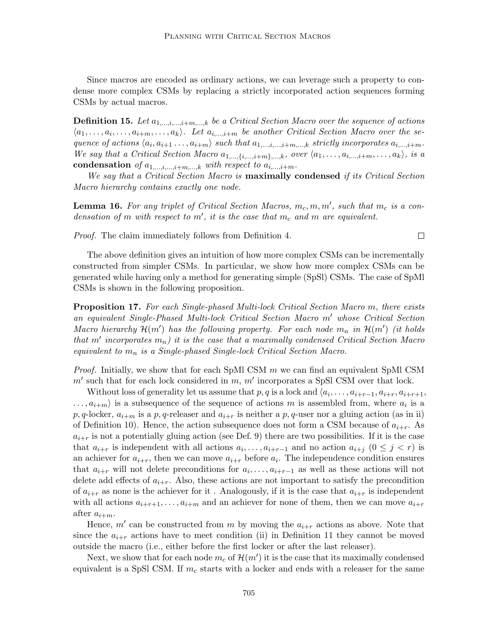Since macros are encoded as ordinary actions, we can leverage such a property to condense more complex CSMs by replacing a strictly incorporated action sequences forming CSMs by actual macros.

**Definition 15.** Let  $a_1,...,a_{m},...,b_k$  be a Critical Section Macro over the sequence of actions  $\langle a_1, \ldots, a_i, \ldots, a_{i+m}, \ldots, a_k \rangle$ . Let  $a_{i,\ldots,i+m}$  be another Critical Section Macro over the sequence of actions  $\langle a_i, a_{i+1} \ldots, a_{i+m} \rangle$  such that  $a_{1,\ldots,i,\ldots,i+m,\ldots,k}$  strictly incorporates  $a_{i,\ldots,i+m}$ . We say that a Critical Section Macro  $a_{1,...,\{i,...,i+m\},...,k}$ , over  $\langle a_1,..., a_{i,...,i+m},..., a_k \rangle$ , is a condensation of  $a_{1,\dots,i,\dots,i+m,\dots,k}$  with respect to  $a_{i,\dots,i+m}$ .

We say that a Critical Section Macro is maximally condensed if its Critical Section Macro hierarchy contains exactly one node.

**Lemma 16.** For any triplet of Critical Section Macros,  $m_c, m, m'$ , such that  $m_c$  is a condensation of m with respect to m', it is the case that  $m_c$  and m are equivalent.

Proof. The claim immediately follows from Definition 4.

The above definition gives an intuition of how more complex CSMs can be incrementally constructed from simpler CSMs. In particular, we show how more complex CSMs can be generated while having only a method for generating simple (SpSl) CSMs. The case of SpMl CSMs is shown in the following proposition.

**Proposition 17.** For each Single-phased Multi-lock Critical Section Macro m, there exists an equivalent Single-Phased Multi-lock Critical Section Macro  $m'$  whose Critical Section Macro hierarchy  $\mathcal{H}(m')$  has the following property. For each node  $m_n$  in  $\mathcal{H}(m')$  (it holds that m' incorporates  $m_n$ ) it is the case that a maximally condensed Critical Section Macro equivalent to  $m_n$  is a Single-phased Single-lock Critical Section Macro.

*Proof.* Initially, we show that for each SpMl CSM  $m$  we can find an equivalent SpMl CSM  $m'$  such that for each lock considered in  $m$ ,  $m'$  incorporates a SpSl CSM over that lock.

Without loss of generality let us assume that p, q is a lock and  $\langle a_i, \ldots, a_{i+r-1}, a_{i+r}, a_{i+r+1}, \ldots, a_{i+r} \rangle$  $\dots, a_{i+m}$  is a subsequence of the sequence of actions m is assembled from, where  $a_i$  is a p, q-locker,  $a_{i+m}$  is a p, q-releaser and  $a_{i+r}$  is neither a p, q-user nor a gluing action (as in ii) of Definition 10). Hence, the action subsequence does not form a CSM because of  $a_{i+r}$ . As  $a_{i+r}$  is not a potentially gluing action (see Def. 9) there are two possibilities. If it is the case that  $a_{i+r}$  is independent with all actions  $a_i, \ldots, a_{i+r-1}$  and no action  $a_{i+j}$   $(0 \leq j < r)$  is an achiever for  $a_{i+r}$ , then we can move  $a_{i+r}$  before  $a_i$ . The independence condition ensures that  $a_{i+r}$  will not delete preconditions for  $a_i, \ldots, a_{i+r-1}$  as well as these actions will not delete add effects of  $a_{i+r}$ . Also, these actions are not important to satisfy the precondition of  $a_{i+r}$  as none is the achiever for it. Analogously, if it is the case that  $a_{i+r}$  is independent with all actions  $a_{i+r+1}, \ldots, a_{i+m}$  and an achiever for none of them, then we can move  $a_{i+r}$ after  $a_{i+m}$ .

Hence,  $m'$  can be constructed from m by moving the  $a_{i+r}$  actions as above. Note that since the  $a_{i+r}$  actions have to meet condition (ii) in Definition 11 they cannot be moved outside the macro (i.e., either before the first locker or after the last releaser).

Next, we show that for each node  $m_c$  of  $\mathcal{H}(m')$  it is the case that its maximally condensed equivalent is a SpSl CSM. If  $m_c$  starts with a locker and ends with a releaser for the same

 $\Box$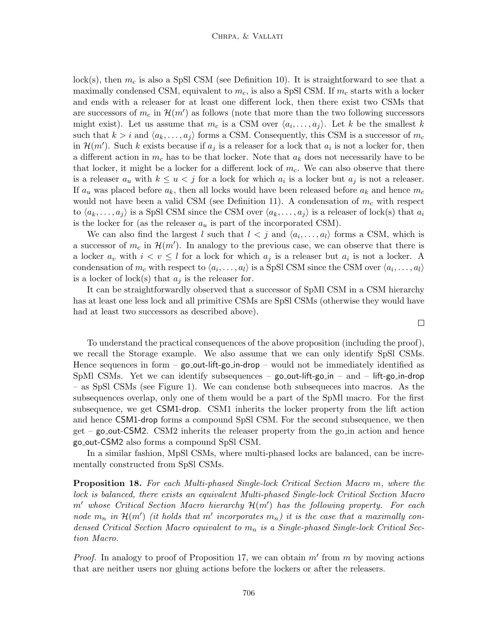lock(s), then  $m_c$  is also a SpSl CSM (see Definition 10). It is straightforward to see that a maximally condensed CSM, equivalent to  $m_c$ , is also a SpSl CSM. If  $m_c$  starts with a locker and ends with a releaser for at least one different lock, then there exist two CSMs that are successors of  $m_c$  in  $\mathcal{H}(m')$  as follows (note that more than the two following successors might exist). Let us assume that  $m_c$  is a CSM over  $\langle a_i, \ldots, a_j \rangle$ . Let k be the smallest k such that  $k > i$  and  $\langle a_k, \ldots, a_j \rangle$  forms a CSM. Consequently, this CSM is a successor of  $m_c$ in  $\mathcal{H}(m')$ . Such k exists because if  $a_j$  is a releaser for a lock that  $a_i$  is not a locker for, then a different action in  $m_c$  has to be that locker. Note that  $a_k$  does not necessarily have to be that locker, it might be a locker for a different lock of  $m_c$ . We can also observe that there is a releaser  $a_u$  with  $k \leq u < j$  for a lock for which  $a_i$  is a locker but  $a_j$  is not a releaser. If  $a_u$  was placed before  $a_k$ , then all locks would have been released before  $a_k$  and hence  $m_c$ would not have been a valid CSM (see Definition 11). A condensation of  $m_c$  with respect to  $\langle a_k, \ldots, a_j \rangle$  is a SpSl CSM since the CSM over  $\langle a_k, \ldots, a_j \rangle$  is a releaser of lock(s) that  $a_i$ is the locker for (as the releaser  $a_u$  is part of the incorporated CSM).

We can also find the largest l such that  $l \langle j \rangle$  and  $\langle a_i, \ldots, a_l \rangle$  forms a CSM, which is a successor of  $m_c$  in  $\mathcal{H}(m')$ . In analogy to the previous case, we can observe that there is a locker  $a_v$  with  $i < v \leq l$  for a lock for which  $a_j$  is a releaser but  $a_i$  is not a locker. A condensation of  $m_c$  with respect to  $\langle a_i, \ldots, a_l \rangle$  is a SpSl CSM since the CSM over  $\langle a_i, \ldots, a_l \rangle$ is a locker of lock(s) that  $a_i$  is the releaser for.

It can be straightforwardly observed that a successor of SpMl CSM in a CSM hierarchy has at least one less lock and all primitive CSMs are SpSl CSMs (otherwise they would have had at least two successors as described above).

To understand the practical consequences of the above proposition (including the proof), we recall the Storage example. We also assume that we can only identify SpSl CSMs. Hence sequences in form  $-$  go-out-lift-go-in-drop  $-$  would not be immediately identified as SpMl CSMs. Yet we can identify subsequences – go out-lift-go in – and – lift-go in-drop – as SpSl CSMs (see Figure 1). We can condense both subsequeces into macros. As the subsequences overlap, only one of them would be a part of the SpMl macro. For the first subsequence, we get CSM1-drop. CSM1 inherits the locker property from the lift action and hence CSM1-drop forms a compound SpSl CSM. For the second subsequence, we then  $get - go.out-CSM2$ . CSM2 inherits the releaser property from the go in action and hence go out-CSM2 also forms a compound SpSl CSM.

In a similar fashion, MpSl CSMs, where multi-phased locks are balanced, can be incrementally constructed from SpSl CSMs.

Proposition 18. For each Multi-phased Single-lock Critical Section Macro m, where the lock is balanced, there exists an equivalent Multi-phased Single-lock Critical Section Macro  $m'$  whose Critical Section Macro hierarchy  $\mathcal{H}(m')$  has the following property. For each node  $m_n$  in  $\mathcal{H}(m')$  (it holds that m' incorporates  $m_n$ ) it is the case that a maximally condensed Critical Section Macro equivalent to  $m_n$  is a Single-phased Single-lock Critical Section Macro.

*Proof.* In analogy to proof of Proposition 17, we can obtain  $m'$  from  $m$  by moving actions that are neither users nor gluing actions before the lockers or after the releasers.

 $\Box$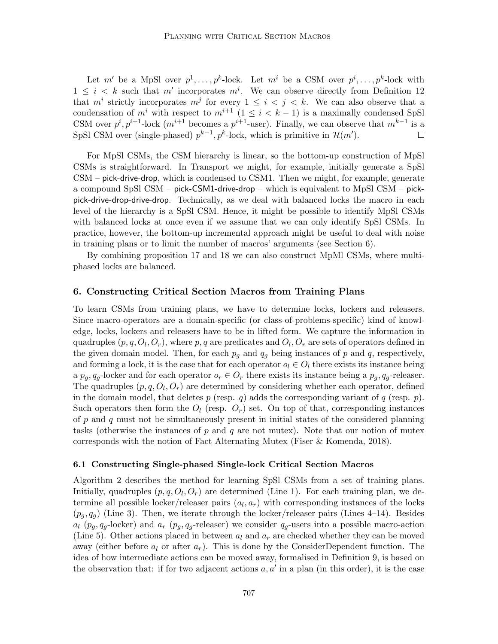Let m' be a MpSl over  $p^1, \ldots, p^k$ -lock. Let m<sup>i</sup> be a CSM over  $p^i, \ldots, p^k$ -lock with  $1 \leq i \leq k$  such that m' incorporates m<sup>i</sup>. We can observe directly from Definition 12 that  $m^i$  strictly incorporates  $m^j$  for every  $1 \leq i \leq j \leq k$ . We can also observe that a condensation of  $m^i$  with respect to  $m^{i+1}$  ( $1 \leq i \leq k-1$ ) is a maximally condensed SpSl CSM over  $p^i, p^{i+1}$ -lock  $(m^{i+1}$  becomes a  $p^{i+1}$ -user). Finally, we can observe that  $m^{k-1}$  is a SpSl CSM over (single-phased)  $p^{k-1}$ ,  $p^k$ -lock, which is primitive in  $\mathcal{H}(m')$ .  $\Box$ 

For MpSl CSMs, the CSM hierarchy is linear, so the bottom-up construction of MpSl CSMs is straightforward. In Transport we might, for example, initially generate a SpSl CSM – pick-drive-drop, which is condensed to CSM1. Then we might, for example, generate a compound SpSl CSM – pick-CSM1-drive-drop – which is equivalent to MpSl CSM – pickpick-drive-drop-drive-drop. Technically, as we deal with balanced locks the macro in each level of the hierarchy is a SpSl CSM. Hence, it might be possible to identify MpSl CSMs with balanced locks at once even if we assume that we can only identify SpSl CSMs. In practice, however, the bottom-up incremental approach might be useful to deal with noise in training plans or to limit the number of macros' arguments (see Section 6).

By combining proposition 17 and 18 we can also construct MpMl CSMs, where multiphased locks are balanced.

### 6. Constructing Critical Section Macros from Training Plans

To learn CSMs from training plans, we have to determine locks, lockers and releasers. Since macro-operators are a domain-specific (or class-of-problems-specific) kind of knowledge, locks, lockers and releasers have to be in lifted form. We capture the information in quadruples  $(p, q, O_l, O_r)$ , where  $p, q$  are predicates and  $O_l, O_r$  are sets of operators defined in the given domain model. Then, for each  $p_q$  and  $q_q$  being instances of p and q, respectively, and forming a lock, it is the case that for each operator  $o_l \in O_l$  there exists its instance being a  $p_q, q_q$ -locker and for each operator  $o_r \in O_r$  there exists its instance being a  $p_q, q_q$ -releaser. The quadruples  $(p, q, O_l, O_r)$  are determined by considering whether each operator, defined in the domain model, that deletes p (resp. q) adds the corresponding variant of q (resp. p). Such operators then form the  $O_l$  (resp.  $O_r$ ) set. On top of that, corresponding instances of  $p$  and  $q$  must not be simultaneously present in initial states of the considered planning tasks (otherwise the instances of p and q are not mutex). Note that our notion of mutex corresponds with the notion of Fact Alternating Mutex (Fiser & Komenda, 2018).

### 6.1 Constructing Single-phased Single-lock Critical Section Macros

Algorithm 2 describes the method for learning SpSl CSMs from a set of training plans. Initially, quadruples  $(p, q, O_l, O_r)$  are determined (Line 1). For each training plan, we determine all possible locker/releaser pairs  $(a_l, a_r)$  with corresponding instances of the locks  $(p_q, q_q)$  (Line 3). Then, we iterate through the locker/releaser pairs (Lines 4–14). Besides  $a_l$  ( $p_q, q_q$ -locker) and  $a_r$  ( $p_q, q_q$ -releaser) we consider  $q_q$ -users into a possible macro-action (Line 5). Other actions placed in between  $a_l$  and  $a_r$  are checked whether they can be moved away (either before  $a_l$  or after  $a_r$ ). This is done by the ConsiderDependent function. The idea of how intermediate actions can be moved away, formalised in Definition 9, is based on the observation that: if for two adjacent actions  $a, a'$  in a plan (in this order), it is the case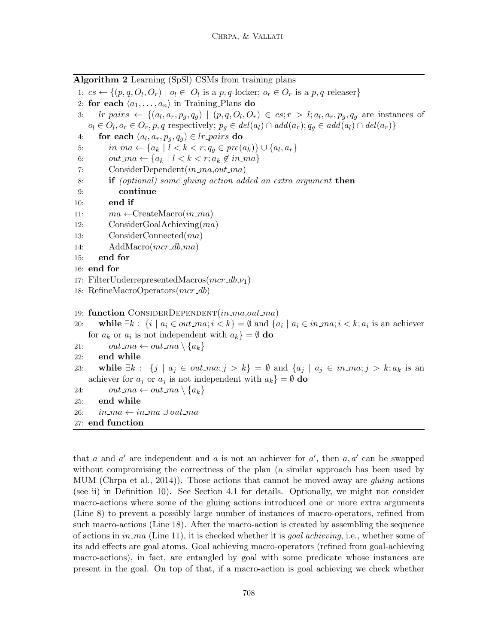Algorithm 2 Learning (SpSl) CSMs from training plans 1:  $cs \leftarrow \{(p, q, O_l, O_r) \mid o_l \in O_l \text{ is a } p, q\text{-locker}; o_r \in O_r \text{ is a } p, q\text{-releaser}\}\$ 2: for each  $\langle a_1, \ldots, a_n \rangle$  in Training Plans do 3:  $lr\_pairs \leftarrow \{(a_l, a_r, p_g, q_g) \mid (p, q, O_l, O_r) \in cs; r > l; a_l, a_r, p_g, q_g \text{ are instances of } s \in (r, q, o_l) \}$  $o_l \in O_l, o_r \in O_r, p, q$  respectively;  $p_g \in del(a_l) \cap add(a_r); q_g \in add(a_l) \cap del(a_r)$ 4: for each  $(a_l, a_r, p_g, q_g) \in lr\_pairs$  do 5:  $in_{1}ma \leftarrow \{a_k | l < k < r; q_g \in pre(a_k)\} \cup \{a_l, a_r\}$ 6:  $out\_ma \leftarrow \{a_k \mid l < k < r; a_k \notin in\_ma\}$ 7: ConsiderDependent $(in\_ma,out\_ma)$ 8: if (optional) some gluing action added an extra argument then 9: continue 10: end if 11:  $ma \leftarrow$ CreateMacro $(in\_ma)$ 12: ConsiderGoalAchieving(ma) 13: ConsiderConnected(ma) 14: AddMacro(*mcr\_db,ma*) 15: end for 16: end for 17: FilterUnderrepresentedMacros $(mcr_d b, \nu_1)$ 18: RefineMacroOperators(mcr\_db) 19: function CONSIDERDEPENDENT $(in\_ma,out\_ma)$ 20: while  $\exists k : \{i \mid a_i \in out\_ma; i < k\} = \emptyset$  and  $\{a_i \mid a_i \in in\_ma; i < k; a_i \text{ is an achievement}\}$ for  $a_k$  or  $a_i$  is not independent with  $a_k$ } =  $\emptyset$  do 21:  $out\_ma \leftarrow out\_ma \setminus \{a_k\}$ 22: end while 23: while  $\exists k : \{j \mid a_j \in out \_i; j > k\} = \emptyset$  and  $\{a_j \mid a_j \in in \_i; j > k; a_k \text{ is an } i \in \{i, j \mid k\}$ achiever for  $a_j$  or  $a_j$  is not independent with  $a_k$ } =  $\emptyset$  do 24:  $out\_ma \leftarrow out\_ma \setminus \{a_k\}$ 25: end while 26:  $in\_ma \leftarrow in\_ma \cup out\_ma$ 27: end function

that a and a' are independent and a is not an achiever for  $a'$ , then  $a, a'$  can be swapped without compromising the correctness of the plan (a similar approach has been used by MUM (Chrpa et al., 2014)). Those actions that cannot be moved away are *gluing* actions (see ii) in Definition 10). See Section 4.1 for details. Optionally, we might not consider macro-actions where some of the gluing actions introduced one or more extra arguments (Line 8) to prevent a possibly large number of instances of macro-operators, refined from such macro-actions (Line 18). After the macro-action is created by assembling the sequence of actions in  $in$ -ma (Line 11), it is checked whether it is *goal achieving*, i.e., whether some of its add effects are goal atoms. Goal achieving macro-operators (refined from goal-achieving macro-actions), in fact, are entangled by goal with some predicate whose instances are present in the goal. On top of that, if a macro-action is goal achieving we check whether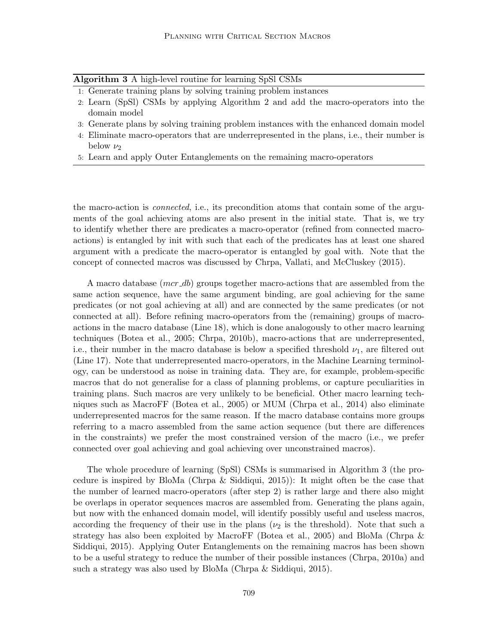| Algorithm 3 A high-level routine for learning SpSl CSMs |  |  |  |  |
|---------------------------------------------------------|--|--|--|--|
|                                                         |  |  |  |  |

- 1: Generate training plans by solving training problem instances
- 2: Learn (SpSl) CSMs by applying Algorithm 2 and add the macro-operators into the domain model
- 3: Generate plans by solving training problem instances with the enhanced domain model
- 4: Eliminate macro-operators that are underrepresented in the plans, i.e., their number is below  $\nu_2$
- 5: Learn and apply Outer Entanglements on the remaining macro-operators

the macro-action is connected, i.e., its precondition atoms that contain some of the arguments of the goal achieving atoms are also present in the initial state. That is, we try to identify whether there are predicates a macro-operator (refined from connected macroactions) is entangled by init with such that each of the predicates has at least one shared argument with a predicate the macro-operator is entangled by goal with. Note that the concept of connected macros was discussed by Chrpa, Vallati, and McCluskey (2015).

A macro database  $(mcr_d b)$  groups together macro-actions that are assembled from the same action sequence, have the same argument binding, are goal achieving for the same predicates (or not goal achieving at all) and are connected by the same predicates (or not connected at all). Before refining macro-operators from the (remaining) groups of macroactions in the macro database (Line 18), which is done analogously to other macro learning techniques (Botea et al., 2005; Chrpa, 2010b), macro-actions that are underrepresented, i.e., their number in the macro database is below a specified threshold  $\nu_1$ , are filtered out (Line 17). Note that underrepresented macro-operators, in the Machine Learning terminology, can be understood as noise in training data. They are, for example, problem-specific macros that do not generalise for a class of planning problems, or capture peculiarities in training plans. Such macros are very unlikely to be beneficial. Other macro learning techniques such as MacroFF (Botea et al., 2005) or MUM (Chrpa et al., 2014) also eliminate underrepresented macros for the same reason. If the macro database contains more groups referring to a macro assembled from the same action sequence (but there are differences in the constraints) we prefer the most constrained version of the macro (i.e., we prefer connected over goal achieving and goal achieving over unconstrained macros).

The whole procedure of learning (SpSl) CSMs is summarised in Algorithm 3 (the procedure is inspired by BloMa (Chrpa & Siddiqui, 2015)): It might often be the case that the number of learned macro-operators (after step 2) is rather large and there also might be overlaps in operator sequences macros are assembled from. Generating the plans again, but now with the enhanced domain model, will identify possibly useful and useless macros, according the frequency of their use in the plans ( $\nu_2$  is the threshold). Note that such a strategy has also been exploited by MacroFF (Botea et al., 2005) and BloMa (Chrpa & Siddiqui, 2015). Applying Outer Entanglements on the remaining macros has been shown to be a useful strategy to reduce the number of their possible instances (Chrpa, 2010a) and such a strategy was also used by BloMa (Chrpa & Siddiqui, 2015).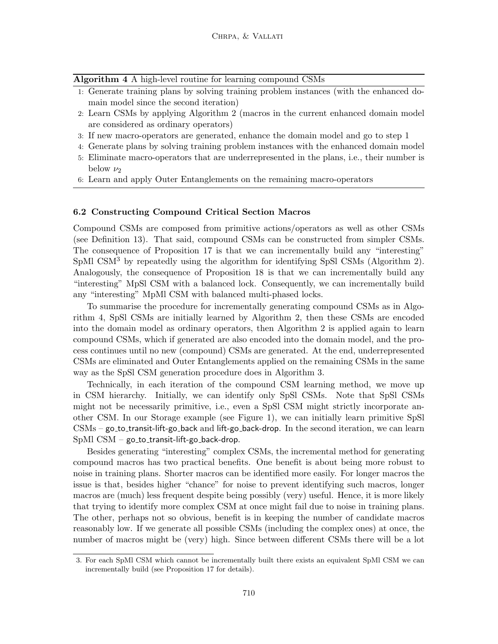Algorithm 4 A high-level routine for learning compound CSMs

- 1: Generate training plans by solving training problem instances (with the enhanced domain model since the second iteration)
- 2: Learn CSMs by applying Algorithm 2 (macros in the current enhanced domain model are considered as ordinary operators)
- 3: If new macro-operators are generated, enhance the domain model and go to step 1
- 4: Generate plans by solving training problem instances with the enhanced domain model
- 5: Eliminate macro-operators that are underrepresented in the plans, i.e., their number is below  $\nu_2$
- 6: Learn and apply Outer Entanglements on the remaining macro-operators

#### 6.2 Constructing Compound Critical Section Macros

Compound CSMs are composed from primitive actions/operators as well as other CSMs (see Definition 13). That said, compound CSMs can be constructed from simpler CSMs. The consequence of Proposition 17 is that we can incrementally build any "interesting" SpMl CSM<sup>3</sup> by repeatedly using the algorithm for identifying SpSl CSMs (Algorithm 2). Analogously, the consequence of Proposition 18 is that we can incrementally build any "interesting" MpSl CSM with a balanced lock. Consequently, we can incrementally build any "interesting" MpMl CSM with balanced multi-phased locks.

To summarise the procedure for incrementally generating compound CSMs as in Algorithm 4, SpSl CSMs are initially learned by Algorithm 2, then these CSMs are encoded into the domain model as ordinary operators, then Algorithm 2 is applied again to learn compound CSMs, which if generated are also encoded into the domain model, and the process continues until no new (compound) CSMs are generated. At the end, underrepresented CSMs are eliminated and Outer Entanglements applied on the remaining CSMs in the same way as the SpSl CSM generation procedure does in Algorithm 3.

Technically, in each iteration of the compound CSM learning method, we move up in CSM hierarchy. Initially, we can identify only SpSl CSMs. Note that SpSl CSMs might not be necessarily primitive, i.e., even a SpSl CSM might strictly incorporate another CSM. In our Storage example (see Figure 1), we can initially learn primitive SpSl  $CSMs - go_to_trainsit-life-go-back and lift-go-back-drop. In the second iteration, we can learn$  $SpM1$   $CSM - go\_to\_transit$ -lift-go $\_back\$ -drop.

Besides generating "interesting" complex CSMs, the incremental method for generating compound macros has two practical benefits. One benefit is about being more robust to noise in training plans. Shorter macros can be identified more easily. For longer macros the issue is that, besides higher "chance" for noise to prevent identifying such macros, longer macros are (much) less frequent despite being possibly (very) useful. Hence, it is more likely that trying to identify more complex CSM at once might fail due to noise in training plans. The other, perhaps not so obvious, benefit is in keeping the number of candidate macros reasonably low. If we generate all possible CSMs (including the complex ones) at once, the number of macros might be (very) high. Since between different CSMs there will be a lot

<sup>3.</sup> For each SpMl CSM which cannot be incrementally built there exists an equivalent SpMl CSM we can incrementally build (see Proposition 17 for details).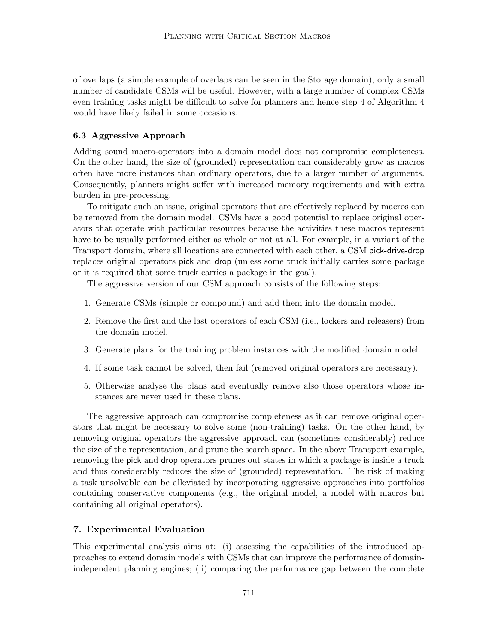of overlaps (a simple example of overlaps can be seen in the Storage domain), only a small number of candidate CSMs will be useful. However, with a large number of complex CSMs even training tasks might be difficult to solve for planners and hence step 4 of Algorithm 4 would have likely failed in some occasions.

#### 6.3 Aggressive Approach

Adding sound macro-operators into a domain model does not compromise completeness. On the other hand, the size of (grounded) representation can considerably grow as macros often have more instances than ordinary operators, due to a larger number of arguments. Consequently, planners might suffer with increased memory requirements and with extra burden in pre-processing.

To mitigate such an issue, original operators that are effectively replaced by macros can be removed from the domain model. CSMs have a good potential to replace original operators that operate with particular resources because the activities these macros represent have to be usually performed either as whole or not at all. For example, in a variant of the Transport domain, where all locations are connected with each other, a CSM pick-drive-drop replaces original operators pick and drop (unless some truck initially carries some package or it is required that some truck carries a package in the goal).

The aggressive version of our CSM approach consists of the following steps:

- 1. Generate CSMs (simple or compound) and add them into the domain model.
- 2. Remove the first and the last operators of each CSM (i.e., lockers and releasers) from the domain model.
- 3. Generate plans for the training problem instances with the modified domain model.
- 4. If some task cannot be solved, then fail (removed original operators are necessary).
- 5. Otherwise analyse the plans and eventually remove also those operators whose instances are never used in these plans.

The aggressive approach can compromise completeness as it can remove original operators that might be necessary to solve some (non-training) tasks. On the other hand, by removing original operators the aggressive approach can (sometimes considerably) reduce the size of the representation, and prune the search space. In the above Transport example, removing the pick and drop operators prunes out states in which a package is inside a truck and thus considerably reduces the size of (grounded) representation. The risk of making a task unsolvable can be alleviated by incorporating aggressive approaches into portfolios containing conservative components (e.g., the original model, a model with macros but containing all original operators).

#### 7. Experimental Evaluation

This experimental analysis aims at: (i) assessing the capabilities of the introduced approaches to extend domain models with CSMs that can improve the performance of domainindependent planning engines; (ii) comparing the performance gap between the complete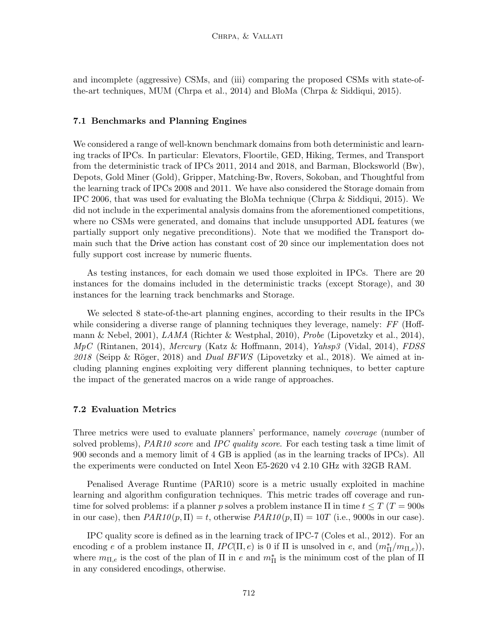and incomplete (aggressive) CSMs, and (iii) comparing the proposed CSMs with state-ofthe-art techniques, MUM (Chrpa et al., 2014) and BloMa (Chrpa & Siddiqui, 2015).

## 7.1 Benchmarks and Planning Engines

We considered a range of well-known benchmark domains from both deterministic and learning tracks of IPCs. In particular: Elevators, Floortile, GED, Hiking, Termes, and Transport from the deterministic track of IPCs 2011, 2014 and 2018, and Barman, Blocksworld (Bw), Depots, Gold Miner (Gold), Gripper, Matching-Bw, Rovers, Sokoban, and Thoughtful from the learning track of IPCs 2008 and 2011. We have also considered the Storage domain from IPC 2006, that was used for evaluating the BloMa technique (Chrpa & Siddiqui, 2015). We did not include in the experimental analysis domains from the aforementioned competitions, where no CSMs were generated, and domains that include unsupported ADL features (we partially support only negative preconditions). Note that we modified the Transport domain such that the Drive action has constant cost of 20 since our implementation does not fully support cost increase by numeric fluents.

As testing instances, for each domain we used those exploited in IPCs. There are 20 instances for the domains included in the deterministic tracks (except Storage), and 30 instances for the learning track benchmarks and Storage.

We selected 8 state-of-the-art planning engines, according to their results in the IPCs while considering a diverse range of planning techniques they leverage, namely: FF (Hoffmann & Nebel, 2001),  $LAMA$  (Richter & Westphal, 2010), Probe (Lipovetzky et al., 2014),  $MpC$  (Rintanen, 2014), Mercury (Katz & Hoffmann, 2014), Yahsp3 (Vidal, 2014), FDSS  $2018$  (Seipp & Röger, 2018) and *Dual BFWS* (Lipovetzky et al., 2018). We aimed at including planning engines exploiting very different planning techniques, to better capture the impact of the generated macros on a wide range of approaches.

#### 7.2 Evaluation Metrics

Three metrics were used to evaluate planners' performance, namely coverage (number of solved problems), PAR10 score and IPC quality score. For each testing task a time limit of 900 seconds and a memory limit of 4 GB is applied (as in the learning tracks of IPCs). All the experiments were conducted on Intel Xeon E5-2620 v4 2.10 GHz with 32GB RAM.

Penalised Average Runtime (PAR10) score is a metric usually exploited in machine learning and algorithm configuration techniques. This metric trades off coverage and runtime for solved problems: if a planner p solves a problem instance  $\Pi$  in time  $t \leq T$  ( $T = 900$ s in our case), then  $PAR10(p, \Pi) = t$ , otherwise  $PAR10(p, \Pi) = 10T$  (i.e., 9000s in our case).

IPC quality score is defined as in the learning track of IPC-7 (Coles et al., 2012). For an encoding e of a problem instance  $\Pi$ ,  $IPC(\Pi, e)$  is 0 if  $\Pi$  is unsolved in e, and  $(m_{\Pi}^*/m_{\Pi, e})$ ), where  $m_{\Pi,e}$  is the cost of the plan of  $\Pi$  in e and  $m_{\Pi}^*$  is the minimum cost of the plan of  $\Pi$ in any considered encodings, otherwise.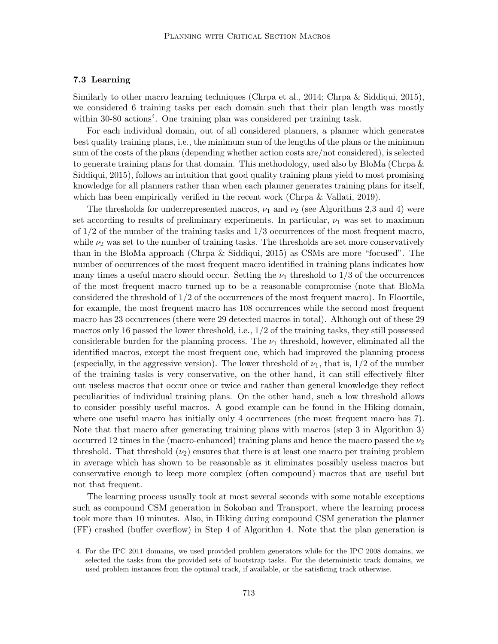## 7.3 Learning

Similarly to other macro learning techniques (Chrpa et al., 2014; Chrpa & Siddiqui, 2015), we considered 6 training tasks per each domain such that their plan length was mostly within 30-80 actions<sup>4</sup>. One training plan was considered per training task.

For each individual domain, out of all considered planners, a planner which generates best quality training plans, i.e., the minimum sum of the lengths of the plans or the minimum sum of the costs of the plans (depending whether action costs are/not considered), is selected to generate training plans for that domain. This methodology, used also by BloMa (Chrpa  $\&$ Siddiqui, 2015), follows an intuition that good quality training plans yield to most promising knowledge for all planners rather than when each planner generates training plans for itself, which has been empirically verified in the recent work (Chrpa & Vallati, 2019).

The thresholds for underrepresented macros,  $\nu_1$  and  $\nu_2$  (see Algorithms 2,3 and 4) were set according to results of preliminary experiments. In particular,  $\nu_1$  was set to maximum of 1/2 of the number of the training tasks and 1/3 occurrences of the most frequent macro, while  $\nu_2$  was set to the number of training tasks. The thresholds are set more conservatively than in the BloMa approach (Chrpa & Siddiqui, 2015) as CSMs are more "focused". The number of occurrences of the most frequent macro identified in training plans indicates how many times a useful macro should occur. Setting the  $\nu_1$  threshold to 1/3 of the occurrences of the most frequent macro turned up to be a reasonable compromise (note that BloMa considered the threshold of 1/2 of the occurrences of the most frequent macro). In Floortile, for example, the most frequent macro has 108 occurrences while the second most frequent macro has 23 occurrences (there were 29 detected macros in total). Although out of these 29 macros only 16 passed the lower threshold, i.e., 1/2 of the training tasks, they still possessed considerable burden for the planning process. The  $\nu_1$  threshold, however, eliminated all the identified macros, except the most frequent one, which had improved the planning process (especially, in the aggressive version). The lower threshold of  $\nu_1$ , that is,  $1/2$  of the number of the training tasks is very conservative, on the other hand, it can still effectively filter out useless macros that occur once or twice and rather than general knowledge they reflect peculiarities of individual training plans. On the other hand, such a low threshold allows to consider possibly useful macros. A good example can be found in the Hiking domain, where one useful macro has initially only 4 occurrences (the most frequent macro has 7). Note that that macro after generating training plans with macros (step 3 in Algorithm 3) occurred 12 times in the (macro-enhanced) training plans and hence the macro passed the  $\nu_2$ threshold. That threshold  $(\nu_2)$  ensures that there is at least one macro per training problem in average which has shown to be reasonable as it eliminates possibly useless macros but conservative enough to keep more complex (often compound) macros that are useful but not that frequent.

The learning process usually took at most several seconds with some notable exceptions such as compound CSM generation in Sokoban and Transport, where the learning process took more than 10 minutes. Also, in Hiking during compound CSM generation the planner (FF) crashed (buffer overflow) in Step 4 of Algorithm 4. Note that the plan generation is

<sup>4.</sup> For the IPC 2011 domains, we used provided problem generators while for the IPC 2008 domains, we selected the tasks from the provided sets of bootstrap tasks. For the deterministic track domains, we used problem instances from the optimal track, if available, or the satisficing track otherwise.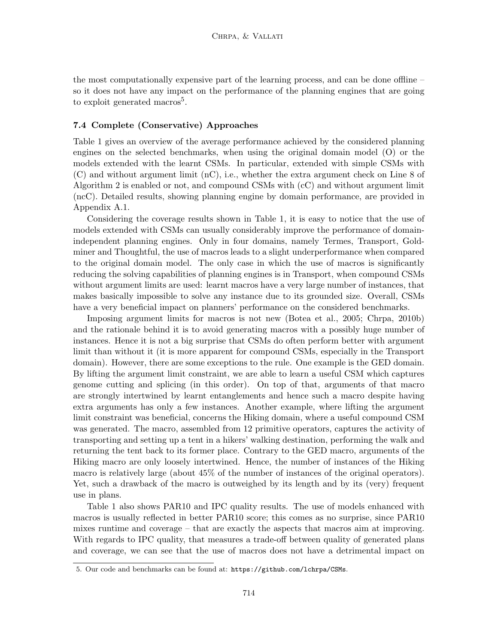the most computationally expensive part of the learning process, and can be done offline – so it does not have any impact on the performance of the planning engines that are going to exploit generated macros<sup>5</sup>.

## 7.4 Complete (Conservative) Approaches

Table 1 gives an overview of the average performance achieved by the considered planning engines on the selected benchmarks, when using the original domain model (O) or the models extended with the learnt CSMs. In particular, extended with simple CSMs with (C) and without argument limit (nC), i.e., whether the extra argument check on Line 8 of Algorithm 2 is enabled or not, and compound CSMs with (cC) and without argument limit (ncC). Detailed results, showing planning engine by domain performance, are provided in Appendix A.1.

Considering the coverage results shown in Table 1, it is easy to notice that the use of models extended with CSMs can usually considerably improve the performance of domainindependent planning engines. Only in four domains, namely Termes, Transport, Goldminer and Thoughtful, the use of macros leads to a slight underperformance when compared to the original domain model. The only case in which the use of macros is significantly reducing the solving capabilities of planning engines is in Transport, when compound CSMs without argument limits are used: learnt macros have a very large number of instances, that makes basically impossible to solve any instance due to its grounded size. Overall, CSMs have a very beneficial impact on planners' performance on the considered benchmarks.

Imposing argument limits for macros is not new (Botea et al., 2005; Chrpa, 2010b) and the rationale behind it is to avoid generating macros with a possibly huge number of instances. Hence it is not a big surprise that CSMs do often perform better with argument limit than without it (it is more apparent for compound CSMs, especially in the Transport domain). However, there are some exceptions to the rule. One example is the GED domain. By lifting the argument limit constraint, we are able to learn a useful CSM which captures genome cutting and splicing (in this order). On top of that, arguments of that macro are strongly intertwined by learnt entanglements and hence such a macro despite having extra arguments has only a few instances. Another example, where lifting the argument limit constraint was beneficial, concerns the Hiking domain, where a useful compound CSM was generated. The macro, assembled from 12 primitive operators, captures the activity of transporting and setting up a tent in a hikers' walking destination, performing the walk and returning the tent back to its former place. Contrary to the GED macro, arguments of the Hiking macro are only loosely intertwined. Hence, the number of instances of the Hiking macro is relatively large (about 45% of the number of instances of the original operators). Yet, such a drawback of the macro is outweighed by its length and by its (very) frequent use in plans.

Table 1 also shows PAR10 and IPC quality results. The use of models enhanced with macros is usually reflected in better PAR10 score; this comes as no surprise, since PAR10 mixes runtime and coverage – that are exactly the aspects that macros aim at improving. With regards to IPC quality, that measures a trade-off between quality of generated plans and coverage, we can see that the use of macros does not have a detrimental impact on

<sup>5.</sup> Our code and benchmarks can be found at: https://github.com/lchrpa/CSMs.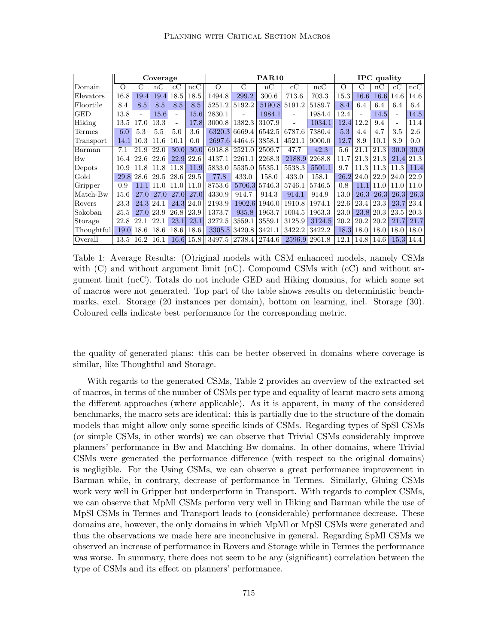|            |         |                          | Coverage    |                          |      |          |        | <b>PAR10</b> |               |               |          |                          | <b>IPC</b> quality |      |           |
|------------|---------|--------------------------|-------------|--------------------------|------|----------|--------|--------------|---------------|---------------|----------|--------------------------|--------------------|------|-----------|
| Domain     | $\circ$ | $\mathcal{C}$            | nC          | cC                       | ncC  | $\Omega$ | С      | nC           | $_{\rm cC}$   | ncC           | $\Omega$ | С                        | nC                 | cC   | ncC       |
| Elevators  | 16.8    | 19.4                     | 19.4        | 18.5                     | 18.5 | 1494.8   | 299.2  | 300.6        | 713.6         | 703.3         | 15.3     | 16.6                     | 16.6               | 14.6 | 14.6      |
| Floortile  | 8.4     | 8.5                      | 8.5         | 8.5                      | 8.5  | 5251.2   | 5192.2 |              | 5190.8 5191.2 | 5189.7        | 8.4      | 6.4                      | 6.4                | 6.4  | 6.4       |
| GED        | 13.8    | $\overline{\phantom{a}}$ | 15.6        | $\overline{\phantom{a}}$ | 15.6 | 2830.1   |        | 1984.1       |               | 1984.4        | 12.4     | $\overline{\phantom{a}}$ | 14.5               |      | 14.5      |
| Hiking     | 13.5    | 17.0                     | 13.3        | $\blacksquare$           | 17.8 | 3000.8   | 1382.3 | 3107.9       |               | 1034.1        | 12.4     | 12.2                     | 9.4                |      | 11.4      |
| Termes     | 6.0     | 5.3                      | 5.5         | 5.0                      | 3.6  | 6320.3   | 6669.4 | 6542.5       | 6787.6        | 7380.4        | 5.3      | 4.4                      | 4.7                | 3.5  | 2.6       |
| Transport  | 14.1    | 10.3                     | 11.6        | 10.1                     | 0.0  | 2697.6   | 4464.6 | 3858.1       | 4521.1        | 9000.0        | 12.7     | 8.9                      | 10.1               | 8.9  | 0.0       |
| Barman     | 7.1     | 21.9                     | 22.0        | 30.0                     | 30.0 | 6918.8   | 2521.0 | 2509.7       | 47.7          | 42.3          | 5.6      | 21.1                     | 21.3               | 30.0 | 30.0      |
| Bw         | 16.4    | 22.6                     | 22.6        | 22.9                     | 22.6 | 4137.1   | 2261.1 | 2268.3       | 2188.9        | 2268.8        | 11.7     | 21.3                     | 21.3               | 21.4 | 21.3      |
| Depots     | 10.9    | 11.8                     | 11.8        | 11.8                     | 11.9 | 5833.0   | 5535.0 | 5535.1       | 5538.3        | 5501.1        | 9.7      | 11.3                     | 11.3               | 11.3 | 11.4      |
| Gold       | 29.8    | 28.6                     | 29.5        | 28.6                     | 29.5 | 77.8     | 433.0  | 158.0        | 433.0         | 158.1         | 26.2     | 24.0                     | 22.9               | 24.0 | 22.9      |
| Gripper    | 0.9     | 11.1                     | 11.0        | 11.0                     | 11.0 | 8753.6   | 5706.3 | 5746.3       | 5746.1        | 5746.5        | 0.8      | 11.1                     | 11.0               | 11.0 | 11.0      |
| Match-Bw   | 15.6    | <b>27.0</b>              | <b>27.0</b> | <b>27.0</b>              | 27.0 | 4330.9   | 914.7  | 914.3        | 914.1         | 914.9         | 13.0     | 26.3                     | 26.3               | 26.3 | 26.3      |
| Rovers     | 23.3    | 24.3                     | 24.1        | 24.3                     | 24.0 | 2193.9   | 1902.6 | 1946.0       | 1910.8        | 1974.1        | 22.6     | 23.4                     | 23.3               | 23.7 | 23.4      |
| Sokoban    | 25.5    | <b>27.0</b>              | 23.9        | 26.8                     | 23.9 | 1373.7   | 935.8  | 1963.7       | 1004.5        | 1963.3        | 23.0     | 23.8                     | 20.3               | 23.5 | 20.3      |
| Storage    | 22.8    | 22.1                     | 22.1        | 23.1                     | 23.1 | 3272.5   | 3559.1 | 3559.1       | 3125.9        | 3124.5        | 20.2     | 20.2                     | 20.2               | 21.7 | 21.7      |
| Thoughtful | 19.0    | 18.6                     | 18.6        | 18.6                     | 18.6 | 3305.5   | 3420.8 | 3421.1       | 3422.2        | 3422.2        | 18.3     | 18.0                     | 18.0               | 18.0 | 18.0      |
| Overall    | 13.5    | 16.2                     | 16.1        | 16.6                     | 15.8 | 3497.5   | 2738.4 | 2744.6       |               | 2596.9 2961.8 | 12.1     | 14.8                     | 14.6               |      | 15.3 14.4 |

Table 1: Average Results: (O)riginal models with CSM enhanced models, namely CSMs with  $(C)$  and without argument limit  $(nC)$ . Compound CSMs with  $(cC)$  and without argument limit (ncC). Totals do not include GED and Hiking domains, for which some set of macros were not generated. Top part of the table shows results on deterministic benchmarks, excl. Storage (20 instances per domain), bottom on learning, incl. Storage (30). Coloured cells indicate best performance for the corresponding metric.

the quality of generated plans: this can be better observed in domains where coverage is similar, like Thoughtful and Storage.

With regards to the generated CSMs, Table 2 provides an overview of the extracted set of macros, in terms of the number of CSMs per type and equality of learnt macro sets among the different approaches (where applicable). As it is apparent, in many of the considered benchmarks, the macro sets are identical: this is partially due to the structure of the domain models that might allow only some specific kinds of CSMs. Regarding types of SpSl CSMs (or simple CSMs, in other words) we can observe that Trivial CSMs considerably improve planners' performance in Bw and Matching-Bw domains. In other domains, where Trivial CSMs were generated the performance difference (with respect to the original domains) is negligible. For the Using CSMs, we can observe a great performance improvement in Barman while, in contrary, decrease of performance in Termes. Similarly, Gluing CSMs work very well in Gripper but underperform in Transport. With regards to complex CSMs, we can observe that MpMl CSMs perform very well in Hiking and Barman while the use of MpSl CSMs in Termes and Transport leads to (considerable) performance decrease. These domains are, however, the only domains in which MpMl or MpSl CSMs were generated and thus the observations we made here are inconclusive in general. Regarding SpMl CSMs we observed an increase of performance in Rovers and Storage while in Termes the performance was worse. In summary, there does not seem to be any (significant) correlation between the type of CSMs and its effect on planners' performance.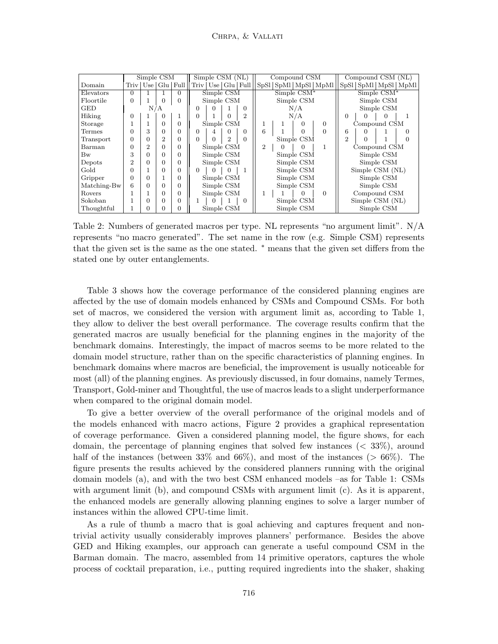|             |                | Simple CSM     |     |            |                         |   | Simple CSM (NL) |                                |                             | Compound CSM |             |                         |   | Compound CSM (NL) |             |                           |
|-------------|----------------|----------------|-----|------------|-------------------------|---|-----------------|--------------------------------|-----------------------------|--------------|-------------|-------------------------|---|-------------------|-------------|---------------------------|
| Domain      |                | Triv   Use     |     | $Glu$ Full | Triv   Use   Glu   Full |   |                 |                                |                             |              |             | SpSl SpMl   MpSl   MpMl |   |                   |             | SpSI   SpMI   MpSI   MpMI |
| Elevators   | $\Omega$       |                |     | $\Omega$   |                         |   | Simple CSM      |                                |                             |              | Simple CSM* |                         |   |                   | Simple CSM* |                           |
| Floortile   | $\Omega$       |                | 0   | $\Omega$   |                         |   | Simple CSM      |                                |                             |              | Simple CSM  |                         |   |                   | Simple CSM  |                           |
| <b>GED</b>  |                |                | N/A |            | $\Omega$                |   |                 | $\Omega$                       |                             |              | N/A         |                         |   |                   | Simple CSM  |                           |
| Hiking      | 0              |                | 0   | 1          | $\Omega$                |   | $\Omega$        | $\overline{2}$                 |                             |              | N/A         |                         | 0 |                   | 0           |                           |
| Storage     |                |                | 0   | $\Omega$   |                         |   | Simple CSM      |                                |                             |              | $\Omega$    | $\Omega$                |   | Compound CSM      |             |                           |
| Termes      | 0              | 3              | 0   | $\Omega$   | $\Omega$                |   | 0               | $\Omega$                       | 6<br>$\Omega$<br>Simple CSM |              |             |                         | 6 |                   |             | 0                         |
| Transport   | 0              | 0              | 2   | $\Omega$   | $\Omega$                |   | $\overline{2}$  | $\Omega$                       |                             |              |             | 2                       |   |                   |             |                           |
| Barman      | 0              | $\overline{2}$ | 0   | $\Omega$   |                         |   | Simple CSM      | $\overline{2}$<br>$\mathbf{0}$ |                             |              |             |                         |   | Compound CSM      |             |                           |
| Bw          | 3              | 0              | 0   | $\Omega$   |                         |   | Simple CSM      |                                |                             |              | Simple CSM  |                         |   |                   | Simple CSM  |                           |
| Depots      | $\overline{2}$ | $\Omega$       | 0   | $\Omega$   |                         |   | Simple CSM      |                                |                             |              | Simple CSM  |                         |   |                   | Simple CSM  |                           |
| Gold        | 0              |                | 0   | $\Omega$   | $\Omega$                | 0 | $\overline{0}$  |                                |                             |              | Simple CSM  |                         |   | Simple CSM (NL)   |             |                           |
| Gripper     | 0              | $\Omega$       |     | $\Omega$   |                         |   | Simple CSM      |                                |                             |              | Simple CSM  |                         |   |                   | Simple CSM  |                           |
| Matching-Bw | 6              | $\Omega$       | 0   | $\Omega$   |                         |   | Simple CSM      |                                |                             |              | Simple CSM  |                         |   |                   | Simple CSM  |                           |
| Rovers      |                |                | 0   | $\Omega$   |                         |   | Simple CSM      |                                |                             |              | $\Omega$    | $\Omega$                |   | Compound CSM      |             |                           |
| Sokoban     |                | $\Omega$       | 0   | $\Omega$   |                         |   |                 | $\Omega$                       |                             |              | Simple CSM  |                         |   | Simple CSM (NL)   |             |                           |
| Thoughtful  |                | $\Omega$       | 0   | $\Omega$   |                         |   | Simple CSM      |                                |                             |              | Simple CSM  |                         |   |                   | Simple CSM  |                           |

Table 2: Numbers of generated macros per type. NL represents "no argument limit". N/A represents "no macro generated". The set name in the row (e.g. Simple CSM) represents that the given set is the same as the one stated. <sup>∗</sup> means that the given set differs from the stated one by outer entanglements.

Table 3 shows how the coverage performance of the considered planning engines are affected by the use of domain models enhanced by CSMs and Compound CSMs. For both set of macros, we considered the version with argument limit as, according to Table 1, they allow to deliver the best overall performance. The coverage results confirm that the generated macros are usually beneficial for the planning engines in the majority of the benchmark domains. Interestingly, the impact of macros seems to be more related to the domain model structure, rather than on the specific characteristics of planning engines. In benchmark domains where macros are beneficial, the improvement is usually noticeable for most (all) of the planning engines. As previously discussed, in four domains, namely Termes, Transport, Gold-miner and Thoughtful, the use of macros leads to a slight underperformance when compared to the original domain model.

To give a better overview of the overall performance of the original models and of the models enhanced with macro actions, Figure 2 provides a graphical representation of coverage performance. Given a considered planning model, the figure shows, for each domain, the percentage of planning engines that solved few instances  $( $33\%$ ), around$ half of the instances (between  $33\%$  and  $66\%$ ), and most of the instances ( $> 66\%$ ). The figure presents the results achieved by the considered planners running with the original domain models (a), and with the two best CSM enhanced models –as for Table 1: CSMs with argument limit (b), and compound CSMs with argument limit (c). As it is apparent, the enhanced models are generally allowing planning engines to solve a larger number of instances within the allowed CPU-time limit.

As a rule of thumb a macro that is goal achieving and captures frequent and nontrivial activity usually considerably improves planners' performance. Besides the above GED and Hiking examples, our approach can generate a useful compound CSM in the Barman domain. The macro, assembled from 14 primitive operators, captures the whole process of cocktail preparation, i.e., putting required ingredients into the shaker, shaking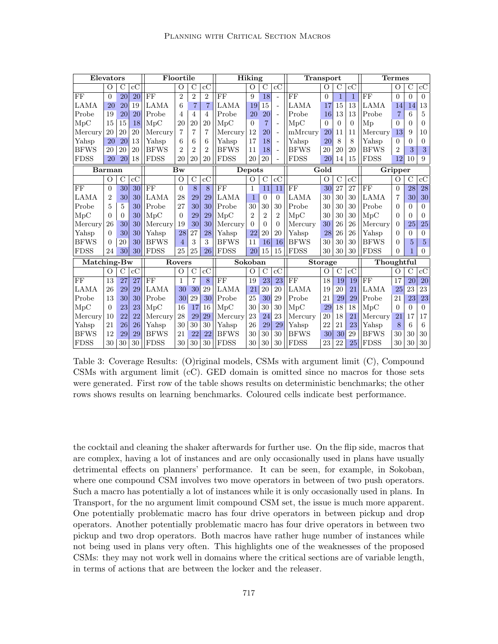| Elevators   |                |                 |                 | Floortile   |                |                |                |             | Hiking         |                 |                        | <b>Transport</b> |                |              |              |             | <b>Termes</b>  |               |                |
|-------------|----------------|-----------------|-----------------|-------------|----------------|----------------|----------------|-------------|----------------|-----------------|------------------------|------------------|----------------|--------------|--------------|-------------|----------------|---------------|----------------|
|             | $\Omega$       | $\rm C$         | $_{\rm cC}$     |             | O              | С              | $_{\rm cC}$    |             | O              | $\mathcal{C}$   | $_{\rm cC}$            |                  | O              | $\rm C$      | $_{\rm cC}$  |             | О              | $\mathcal{C}$ | cC             |
| FF          | $\Omega$       | $\overline{20}$ | 20              | FF          | $\overline{2}$ | $\overline{2}$ | $\overline{2}$ | FF          | 9              | $\overline{18}$ |                        | FF               | $\theta$       | $\mathbf{1}$ | $\mathbf{1}$ | FF          | $\overline{0}$ | $\theta$      | $\Omega$       |
| LAMA        | 20             | 20              | 19              | LAMA        | 6              | $\overline{7}$ | $\overline{7}$ | <b>LAMA</b> | 19             | 15              |                        | <b>LAMA</b>      | 17             | 15           | 13           | <b>LAMA</b> | 14             | 14            | 13             |
| Probe       | 19             | 20              | 20              | Probe       | $\overline{4}$ | 4              | $\overline{4}$ | Probe       | 20             | 20              |                        | Probe            | 16             | 13           | 13           | Probe       | $\overline{7}$ | 6             | 5              |
| MpC         | 15             | 15              | 18              | MpC         | 20             | 20             | 20             | MpC         | $\Omega$       | $\overline{7}$  |                        | MpC              | $\Omega$       | $\Omega$     | $\Omega$     | Mp          | $\Omega$       | 0             | $\Omega$       |
| Mercury     | 20             | 20              | 20              | Mercury     | 7              | $\overline{7}$ | 7              | Mercury     | 12             | 20              |                        | mMrcury          | 20             | 11           | 11           | Mercury     | 13             | 9             | 10             |
| Yahsp       | 20             | 20              | 13              | Yahsp       | 6              | 6              | 6              | Yahsp       | 17             | 18              | ÷.                     | Yahsp            | 20             | 8            | 8            | Yahsp       | $\Omega$       | 0             | $\theta$       |
| <b>BFWS</b> | 20             | 20              | 20              | <b>BFWS</b> | $\mathfrak{D}$ | $\overline{2}$ | $\overline{2}$ | <b>BFWS</b> | 11             | 18              |                        | <b>BFWS</b>      | 20             | 20           | 20           | <b>BFWS</b> | $\overline{2}$ | 3             | 3              |
| <b>FDSS</b> | 20             | 20              | 18              | <b>FDSS</b> | 20             | 20             | 20             | <b>FDSS</b> | 20             | 20              |                        | <b>FDSS</b>      | 20             | 14           | 15           | <b>FDSS</b> | 12             | 10            | 9              |
|             | <b>Barman</b>  |                 |                 |             | Bw             |                |                |             | Depots         |                 |                        |                  | Gold           |              |              |             | Gripper        |               |                |
|             | $\Omega$       | $\rm C$         | $\rm{cC}$       |             | O              | $\overline{C}$ | cC             |             | О              | $\rm C$         | $\overline{\text{cC}}$ |                  | О              | $\rm C$      | cC           |             | О              | $\mathcal{C}$ | cC             |
| FF          | $\Omega$       | 30              | 30              | FF          | $\Omega$       | 8              | 8              | FF          | 1              | 11              | 11                     | FF               | 30             | 27           | 27           | FF          | $\overline{0}$ | 28            | 28             |
| <b>LAMA</b> | $\mathfrak{D}$ | 30              | 30              | LAMA        | 28             | 29             | 29             | LAMA        | 1              | $\overline{0}$  | $\Omega$               | <b>LAMA</b>      | 30             | 30           | 30           | LAMA        | $\overline{7}$ | 30            | 30             |
| Probe       | 5              | 5               | 30              | Probe       | 27             | 30             | 30             | Probe       | 30             | 30              | 30                     | Probe            | 30             | 30           | 30           | Probe       | 0              | 0             | $\Omega$       |
| MpC         | $\Omega$       | $\Omega$        | 30              | MpC         | $\Omega$       | 29             | 29             | $\rm MpC$   | $\overline{2}$ | $\overline{2}$  | $\overline{2}$         | MpC              | 30             | 30           | 30           | MpC         | $\Omega$       | $\Omega$      | $\Omega$       |
| Mercury     | 26             | 30              | 30              | Mercury     | 19             | 30             | 30             | Mercury     | $\Omega$       | $\Omega$        | $\Omega$               | Mercury          | 30             | 26           | 26           | Mercury     | 0              | 25            | 25             |
| Yahsp       | $\Omega$       | 30              | 30              | Yahsp       | 28             | 27             | 28             | Yahsp       | 22             | 20              | 20                     | Yahsp            | 28             | 26           | 26           | Yahsp       | $\Omega$       | 0             | $\Omega$       |
| <b>BFWS</b> | $\Omega$       | 20              | 30              | <b>BFWS</b> | $\overline{4}$ | 3              | 3              | <b>BFWS</b> | 11             | 16              | 16                     | <b>BFWS</b>      | 30             | 30           | 30           | <b>BFWS</b> | $\Omega$       | 5             | $\overline{5}$ |
| <b>FDSS</b> | 24             | 30              | 30 <sup>l</sup> | <b>FDSS</b> | 25             | 25             | 26             | <b>FDSS</b> | 20             | 15              | 15                     | <b>FDSS</b>      | 30             | 30           | 30           | <b>FDSS</b> | 0              |               | $\Omega$       |
| Matching-Bw |                |                 |                 |             | Rovers         |                |                |             | Sokoban        |                 |                        |                  | <b>Storage</b> |              |              | Thoughtful  |                |               |                |
|             | $\Omega$       | С               | $\rm{cC}$       |             | $\Omega$       | $\mathcal{C}$  | $\rm{c}C$      |             | O              | C               | $_{\rm cC}$            |                  | O              | $\rm C$      | $_{\rm cC}$  |             | O              | С             | $_{\rm cC}$    |
| FF          | 13             | 27              | 27              | FF          | 1              | 7              | 8              | FF          | 19             | 23              | 23                     | FF               | 18             | 19           | 19           | FF          | 17             | 20            | 20             |
| LAMA        | 26             | 29              | 29              | LAMA        | 30             | 30             | 29             | <b>LAMA</b> | 21             | 20              | 20                     | LAMA             | 19             | 20           | 21           | <b>LAMA</b> | 25             | 23            | 23             |
| Probe       | 13             | 30              | 30              | Probe       | 30             | 29             | 30             | Probe       | 25             | 30              | 29                     | Probe            | 21             | 29           | 29           | Probe       | 21             | 23            | 23             |
| MpC         | $\Omega$       | 23              | 23              | MpC         | 16             | 17             | 16             | MpC         | 30             | 30              | 30                     | MpC              | 29             | 18           | 18           | MpC         | $\Omega$       | $\Omega$      | $\Omega$       |
| Mercury     | 10             | 22              | 22              | Mercury     | 28             | 29             | 29             | Mercury     | 23             | 24              | 23                     | Mercury          | 20             | 18           | 21           | Mercury     | 21             | 17            | 17             |
| Yahsp       | 21             | 26              | 26              | Yahsp       | 30             | 30             | 30             | Yahsp       | 26             | 29              | 29                     | Yahsp            | 22             | 21           | 23           | Yahsp       | 8              | 6             | 6              |
| <b>BFWS</b> | 12             | 29              | 29              | <b>BFWS</b> | 21             | 22             | 22             | <b>BFWS</b> | 30             | 30              | 30                     | <b>BFWS</b>      | 30             | 30           | 29           | <b>BFWS</b> | 30             | 30            | 30             |
| <b>FDSS</b> | 30             | 30              | 30              | <b>FDSS</b> | 30             | 30             | 30             | FDSS        | 30             | 30              | 30                     | <b>FDSS</b>      | 23             | 22           | 25           | <b>FDSS</b> | 30             | 30            | $30\,$         |

Table 3: Coverage Results: (O)riginal models, CSMs with argument limit (C), Compound CSMs with argument limit (cC). GED domain is omitted since no macros for those sets were generated. First row of the table shows results on deterministic benchmarks; the other rows shows results on learning benchmarks. Coloured cells indicate best performance.

the cocktail and cleaning the shaker afterwards for further use. On the flip side, macros that are complex, having a lot of instances and are only occasionally used in plans have usually detrimental effects on planners' performance. It can be seen, for example, in Sokoban, where one compound CSM involves two move operators in between of two push operators. Such a macro has potentially a lot of instances while it is only occasionally used in plans. In Transport, for the no argument limit compound CSM set, the issue is much more apparent. One potentially problematic macro has four drive operators in between pickup and drop operators. Another potentially problematic macro has four drive operators in between two pickup and two drop operators. Both macros have rather huge number of instances while not being used in plans very often. This highlights one of the weaknesses of the proposed CSMs: they may not work well in domains where the critical sections are of variable length, in terms of actions that are between the locker and the releaser.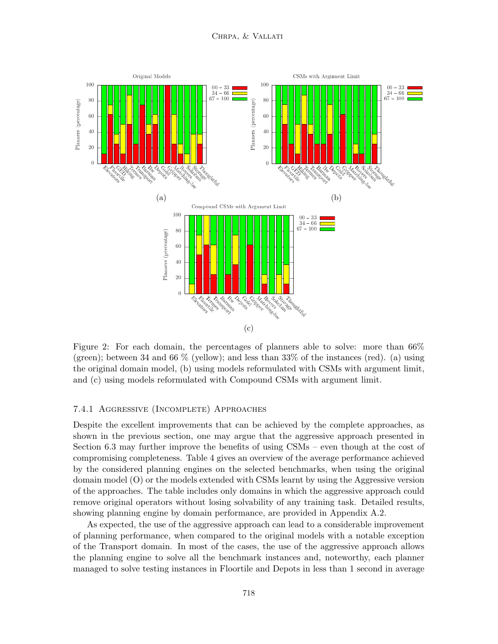

Figure 2: For each domain, the percentages of planners able to solve: more than  $66\%$ (green); between 34 and 66  $\%$  (yellow); and less than 33% of the instances (red). (a) using the original domain model, (b) using models reformulated with CSMs with argument limit, and (c) using models reformulated with Compound CSMs with argument limit.

#### 7.4.1 Aggressive (Incomplete) Approaches

Despite the excellent improvements that can be achieved by the complete approaches, as shown in the previous section, one may argue that the aggressive approach presented in Section 6.3 may further improve the benefits of using CSMs – even though at the cost of compromising completeness. Table 4 gives an overview of the average performance achieved by the considered planning engines on the selected benchmarks, when using the original domain model (O) or the models extended with CSMs learnt by using the Aggressive version of the approaches. The table includes only domains in which the aggressive approach could remove original operators without losing solvability of any training task. Detailed results, showing planning engine by domain performance, are provided in Appendix A.2.

As expected, the use of the aggressive approach can lead to a considerable improvement of planning performance, when compared to the original models with a notable exception of the Transport domain. In most of the cases, the use of the aggressive approach allows the planning engine to solve all the benchmark instances and, noteworthy, each planner managed to solve testing instances in Floortile and Depots in less than 1 second in average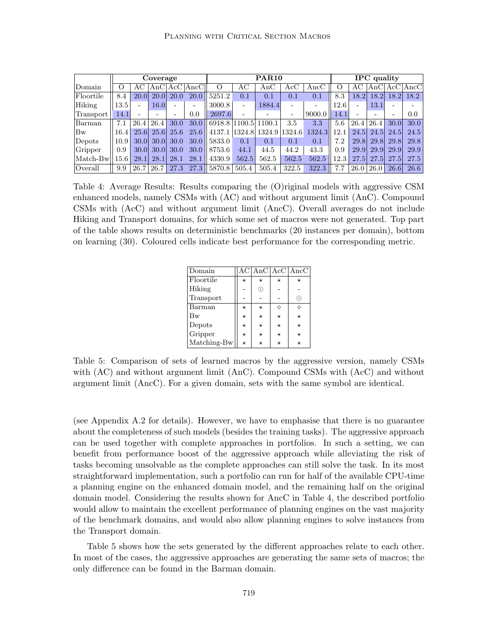|                  |                  |      | Coverage          |             |              |                      |       | <b>PAR10</b>  |                          |             |      |                          | <b>IPC</b> quality |                          |                                       |
|------------------|------------------|------|-------------------|-------------|--------------|----------------------|-------|---------------|--------------------------|-------------|------|--------------------------|--------------------|--------------------------|---------------------------------------|
| Domain           | $\left( \right)$ |      |                   |             | AnC Acc AncC | O                    | AС    | AnC           | $\rm{AcC}$               | $\rm{AncC}$ |      | AC                       |                    |                          | $ {\rm AnC} $ ${\rm Acc} {\rm AncC} $ |
| Floortile        | 8.4              | 20.0 | 20.0              | <b>20.0</b> | 20.0         | 5251.2               | 0.1   | 0.1           | 0.1                      | 0.1         | 8.3  | 18.2 <sup>°</sup>        | 18.2               | <b>18.2</b>              | 18.2                                  |
| Hiking           | $13.5\,$         |      | 16.0              |             |              | 3000.8               | ۰     | 1884.4        | $\overline{\phantom{a}}$ |             | 12.6 |                          | 13.1               |                          |                                       |
| Transport        | 14.1             |      |                   |             | 0.0          | 2697.6               |       |               | $\overline{\phantom{a}}$ | 9000.0      | 14.1 | $\overline{\phantom{0}}$ | -                  | $\overline{\phantom{0}}$ | 0.0                                   |
| Barman           | 7.1              | 26.4 | 26.4              | 30.0        | 30.0         | 6918.8 1100.5 1100.1 |       |               | 3.5                      | 3.3         | 5.6  | 26.4                     | 26.4               | 30.0                     | 30.0                                  |
| Bw               | 16.4             | 25.6 | 25.6              | 25.6        | 25.6         | 4137.1               |       | 1324.8 1324.9 | 1324.6                   | 1324.3      | 12.1 | 24.5                     | <b>24.5</b>        | 24.5                     | 24.5                                  |
| Depots           | 10.9             | 30.0 | 30.0 <sup>°</sup> | 30.0        | 30.0         | 5833.0               | 0.1   | 0.1           | 0.1                      | 0.1         | 7.2  | 29.8                     | <b>29.8</b>        | <b>29.8</b>              | 29.8                                  |
| Gripper          | 0.9              | 30.0 | 30.0              | 30.0        | 30.0         | 8753.6               | 44.1  | 44.5          | 44.2                     | 43.3        | 0.9  | <b>29.9</b>              | 29.9               | <b>29.9</b>              | 29.9                                  |
| $\rm [Match-Bw]$ | 15.6             | 28.1 | 28.1              | 28.1        | 28.1         | 4330.9               | 562.5 | 562.5         | 562.5                    | 562.5       | 12.3 | <b>27.5</b>              | <b>27.5</b>        | <b>27.5</b>              | 27.5                                  |
| Overall          | 9.9              | 26.7 | 26.7              | <b>27.3</b> | 27.3         | 5870.8               | 505.4 | 505.4         | 322.5                    | 322.3       | 7.7  | 26.0                     | 26.0               | <b>26.6</b>              | 26.6                                  |

Table 4: Average Results: Results comparing the (O)riginal models with aggressive CSM enhanced models, namely CSMs with (AC) and without argument limit (AnC). Compound CSMs with (AcC) and without argument limit (AncC). Overall averages do not include Hiking and Transport domains, for which some set of macros were not generated. Top part of the table shows results on deterministic benchmarks (20 instances per domain), bottom on learning (30). Coloured cells indicate best performance for the corresponding metric.

| Domain      |          |          |          | AC AnC AcC AncC |
|-------------|----------|----------|----------|-----------------|
| Floortile   | $^\star$ | $^\star$ | $^\star$ |                 |
| Hiking      |          | $\odot$  |          |                 |
| Transport   |          |          |          | $(\bm{\cdot})$  |
| Barman      | $^\star$ | $^\star$ | ♦        |                 |
| Bw          | $^\star$ | $\star$  | $^\star$ |                 |
| Depots      | $^\star$ | $\star$  | $^\star$ | $\star$         |
| Gripper     | $^\star$ | $^\star$ | $^\star$ | $^\star$        |
| Matching-Bw | $^\star$ | $^\star$ | $^\star$ | $^\star$        |

Table 5: Comparison of sets of learned macros by the aggressive version, namely CSMs with (AC) and without argument limit (AnC). Compound CSMs with (AcC) and without argument limit (AncC). For a given domain, sets with the same symbol are identical.

(see Appendix A.2 for details). However, we have to emphasise that there is no guarantee about the completeness of such models (besides the training tasks). The aggressive approach can be used together with complete approaches in portfolios. In such a setting, we can benefit from performance boost of the aggressive approach while alleviating the risk of tasks becoming unsolvable as the complete approaches can still solve the task. In its most straightforward implementation, such a portfolio can run for half of the available CPU-time a planning engine on the enhanced domain model, and the remaining half on the original domain model. Considering the results shown for AncC in Table 4, the described portfolio would allow to maintain the excellent performance of planning engines on the vast majority of the benchmark domains, and would also allow planning engines to solve instances from the Transport domain.

Table 5 shows how the sets generated by the different approaches relate to each other. In most of the cases, the aggressive approaches are generating the same sets of macros; the only difference can be found in the Barman domain.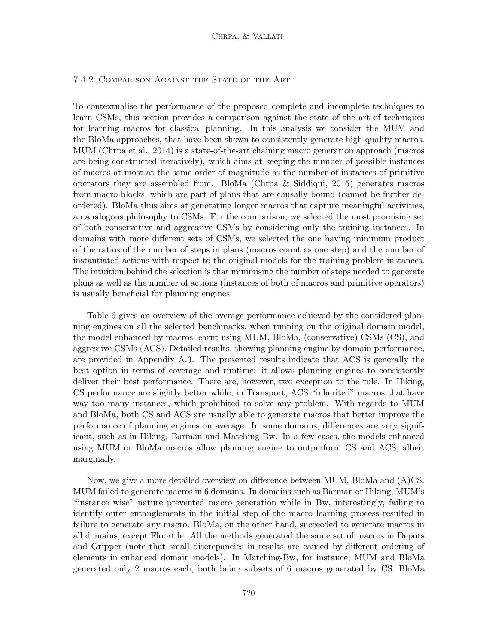## 7.4.2 Comparison Against the State of the Art

To contextualise the performance of the proposed complete and incomplete techniques to learn CSMs, this section provides a comparison against the state of the art of techniques for learning macros for classical planning. In this analysis we consider the MUM and the BloMa approaches, that have been shown to consistently generate high quality macros. MUM (Chrpa et al., 2014) is a state-of-the-art chaining macro generation approach (macros are being constructed iteratively), which aims at keeping the number of possible instances of macros at most at the same order of magnitude as the number of instances of primitive operators they are assembled from. BloMa (Chrpa & Siddiqui, 2015) generates macros from macro-blocks, which are part of plans that are causally bound (cannot be further deordered). BloMa thus aims at generating longer macros that capture meaningful activities, an analogous philosophy to CSMs. For the comparison, we selected the most promising set of both conservative and aggressive CSMs by considering only the training instances. In domains with more different sets of CSMs, we selected the one having minimum product of the ratios of the number of steps in plans (macros count as one step) and the number of instantiated actions with respect to the original models for the training problem instances. The intuition behind the selection is that minimising the number of steps needed to generate plans as well as the number of actions (instances of both of macros and primitive operators) is usually beneficial for planning engines.

Table 6 gives an overview of the average performance achieved by the considered planning engines on all the selected benchmarks, when running on the original domain model, the model enhanced by macros learnt using MUM, BloMa, (conservative) CSMs (CS), and aggressive CSMs (ACS). Detailed results, showing planning engine by domain performance, are provided in Appendix A.3. The presented results indicate that ACS is generally the best option in terms of coverage and runtime: it allows planning engines to consistently deliver their best performance. There are, however, two exception to the rule. In Hiking, CS performance are slightly better while, in Transport, ACS "inherited" macros that have way too many instances, which prohibited to solve any problem. With regards to MUM and BloMa, both CS and ACS are usually able to generate macros that better improve the performance of planning engines on average. In some domains, differences are very significant, such as in Hiking, Barman and Matching-Bw. In a few cases, the models enhanced using MUM or BloMa macros allow planning engine to outperform CS and ACS, albeit marginally.

Now, we give a more detailed overview on difference between MUM, BloMa and (A)CS. MUM failed to generate macros in 6 domains. In domains such as Barman or Hiking, MUM's "instance wise" nature prevented macro generation while in Bw, interestingly, failing to identify outer entanglements in the initial step of the macro learning process resulted in failure to generate any macro. BloMa, on the other hand, succeeded to generate macros in all domains, except Floortile. All the methods generated the same set of macros in Depots and Gripper (note that small discrepancies in results are caused by different ordering of elements in enhanced domain models). In Matching-Bw, for instance, MUM and BloMa generated only 2 macros each, both being subsets of 6 macros generated by CS. BloMa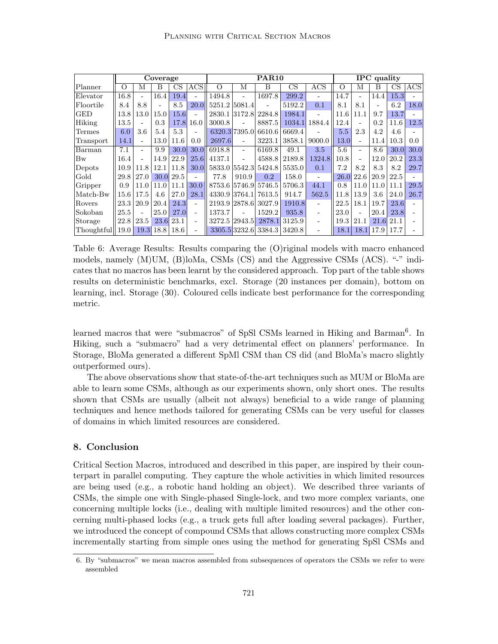|                     |                   |      | Coverage |      |                          |                      |                          | <b>PAR10</b>         |        |            |          |                          | <b>IPC</b> quality |      |            |
|---------------------|-------------------|------|----------|------|--------------------------|----------------------|--------------------------|----------------------|--------|------------|----------|--------------------------|--------------------|------|------------|
| Planner             | $\Omega$          | М    | В        | CS   | <b>ACS</b>               | O                    | М                        | B                    | CS     | <b>ACS</b> | $\Omega$ | М                        | В                  | CS   | <b>ACS</b> |
| Elevator            | 16.8              |      | 16.4     | 19.4 | $\blacksquare$           | 1494.8               | ÷                        | 1697.8               | 299.2  | ٠          | 14.7     |                          | 14.4               | 15.3 |            |
| $ {\rm Floortile} $ | 8.4               | 8.8  |          | 8.5  | 20.0                     | 5251.2 5081.4        |                          |                      | 5192.2 | 0.1        | 8.1      | 8.1                      |                    | 6.2  | 18.0       |
| IGED                | 13.8              | 13.0 | 15.0     | 15.6 | $\overline{\phantom{a}}$ | 2830.1 3172.8        |                          | 2284.8               | 1984.1 |            | 11.6     | 11.1                     | 9.7                | 13.7 |            |
| Hiking              | 13.5              |      | 0.3      | 17.8 | 16.0                     | 3000.8               |                          | 8887.5               | 1034.1 | 1884.4     | 12.4     |                          | 0.2                | 11.6 | 12.5       |
| Termes              | 6.0               | 3.6  | 5.4      | 5.3  | $\overline{\phantom{0}}$ |                      |                          | 6320.3 7395.0 6610.6 | 6669.4 |            | 5.5      | 2.3                      | 4.2                | 4.6  |            |
| Transport           | 14.1              |      | 13.0     | 11.6 | 0.0                      | 2697.6               | $\overline{\phantom{a}}$ | 3223.1               | 3858.1 | 9000.0     | 13.0     | $\overline{\phantom{0}}$ | 11.4               | 10.3 | 0.0        |
| Barman              | 7.1               |      | 9.9      | 30.0 | 30.0                     | 6918.8               | $\equiv$                 | 6169.8               | 49.1   | 3.5        | 5.6      |                          | 8.6                | 30.0 | 30.0       |
| Bw                  | 16.4              |      | 14.9     | 22.9 | 25.6                     | 4137.1               | $\sim$                   | 4588.8               | 2189.8 | 1324.8     | 10.8     |                          | 12.0               | 20.2 | 23.3       |
| Depots              | 10.9              | 11.8 | 12.1     | 11.8 | 30.0                     | 5833.0 5542.3 5424.8 |                          |                      | 5535.0 | 0.1        | 7.2      | 8.2                      | 8.3                | 8.2  | 29.7       |
| Gold                | 29.8              | 27.0 | 30.0     | 29.5 | ÷.                       | 77.8                 | 910.9                    | 0.2                  | 158.0  | $\equiv$   | 26.0     | 22.6                     | 20.9               | 22.5 |            |
| Gripper             | 0.9               | 11.0 | 11.0     | 11.1 | 30.0                     |                      |                          | 8753.6 5746.9 5746.5 | 5706.3 | 44.1       | 0.8      | 11.0                     | 11.0               | 11.1 | 29.5       |
| Match-Bw            | 15.6 <sup>°</sup> | 17.5 | 4.6      | 27.0 | 28.1                     |                      |                          | 4330.9 3764.1 7613.5 | 914.7  | 562.5      | 11.8     | 13.9                     | 3.6                | 24.0 | 26.7       |
| Rovers              | 23.3              | 20.9 | 20.4     | 24.3 | $\overline{\phantom{a}}$ |                      |                          | 2193.9 2878.6 3027.9 | 1910.8 |            | 22.5     | 18.1                     | 19.7               | 23.6 |            |
| Sokoban             | 25.5              |      | 25.0     | 27.0 | $\overline{\phantom{0}}$ | 1373.7               |                          | 1529.2               | 935.8  | ۰          | 23.0     |                          | 20.4               | 23.8 |            |
| Storage             | 22.8              | 23.5 | 23.6     | 23.1 | $\overline{\phantom{0}}$ | 3272.5 2943.5        |                          | 2878.1               | 3125.9 | ۰          | 19.3     | 21.1                     | 21.6               | 21.1 |            |
| Thoughtful          | 19.0              | 19.3 | 18.8     | 18.6 | $\overline{\phantom{0}}$ |                      |                          | 3305.5 3232.6 3384.3 | 3420.8 | ۰          | 18.1     | 18.1                     | 17.9               | 17.7 |            |

Table 6: Average Results: Results comparing the (O)riginal models with macro enhanced models, namely (M)UM, (B)loMa, CSMs (CS) and the Aggressive CSMs (ACS). "-" indicates that no macros has been learnt by the considered approach. Top part of the table shows results on deterministic benchmarks, excl. Storage (20 instances per domain), bottom on learning, incl. Storage (30). Coloured cells indicate best performance for the corresponding metric.

learned macros that were "submacros" of SpSl CSMs learned in Hiking and Barman<sup>6</sup>. In Hiking, such a "submacro" had a very detrimental effect on planners' performance. In Storage, BloMa generated a different SpMl CSM than CS did (and BloMa's macro slightly outperformed ours).

The above observations show that state-of-the-art techniques such as MUM or BloMa are able to learn some CSMs, although as our experiments shown, only short ones. The results shown that CSMs are usually (albeit not always) beneficial to a wide range of planning techniques and hence methods tailored for generating CSMs can be very useful for classes of domains in which limited resources are considered.

## 8. Conclusion

Critical Section Macros, introduced and described in this paper, are inspired by their counterpart in parallel computing. They capture the whole activities in which limited resources are being used (e.g., a robotic hand holding an object). We described three variants of CSMs, the simple one with Single-phased Single-lock, and two more complex variants, one concerning multiple locks (i.e., dealing with multiple limited resources) and the other concerning multi-phased locks (e.g., a truck gets full after loading several packages). Further, we introduced the concept of compound CSMs that allows constructing more complex CSMs incrementally starting from simple ones using the method for generating SpSl CSMs and

<sup>6.</sup> By "submacros" we mean macros assembled from subsequences of operators the CSMs we refer to were assembled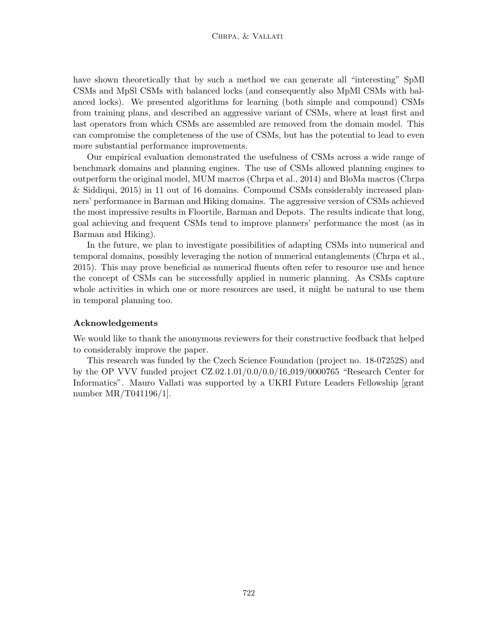have shown theoretically that by such a method we can generate all "interesting" SpMl CSMs and MpSl CSMs with balanced locks (and consequently also MpMl CSMs with balanced locks). We presented algorithms for learning (both simple and compound) CSMs from training plans, and described an aggressive variant of CSMs, where at least first and last operators from which CSMs are assembled are removed from the domain model. This can compromise the completeness of the use of CSMs, but has the potential to lead to even more substantial performance improvements.

Our empirical evaluation demonstrated the usefulness of CSMs across a wide range of benchmark domains and planning engines. The use of CSMs allowed planning engines to outperform the original model, MUM macros (Chrpa et al., 2014) and BloMa macros (Chrpa & Siddiqui, 2015) in 11 out of 16 domains. Compound CSMs considerably increased planners' performance in Barman and Hiking domains. The aggressive version of CSMs achieved the most impressive results in Floortile, Barman and Depots. The results indicate that long, goal achieving and frequent CSMs tend to improve planners' performance the most (as in Barman and Hiking).

In the future, we plan to investigate possibilities of adapting CSMs into numerical and temporal domains, possibly leveraging the notion of numerical entanglements (Chrpa et al., 2015). This may prove beneficial as numerical fluents often refer to resource use and hence the concept of CSMs can be successfully applied in numeric planning. As CSMs capture whole activities in which one or more resources are used, it might be natural to use them in temporal planning too.

#### Acknowledgements

We would like to thank the anonymous reviewers for their constructive feedback that helped to considerably improve the paper.

This research was funded by the Czech Science Foundation (project no. 18-07252S) and by the OP VVV funded project CZ.02.1.01/0.0/0.0/16 019/0000765 "Research Center for Informatics". Mauro Vallati was supported by a UKRI Future Leaders Fellowship [grant number MR/T041196/1].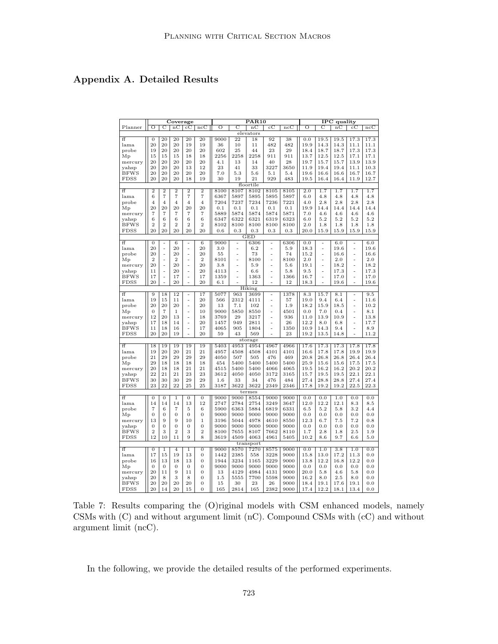## Appendix A. Detailed Results

| C<br>O<br>С<br>Ο<br>nC<br>$_{\rm cC}$<br>Ο<br>C<br>ncC<br>Planner<br>$_{\rm nC}$<br>$_{\rm cC}$<br>ncC<br>ncC<br>$_{\rm nc}$<br>$_{\rm cC}$<br>elevators<br>开<br>$\overline{0}$<br>20<br>20<br>20<br>20<br>9000<br>$\overline{22}$<br>18<br>92<br>38<br>0.0<br>19.5<br>19.5<br>17.3<br>17.3<br>20<br>20<br>482<br>482<br>20<br>19<br>19<br>36<br>10<br>19.9<br>14.3<br>14.3<br>11.1<br>lama<br>11<br>11.1<br>20<br>20<br>20<br>20<br>602<br>23<br>29<br>18.7<br>probe<br>19<br>25<br>44<br>18.4<br>18.7<br>17.3<br>17.3<br>15<br>18<br>2256<br>2258<br>2258<br>911<br>911<br>13.7<br>12.5<br>12.5<br>17.1<br>$M_{p}$<br>15<br>15<br>18<br>17.1<br>20<br>20<br>20<br>20<br>28<br>19.7<br>15.7<br>13.9<br>13.9<br>20<br>4.1<br>13<br>14<br>40<br>15.7<br>mercury<br>20<br>20<br>33<br>3227<br>3650<br>20<br>13<br>12<br>23<br>41<br>11.9<br>19.4<br>19.4<br>11.1<br>10.3<br>yahsp<br><b>BFWS</b><br>20<br>20<br>20<br>20<br>20<br>7.0<br>5.3<br>5.6<br>5.1<br>5.4<br>19.6<br>16.6<br>16.6<br>16.7<br>16.7<br><b>FDSS</b><br>20<br>20<br>20<br>18<br>19<br>30<br>19<br>21<br>929<br>483<br>19.5<br>16.4<br>16.4<br>11.9<br>12.7<br>floortile<br>ff<br>$\overline{2}$<br>$\overline{2}$<br>$\overline{2}$<br>$\overline{2}$<br>$\overline{2}$<br>8100<br>8107<br>8102<br>8105<br>2.0<br>1.7<br>1.7<br>1.7<br>1.7<br>8105<br>$\overline{7}$<br>6<br>$\overline{7}$<br>$\overline{7}$<br>7<br>6367<br>5897<br>5895<br>5895<br>5897<br>6.0<br>4.8<br>lama<br>4.8<br>4.8<br>4.8<br>7204<br>7236<br>7221<br>2.8<br>2.8<br>2.8<br>2.8<br>7237<br>7234<br>probe<br>$\overline{4}$<br>$\overline{4}$<br>$\overline{4}$<br>$\overline{4}$<br>$\overline{4}$<br>4.0<br>20<br>20<br>20<br>20<br>20<br>0.1<br>0.1<br>0.1<br>0.1<br>0.1<br>19.9<br>14.4<br>14.4<br>14.4<br>14.4<br>Mp<br>$\overline{7}$<br>$\overline{7}$<br>$\overline{7}$<br>$\overline{7}$<br>7<br>5889<br>5874<br>5874<br>5874<br>5871<br>7.0<br>4.6<br>4.6<br>4.6<br>4.6<br>mercury<br>6<br>6<br>6<br>6<br>6<br>6347<br>6322<br>6321<br>6319<br>6323<br>$6.0\,$<br>5.2<br>$5.2\,$<br>5.2<br>$5.2\,$<br>yahsp<br>$\overline{2}$<br>$\overline{2}$<br>$\overline{2}$<br>$\overline{2}$<br>$\overline{2}$<br><b>BFWS</b><br>8102<br>8100<br>8100<br>8100<br>8100<br>2.0<br>1.8<br>1.8<br>1.8<br>1.8<br>20<br>20<br><b>FDSS</b><br>20<br>20<br>20<br>0.3<br>0.3<br>0.3<br>0.3<br>20.0<br>15.9<br>15.9<br>15.9<br>15.9<br>0.6<br><b>GED</b><br>$\overline{f}$<br>6306<br>6306<br>0.0<br>6.0<br>$\overline{0}$<br>$6\phantom{1}6$<br>$\overline{6}$<br>9000<br>6.0<br>÷<br>$\overline{a}$<br>-<br>20<br>20<br>20<br>3.0<br>6.2<br>5.9<br>18.3<br>19.6<br>19.6<br>lama<br>÷,<br>$\blacksquare$<br>$\overline{a}$<br>÷,<br>L,<br>L,<br>20<br>probe<br>20<br>20<br>55<br>73<br>74<br>15.2<br>16.6<br>16.6<br>÷,<br>÷,<br>$\overline{a}$<br>$\overline{a}$<br>L,<br>ä,<br>$\overline{2}$<br>$\overline{2}$<br>$\overline{2}$<br>8101<br>8100<br>8100<br>2.0<br>2.0<br>2.0<br>Mp<br>$\overline{a}$<br>$\overline{a}$<br>$\overline{a}$<br>$\overline{a}$<br>L,<br>L,<br>20<br>20<br>20<br>18.2<br>3.8<br>5.9<br>5.6<br>19.1<br>18.2<br>mercury<br>$\overline{a}$<br>$\overline{a}$<br>L,<br>ä,<br>$\ddot{\phantom{1}}$<br>20<br>20<br>11<br>4113<br>6.6<br>5.8<br>9.5<br>17.3<br>17.3<br>yahsp<br>÷,<br>$\sim$<br>L.<br>L.<br>L,<br>L,<br>17<br>1359<br>1363<br>1366<br>17.0<br><b>BFWS</b><br>17<br>17<br>16.7<br>17.0<br>$\overline{a}$<br>÷,<br>L.<br>L,<br>L,<br>L,<br>20<br>20<br>20<br>6.1<br>12<br>12<br>FDSS<br>18.3<br>19.6<br>19.6<br>Hiking<br>ff<br>$\overline{9}$<br>18<br>12<br>17<br>5077<br>963<br>3699<br>1378<br>8.3<br>15.7<br>8.1<br>9.5<br>$\blacksquare$<br>$\overline{a}$<br>L,<br>19<br>2312<br>15<br>11<br>20<br>566<br>4111<br>57<br>19.0<br>9.4<br>6.4<br>11.6<br>lama<br>$\frac{1}{2}$<br>L,<br>20<br>20<br>20<br>20<br>7.1<br>1.9<br>18.2<br>15.9<br>18.5<br>10.2<br>probe<br>13<br>102<br>L.<br>L,<br>L,<br>$\overline{0}$<br>$\overline{7}$<br>$\mathbf{1}$<br>10<br>9000<br>5850<br>8550<br>4501<br>0.0<br>7.0<br>0.4<br>8.1<br>Мp<br>L,<br>L,<br>L,<br>12<br>20<br>3769<br>29<br>3217<br>936<br>11.0<br>13.9<br>10.9<br>13.8<br>13<br>18<br>mercury<br>L,<br>17.7<br>17<br>18<br>14<br>20<br>1457<br>949<br>2811<br>26<br>12.2<br>8.0<br>6.8<br>yahsp<br>$\overline{a}$<br>L,<br>905<br>1350<br>10.9<br>14.3<br><b>BFWS</b><br>11<br>18<br>16<br>17<br>4065<br>1804<br>9.4<br>8.9<br>L,<br>L,<br><b>FDSS</b><br>20<br>20<br>19<br>20<br>59<br>43<br>569<br>23<br>19.2<br>13.5<br>14.8<br>11.2<br>$\overline{a}$<br>storage<br>17.8<br>ff<br>19<br>19<br>19<br>19<br>5403<br>4953<br>4954<br>4967<br>4966<br>17.6<br>17.3<br>17.3<br>17.8<br>18<br>20<br>20<br>21<br>21<br>4957<br>4508<br>4101<br>16.6<br>17.8<br>17.8<br>19.9<br>19.9<br>lama<br>19<br>4508<br>4101<br>476<br>26.4<br>21<br>29<br>29<br>29<br>29<br>4050<br>507<br>505<br>469<br>20.8<br>26.8<br>26.8<br>26.4<br>probe<br>29<br>17.5<br>18<br>18<br>18<br>18<br>454<br>5400<br>5400<br>5400<br>5400<br>25.9<br>15.6<br>15.6<br>17.5<br>Мp<br>20<br>18<br>21<br>4065<br>16.2<br>20.2<br>20.2<br>18<br>21<br>4515<br>5400<br>5400<br>4066<br>19.5<br>16.2<br>mercury<br>22<br>22.1<br>21<br>21<br>23<br>23<br>3612<br>4050<br>4050<br>3172<br>3165<br>15.7<br>19.5<br>19.5<br>22.1<br>yahsp<br>30<br>30<br>30<br>29<br>29<br>33<br>476<br>27.4<br>28.8<br>27.4<br>27.4<br><b>BFWS</b><br>1.6<br>34<br>484<br>28.8<br>23<br>22<br>3622<br><b>FDSS</b><br>22<br>25<br>25<br>3187<br>3622<br>2349<br>2346<br>17.8<br>19.2<br>19.2<br>22.5<br>22.3<br>termes<br>ff<br>$\overline{0}$<br>$\mathbf{0}$<br>$\,1$<br>$\overline{0}$<br>0<br>9000<br>9000<br>8554<br>9000<br>9000<br>0.0<br>0.0<br>1.0<br>0.0<br>0.0<br>14<br>14<br>14<br>13<br>12<br>2784<br>12.0<br>12.2<br>12.1<br>lama<br>2747<br>2754<br>3249<br>3647<br>8.3<br>8.5<br>$\overline{7}$<br>6<br>$\overline{7}$<br>5<br>6<br>5900<br>6363<br>5884<br>6819<br>6331<br>6.5<br>5.2<br>5.8<br>3.2<br>4.4<br>probe<br>$\overline{0}$<br>$\overline{0}$<br>$\overline{0}$<br>9000<br>9000<br>9000<br>0.0<br>$0.0\,$<br>$\overline{0}$<br>$\mathbf{0}$<br>9000<br>9000<br>0.0<br>0.0<br>0.0<br>Мp<br>13<br>9<br>$^{10}$<br>$\mathbf 1$<br>5044<br>4978<br>8550<br>12.3<br>$7.5\,$<br>7.2<br>mercury<br>9<br>3196<br>4610<br>6.7<br>$_{0.8}$<br>$\overline{0}$<br>$\overline{0}$<br>$\mathbf{0}$<br>$\mathbf{0}$<br>$\boldsymbol{0}$<br>9000<br>9000<br>9000<br>9000<br>9000<br>0.0<br>0.0<br>0.0<br>0.0<br>0.0<br>yahsp<br><b>BFWS</b><br>$\overline{2}$<br>3<br>$\overline{2}$<br>3<br>$\overline{2}$<br>8100<br>7655<br>8107<br>7662<br>2.8<br>2.5<br>8110<br>1.7<br>1.8<br>1.9<br>12<br>9<br>8<br>4961<br>9.7<br><b>FDSS</b><br>10<br>11<br>3619<br>4509<br>4063<br>5405<br>10.2<br>8.6<br>6.6<br>5.0<br>transport<br>ff<br>$\overline{0}$<br>$\overline{0}$<br>0.0<br>1.0<br>$\overline{3.8}$<br>0.0<br>$\bf{1}$<br>$\overline{4}$<br>$\overline{1}$<br>9000<br>8570<br>7270<br>8575<br>9000<br>1.0<br>17<br>15<br>19<br>13<br>$\overline{0}$<br>1442<br>2385<br>3228<br>9000<br>15.8<br>13.0<br>17.2<br>11.3<br>lama<br>558<br>0.0<br>probe<br>16<br>13<br>18<br>13<br>0<br>1944<br>3234<br>1165<br>3229<br>9000<br>13.8<br>12.2<br>16.8<br>12.2<br>0.0<br>9000<br>$M_{p}$<br>$\mathbf{0}$<br>$\mathbf{0}$<br>$\boldsymbol{0}$<br>$\boldsymbol{0}$<br>0<br>9000<br>9000<br>9000<br>9000<br>0.0<br>0.0<br>0.0<br>0.0<br>0.0<br>20<br>11<br>9<br>0<br>13<br>4129<br>4984<br>4131<br>9000<br>20.0<br>5.8<br>4.6<br>5.8<br>0.0<br>11<br>mercury<br>3<br>20<br>8<br>8<br>$\overline{0}$<br>1.5<br>5555<br>7700<br>5598<br>9000<br>16.2<br>8.0<br>2.5<br>8.0<br>0.0<br>yahsp<br>20<br>20<br>20<br>20<br>0<br>19.1<br>17.6<br>19.1<br><b>BFWS</b><br>15<br>30<br>23<br>26<br>9000<br>18.4<br>$_{0.0}$<br>20<br><b>FDSS</b><br>20<br>14<br>$\overline{0}$<br>165<br>2814<br>165<br>2382<br>9000<br>12.2<br>18.1<br>13.4<br>0.0<br>15 |  | Coverage |  |  | $\overline{\text{PAR}10}$ |  |      | <b>IPC</b> quality |  |
|------------------------------------------------------------------------------------------------------------------------------------------------------------------------------------------------------------------------------------------------------------------------------------------------------------------------------------------------------------------------------------------------------------------------------------------------------------------------------------------------------------------------------------------------------------------------------------------------------------------------------------------------------------------------------------------------------------------------------------------------------------------------------------------------------------------------------------------------------------------------------------------------------------------------------------------------------------------------------------------------------------------------------------------------------------------------------------------------------------------------------------------------------------------------------------------------------------------------------------------------------------------------------------------------------------------------------------------------------------------------------------------------------------------------------------------------------------------------------------------------------------------------------------------------------------------------------------------------------------------------------------------------------------------------------------------------------------------------------------------------------------------------------------------------------------------------------------------------------------------------------------------------------------------------------------------------------------------------------------------------------------------------------------------------------------------------------------------------------------------------------------------------------------------------------------------------------------------------------------------------------------------------------------------------------------------------------------------------------------------------------------------------------------------------------------------------------------------------------------------------------------------------------------------------------------------------------------------------------------------------------------------------------------------------------------------------------------------------------------------------------------------------------------------------------------------------------------------------------------------------------------------------------------------------------------------------------------------------------------------------------------------------------------------------------------------------------------------------------------------------------------------------------------------------------------------------------------------------------------------------------------------------------------------------------------------------------------------------------------------------------------------------------------------------------------------------------------------------------------------------------------------------------------------------------------------------------------------------------------------------------------------------------------------------------------------------------------------------------------------------------------------------------------------------------------------------------------------------------------------------------------------------------------------------------------------------------------------------------------------------------------------------------------------------------------------------------------------------------------------------------------------------------------------------------------------------------------------------------------------------------------------------------------------------------------------------------------------------------------------------------------------------------------------------------------------------------------------------------------------------------------------------------------------------------------------------------------------------------------------------------------------------------------------------------------------------------------------------------------------------------------------------------------------------------------------------------------------------------------------------------------------------------------------------------------------------------------------------------------------------------------------------------------------------------------------------------------------------------------------------------------------------------------------------------------------------------------------------------------------------------------------------------------------------------------------------------------------------------------------------------------------------------------------------------------------------------------------------------------------------------------------------------------------------------------------------------------------------------------------------------------------------------------------------------------------------------------------------------------------------------------------------------------------------------------------------------------------------------------------------------------------------------------------------------------------------------------------------------------------------------------------------------------------------------------------------------------------------------------------------------------------------------------------------------------------------------------------------------------------------------------------------------------------------------------------------------------------------------------------------------------------------------------------------------------------------------------------------------------------------------------------------------------------------------------------------------------------------------------------------------------------------------------------------------------------------------------------------------------------------------------------------------------------------------------------------------------------------------------------------------------------------------------------------------------------------------------------------------------------------------------------------------------------------------------------------------------------------------------------------------------------------------------------------------------------------------------------------------------------------------------------------------------------------------------------------------------------------------------------------------------------------------------------------------------------------------------------------------------------------------------------------------------------------------------------------------------------------------------------------------------------------------------------------------------------------------------------------------------------------------------------------------------------------------------------------------|--|----------|--|--|---------------------------|--|------|--------------------|--|
|                                                                                                                                                                                                                                                                                                                                                                                                                                                                                                                                                                                                                                                                                                                                                                                                                                                                                                                                                                                                                                                                                                                                                                                                                                                                                                                                                                                                                                                                                                                                                                                                                                                                                                                                                                                                                                                                                                                                                                                                                                                                                                                                                                                                                                                                                                                                                                                                                                                                                                                                                                                                                                                                                                                                                                                                                                                                                                                                                                                                                                                                                                                                                                                                                                                                                                                                                                                                                                                                                                                                                                                                                                                                                                                                                                                                                                                                                                                                                                                                                                                                                                                                                                                                                                                                                                                                                                                                                                                                                                                                                                                                                                                                                                                                                                                                                                                                                                                                                                                                                                                                                                                                                                                                                                                                                                                                                                                                                                                                                                                                                                                                                                                                                                                                                                                                                                                                                                                                                                                                                                                                                                                                                                                                                                                                                                                                                                                                                                                                                                                                                                                                                                                                                                                                                                                                                                                                                                                                                                                                                                                                                                                                                                                                                                                                                                                                                                                                                                                                                                                                                                                                                                                                                                                                                                                                                              |  |          |  |  |                           |  |      |                    |  |
|                                                                                                                                                                                                                                                                                                                                                                                                                                                                                                                                                                                                                                                                                                                                                                                                                                                                                                                                                                                                                                                                                                                                                                                                                                                                                                                                                                                                                                                                                                                                                                                                                                                                                                                                                                                                                                                                                                                                                                                                                                                                                                                                                                                                                                                                                                                                                                                                                                                                                                                                                                                                                                                                                                                                                                                                                                                                                                                                                                                                                                                                                                                                                                                                                                                                                                                                                                                                                                                                                                                                                                                                                                                                                                                                                                                                                                                                                                                                                                                                                                                                                                                                                                                                                                                                                                                                                                                                                                                                                                                                                                                                                                                                                                                                                                                                                                                                                                                                                                                                                                                                                                                                                                                                                                                                                                                                                                                                                                                                                                                                                                                                                                                                                                                                                                                                                                                                                                                                                                                                                                                                                                                                                                                                                                                                                                                                                                                                                                                                                                                                                                                                                                                                                                                                                                                                                                                                                                                                                                                                                                                                                                                                                                                                                                                                                                                                                                                                                                                                                                                                                                                                                                                                                                                                                                                                                              |  |          |  |  |                           |  |      |                    |  |
|                                                                                                                                                                                                                                                                                                                                                                                                                                                                                                                                                                                                                                                                                                                                                                                                                                                                                                                                                                                                                                                                                                                                                                                                                                                                                                                                                                                                                                                                                                                                                                                                                                                                                                                                                                                                                                                                                                                                                                                                                                                                                                                                                                                                                                                                                                                                                                                                                                                                                                                                                                                                                                                                                                                                                                                                                                                                                                                                                                                                                                                                                                                                                                                                                                                                                                                                                                                                                                                                                                                                                                                                                                                                                                                                                                                                                                                                                                                                                                                                                                                                                                                                                                                                                                                                                                                                                                                                                                                                                                                                                                                                                                                                                                                                                                                                                                                                                                                                                                                                                                                                                                                                                                                                                                                                                                                                                                                                                                                                                                                                                                                                                                                                                                                                                                                                                                                                                                                                                                                                                                                                                                                                                                                                                                                                                                                                                                                                                                                                                                                                                                                                                                                                                                                                                                                                                                                                                                                                                                                                                                                                                                                                                                                                                                                                                                                                                                                                                                                                                                                                                                                                                                                                                                                                                                                                                              |  |          |  |  |                           |  |      |                    |  |
|                                                                                                                                                                                                                                                                                                                                                                                                                                                                                                                                                                                                                                                                                                                                                                                                                                                                                                                                                                                                                                                                                                                                                                                                                                                                                                                                                                                                                                                                                                                                                                                                                                                                                                                                                                                                                                                                                                                                                                                                                                                                                                                                                                                                                                                                                                                                                                                                                                                                                                                                                                                                                                                                                                                                                                                                                                                                                                                                                                                                                                                                                                                                                                                                                                                                                                                                                                                                                                                                                                                                                                                                                                                                                                                                                                                                                                                                                                                                                                                                                                                                                                                                                                                                                                                                                                                                                                                                                                                                                                                                                                                                                                                                                                                                                                                                                                                                                                                                                                                                                                                                                                                                                                                                                                                                                                                                                                                                                                                                                                                                                                                                                                                                                                                                                                                                                                                                                                                                                                                                                                                                                                                                                                                                                                                                                                                                                                                                                                                                                                                                                                                                                                                                                                                                                                                                                                                                                                                                                                                                                                                                                                                                                                                                                                                                                                                                                                                                                                                                                                                                                                                                                                                                                                                                                                                                                              |  |          |  |  |                           |  |      |                    |  |
|                                                                                                                                                                                                                                                                                                                                                                                                                                                                                                                                                                                                                                                                                                                                                                                                                                                                                                                                                                                                                                                                                                                                                                                                                                                                                                                                                                                                                                                                                                                                                                                                                                                                                                                                                                                                                                                                                                                                                                                                                                                                                                                                                                                                                                                                                                                                                                                                                                                                                                                                                                                                                                                                                                                                                                                                                                                                                                                                                                                                                                                                                                                                                                                                                                                                                                                                                                                                                                                                                                                                                                                                                                                                                                                                                                                                                                                                                                                                                                                                                                                                                                                                                                                                                                                                                                                                                                                                                                                                                                                                                                                                                                                                                                                                                                                                                                                                                                                                                                                                                                                                                                                                                                                                                                                                                                                                                                                                                                                                                                                                                                                                                                                                                                                                                                                                                                                                                                                                                                                                                                                                                                                                                                                                                                                                                                                                                                                                                                                                                                                                                                                                                                                                                                                                                                                                                                                                                                                                                                                                                                                                                                                                                                                                                                                                                                                                                                                                                                                                                                                                                                                                                                                                                                                                                                                                                              |  |          |  |  |                           |  |      |                    |  |
|                                                                                                                                                                                                                                                                                                                                                                                                                                                                                                                                                                                                                                                                                                                                                                                                                                                                                                                                                                                                                                                                                                                                                                                                                                                                                                                                                                                                                                                                                                                                                                                                                                                                                                                                                                                                                                                                                                                                                                                                                                                                                                                                                                                                                                                                                                                                                                                                                                                                                                                                                                                                                                                                                                                                                                                                                                                                                                                                                                                                                                                                                                                                                                                                                                                                                                                                                                                                                                                                                                                                                                                                                                                                                                                                                                                                                                                                                                                                                                                                                                                                                                                                                                                                                                                                                                                                                                                                                                                                                                                                                                                                                                                                                                                                                                                                                                                                                                                                                                                                                                                                                                                                                                                                                                                                                                                                                                                                                                                                                                                                                                                                                                                                                                                                                                                                                                                                                                                                                                                                                                                                                                                                                                                                                                                                                                                                                                                                                                                                                                                                                                                                                                                                                                                                                                                                                                                                                                                                                                                                                                                                                                                                                                                                                                                                                                                                                                                                                                                                                                                                                                                                                                                                                                                                                                                                                              |  |          |  |  |                           |  |      |                    |  |
|                                                                                                                                                                                                                                                                                                                                                                                                                                                                                                                                                                                                                                                                                                                                                                                                                                                                                                                                                                                                                                                                                                                                                                                                                                                                                                                                                                                                                                                                                                                                                                                                                                                                                                                                                                                                                                                                                                                                                                                                                                                                                                                                                                                                                                                                                                                                                                                                                                                                                                                                                                                                                                                                                                                                                                                                                                                                                                                                                                                                                                                                                                                                                                                                                                                                                                                                                                                                                                                                                                                                                                                                                                                                                                                                                                                                                                                                                                                                                                                                                                                                                                                                                                                                                                                                                                                                                                                                                                                                                                                                                                                                                                                                                                                                                                                                                                                                                                                                                                                                                                                                                                                                                                                                                                                                                                                                                                                                                                                                                                                                                                                                                                                                                                                                                                                                                                                                                                                                                                                                                                                                                                                                                                                                                                                                                                                                                                                                                                                                                                                                                                                                                                                                                                                                                                                                                                                                                                                                                                                                                                                                                                                                                                                                                                                                                                                                                                                                                                                                                                                                                                                                                                                                                                                                                                                                                              |  |          |  |  |                           |  |      |                    |  |
|                                                                                                                                                                                                                                                                                                                                                                                                                                                                                                                                                                                                                                                                                                                                                                                                                                                                                                                                                                                                                                                                                                                                                                                                                                                                                                                                                                                                                                                                                                                                                                                                                                                                                                                                                                                                                                                                                                                                                                                                                                                                                                                                                                                                                                                                                                                                                                                                                                                                                                                                                                                                                                                                                                                                                                                                                                                                                                                                                                                                                                                                                                                                                                                                                                                                                                                                                                                                                                                                                                                                                                                                                                                                                                                                                                                                                                                                                                                                                                                                                                                                                                                                                                                                                                                                                                                                                                                                                                                                                                                                                                                                                                                                                                                                                                                                                                                                                                                                                                                                                                                                                                                                                                                                                                                                                                                                                                                                                                                                                                                                                                                                                                                                                                                                                                                                                                                                                                                                                                                                                                                                                                                                                                                                                                                                                                                                                                                                                                                                                                                                                                                                                                                                                                                                                                                                                                                                                                                                                                                                                                                                                                                                                                                                                                                                                                                                                                                                                                                                                                                                                                                                                                                                                                                                                                                                                              |  |          |  |  |                           |  |      |                    |  |
|                                                                                                                                                                                                                                                                                                                                                                                                                                                                                                                                                                                                                                                                                                                                                                                                                                                                                                                                                                                                                                                                                                                                                                                                                                                                                                                                                                                                                                                                                                                                                                                                                                                                                                                                                                                                                                                                                                                                                                                                                                                                                                                                                                                                                                                                                                                                                                                                                                                                                                                                                                                                                                                                                                                                                                                                                                                                                                                                                                                                                                                                                                                                                                                                                                                                                                                                                                                                                                                                                                                                                                                                                                                                                                                                                                                                                                                                                                                                                                                                                                                                                                                                                                                                                                                                                                                                                                                                                                                                                                                                                                                                                                                                                                                                                                                                                                                                                                                                                                                                                                                                                                                                                                                                                                                                                                                                                                                                                                                                                                                                                                                                                                                                                                                                                                                                                                                                                                                                                                                                                                                                                                                                                                                                                                                                                                                                                                                                                                                                                                                                                                                                                                                                                                                                                                                                                                                                                                                                                                                                                                                                                                                                                                                                                                                                                                                                                                                                                                                                                                                                                                                                                                                                                                                                                                                                                              |  |          |  |  |                           |  |      |                    |  |
|                                                                                                                                                                                                                                                                                                                                                                                                                                                                                                                                                                                                                                                                                                                                                                                                                                                                                                                                                                                                                                                                                                                                                                                                                                                                                                                                                                                                                                                                                                                                                                                                                                                                                                                                                                                                                                                                                                                                                                                                                                                                                                                                                                                                                                                                                                                                                                                                                                                                                                                                                                                                                                                                                                                                                                                                                                                                                                                                                                                                                                                                                                                                                                                                                                                                                                                                                                                                                                                                                                                                                                                                                                                                                                                                                                                                                                                                                                                                                                                                                                                                                                                                                                                                                                                                                                                                                                                                                                                                                                                                                                                                                                                                                                                                                                                                                                                                                                                                                                                                                                                                                                                                                                                                                                                                                                                                                                                                                                                                                                                                                                                                                                                                                                                                                                                                                                                                                                                                                                                                                                                                                                                                                                                                                                                                                                                                                                                                                                                                                                                                                                                                                                                                                                                                                                                                                                                                                                                                                                                                                                                                                                                                                                                                                                                                                                                                                                                                                                                                                                                                                                                                                                                                                                                                                                                                                              |  |          |  |  |                           |  |      |                    |  |
|                                                                                                                                                                                                                                                                                                                                                                                                                                                                                                                                                                                                                                                                                                                                                                                                                                                                                                                                                                                                                                                                                                                                                                                                                                                                                                                                                                                                                                                                                                                                                                                                                                                                                                                                                                                                                                                                                                                                                                                                                                                                                                                                                                                                                                                                                                                                                                                                                                                                                                                                                                                                                                                                                                                                                                                                                                                                                                                                                                                                                                                                                                                                                                                                                                                                                                                                                                                                                                                                                                                                                                                                                                                                                                                                                                                                                                                                                                                                                                                                                                                                                                                                                                                                                                                                                                                                                                                                                                                                                                                                                                                                                                                                                                                                                                                                                                                                                                                                                                                                                                                                                                                                                                                                                                                                                                                                                                                                                                                                                                                                                                                                                                                                                                                                                                                                                                                                                                                                                                                                                                                                                                                                                                                                                                                                                                                                                                                                                                                                                                                                                                                                                                                                                                                                                                                                                                                                                                                                                                                                                                                                                                                                                                                                                                                                                                                                                                                                                                                                                                                                                                                                                                                                                                                                                                                                                              |  |          |  |  |                           |  |      |                    |  |
|                                                                                                                                                                                                                                                                                                                                                                                                                                                                                                                                                                                                                                                                                                                                                                                                                                                                                                                                                                                                                                                                                                                                                                                                                                                                                                                                                                                                                                                                                                                                                                                                                                                                                                                                                                                                                                                                                                                                                                                                                                                                                                                                                                                                                                                                                                                                                                                                                                                                                                                                                                                                                                                                                                                                                                                                                                                                                                                                                                                                                                                                                                                                                                                                                                                                                                                                                                                                                                                                                                                                                                                                                                                                                                                                                                                                                                                                                                                                                                                                                                                                                                                                                                                                                                                                                                                                                                                                                                                                                                                                                                                                                                                                                                                                                                                                                                                                                                                                                                                                                                                                                                                                                                                                                                                                                                                                                                                                                                                                                                                                                                                                                                                                                                                                                                                                                                                                                                                                                                                                                                                                                                                                                                                                                                                                                                                                                                                                                                                                                                                                                                                                                                                                                                                                                                                                                                                                                                                                                                                                                                                                                                                                                                                                                                                                                                                                                                                                                                                                                                                                                                                                                                                                                                                                                                                                                              |  |          |  |  |                           |  |      |                    |  |
|                                                                                                                                                                                                                                                                                                                                                                                                                                                                                                                                                                                                                                                                                                                                                                                                                                                                                                                                                                                                                                                                                                                                                                                                                                                                                                                                                                                                                                                                                                                                                                                                                                                                                                                                                                                                                                                                                                                                                                                                                                                                                                                                                                                                                                                                                                                                                                                                                                                                                                                                                                                                                                                                                                                                                                                                                                                                                                                                                                                                                                                                                                                                                                                                                                                                                                                                                                                                                                                                                                                                                                                                                                                                                                                                                                                                                                                                                                                                                                                                                                                                                                                                                                                                                                                                                                                                                                                                                                                                                                                                                                                                                                                                                                                                                                                                                                                                                                                                                                                                                                                                                                                                                                                                                                                                                                                                                                                                                                                                                                                                                                                                                                                                                                                                                                                                                                                                                                                                                                                                                                                                                                                                                                                                                                                                                                                                                                                                                                                                                                                                                                                                                                                                                                                                                                                                                                                                                                                                                                                                                                                                                                                                                                                                                                                                                                                                                                                                                                                                                                                                                                                                                                                                                                                                                                                                                              |  |          |  |  |                           |  |      |                    |  |
|                                                                                                                                                                                                                                                                                                                                                                                                                                                                                                                                                                                                                                                                                                                                                                                                                                                                                                                                                                                                                                                                                                                                                                                                                                                                                                                                                                                                                                                                                                                                                                                                                                                                                                                                                                                                                                                                                                                                                                                                                                                                                                                                                                                                                                                                                                                                                                                                                                                                                                                                                                                                                                                                                                                                                                                                                                                                                                                                                                                                                                                                                                                                                                                                                                                                                                                                                                                                                                                                                                                                                                                                                                                                                                                                                                                                                                                                                                                                                                                                                                                                                                                                                                                                                                                                                                                                                                                                                                                                                                                                                                                                                                                                                                                                                                                                                                                                                                                                                                                                                                                                                                                                                                                                                                                                                                                                                                                                                                                                                                                                                                                                                                                                                                                                                                                                                                                                                                                                                                                                                                                                                                                                                                                                                                                                                                                                                                                                                                                                                                                                                                                                                                                                                                                                                                                                                                                                                                                                                                                                                                                                                                                                                                                                                                                                                                                                                                                                                                                                                                                                                                                                                                                                                                                                                                                                                              |  |          |  |  |                           |  |      |                    |  |
|                                                                                                                                                                                                                                                                                                                                                                                                                                                                                                                                                                                                                                                                                                                                                                                                                                                                                                                                                                                                                                                                                                                                                                                                                                                                                                                                                                                                                                                                                                                                                                                                                                                                                                                                                                                                                                                                                                                                                                                                                                                                                                                                                                                                                                                                                                                                                                                                                                                                                                                                                                                                                                                                                                                                                                                                                                                                                                                                                                                                                                                                                                                                                                                                                                                                                                                                                                                                                                                                                                                                                                                                                                                                                                                                                                                                                                                                                                                                                                                                                                                                                                                                                                                                                                                                                                                                                                                                                                                                                                                                                                                                                                                                                                                                                                                                                                                                                                                                                                                                                                                                                                                                                                                                                                                                                                                                                                                                                                                                                                                                                                                                                                                                                                                                                                                                                                                                                                                                                                                                                                                                                                                                                                                                                                                                                                                                                                                                                                                                                                                                                                                                                                                                                                                                                                                                                                                                                                                                                                                                                                                                                                                                                                                                                                                                                                                                                                                                                                                                                                                                                                                                                                                                                                                                                                                                                              |  |          |  |  |                           |  |      |                    |  |
|                                                                                                                                                                                                                                                                                                                                                                                                                                                                                                                                                                                                                                                                                                                                                                                                                                                                                                                                                                                                                                                                                                                                                                                                                                                                                                                                                                                                                                                                                                                                                                                                                                                                                                                                                                                                                                                                                                                                                                                                                                                                                                                                                                                                                                                                                                                                                                                                                                                                                                                                                                                                                                                                                                                                                                                                                                                                                                                                                                                                                                                                                                                                                                                                                                                                                                                                                                                                                                                                                                                                                                                                                                                                                                                                                                                                                                                                                                                                                                                                                                                                                                                                                                                                                                                                                                                                                                                                                                                                                                                                                                                                                                                                                                                                                                                                                                                                                                                                                                                                                                                                                                                                                                                                                                                                                                                                                                                                                                                                                                                                                                                                                                                                                                                                                                                                                                                                                                                                                                                                                                                                                                                                                                                                                                                                                                                                                                                                                                                                                                                                                                                                                                                                                                                                                                                                                                                                                                                                                                                                                                                                                                                                                                                                                                                                                                                                                                                                                                                                                                                                                                                                                                                                                                                                                                                                                              |  |          |  |  |                           |  |      |                    |  |
|                                                                                                                                                                                                                                                                                                                                                                                                                                                                                                                                                                                                                                                                                                                                                                                                                                                                                                                                                                                                                                                                                                                                                                                                                                                                                                                                                                                                                                                                                                                                                                                                                                                                                                                                                                                                                                                                                                                                                                                                                                                                                                                                                                                                                                                                                                                                                                                                                                                                                                                                                                                                                                                                                                                                                                                                                                                                                                                                                                                                                                                                                                                                                                                                                                                                                                                                                                                                                                                                                                                                                                                                                                                                                                                                                                                                                                                                                                                                                                                                                                                                                                                                                                                                                                                                                                                                                                                                                                                                                                                                                                                                                                                                                                                                                                                                                                                                                                                                                                                                                                                                                                                                                                                                                                                                                                                                                                                                                                                                                                                                                                                                                                                                                                                                                                                                                                                                                                                                                                                                                                                                                                                                                                                                                                                                                                                                                                                                                                                                                                                                                                                                                                                                                                                                                                                                                                                                                                                                                                                                                                                                                                                                                                                                                                                                                                                                                                                                                                                                                                                                                                                                                                                                                                                                                                                                                              |  |          |  |  |                           |  |      |                    |  |
|                                                                                                                                                                                                                                                                                                                                                                                                                                                                                                                                                                                                                                                                                                                                                                                                                                                                                                                                                                                                                                                                                                                                                                                                                                                                                                                                                                                                                                                                                                                                                                                                                                                                                                                                                                                                                                                                                                                                                                                                                                                                                                                                                                                                                                                                                                                                                                                                                                                                                                                                                                                                                                                                                                                                                                                                                                                                                                                                                                                                                                                                                                                                                                                                                                                                                                                                                                                                                                                                                                                                                                                                                                                                                                                                                                                                                                                                                                                                                                                                                                                                                                                                                                                                                                                                                                                                                                                                                                                                                                                                                                                                                                                                                                                                                                                                                                                                                                                                                                                                                                                                                                                                                                                                                                                                                                                                                                                                                                                                                                                                                                                                                                                                                                                                                                                                                                                                                                                                                                                                                                                                                                                                                                                                                                                                                                                                                                                                                                                                                                                                                                                                                                                                                                                                                                                                                                                                                                                                                                                                                                                                                                                                                                                                                                                                                                                                                                                                                                                                                                                                                                                                                                                                                                                                                                                                                              |  |          |  |  |                           |  |      |                    |  |
|                                                                                                                                                                                                                                                                                                                                                                                                                                                                                                                                                                                                                                                                                                                                                                                                                                                                                                                                                                                                                                                                                                                                                                                                                                                                                                                                                                                                                                                                                                                                                                                                                                                                                                                                                                                                                                                                                                                                                                                                                                                                                                                                                                                                                                                                                                                                                                                                                                                                                                                                                                                                                                                                                                                                                                                                                                                                                                                                                                                                                                                                                                                                                                                                                                                                                                                                                                                                                                                                                                                                                                                                                                                                                                                                                                                                                                                                                                                                                                                                                                                                                                                                                                                                                                                                                                                                                                                                                                                                                                                                                                                                                                                                                                                                                                                                                                                                                                                                                                                                                                                                                                                                                                                                                                                                                                                                                                                                                                                                                                                                                                                                                                                                                                                                                                                                                                                                                                                                                                                                                                                                                                                                                                                                                                                                                                                                                                                                                                                                                                                                                                                                                                                                                                                                                                                                                                                                                                                                                                                                                                                                                                                                                                                                                                                                                                                                                                                                                                                                                                                                                                                                                                                                                                                                                                                                                              |  |          |  |  |                           |  |      |                    |  |
|                                                                                                                                                                                                                                                                                                                                                                                                                                                                                                                                                                                                                                                                                                                                                                                                                                                                                                                                                                                                                                                                                                                                                                                                                                                                                                                                                                                                                                                                                                                                                                                                                                                                                                                                                                                                                                                                                                                                                                                                                                                                                                                                                                                                                                                                                                                                                                                                                                                                                                                                                                                                                                                                                                                                                                                                                                                                                                                                                                                                                                                                                                                                                                                                                                                                                                                                                                                                                                                                                                                                                                                                                                                                                                                                                                                                                                                                                                                                                                                                                                                                                                                                                                                                                                                                                                                                                                                                                                                                                                                                                                                                                                                                                                                                                                                                                                                                                                                                                                                                                                                                                                                                                                                                                                                                                                                                                                                                                                                                                                                                                                                                                                                                                                                                                                                                                                                                                                                                                                                                                                                                                                                                                                                                                                                                                                                                                                                                                                                                                                                                                                                                                                                                                                                                                                                                                                                                                                                                                                                                                                                                                                                                                                                                                                                                                                                                                                                                                                                                                                                                                                                                                                                                                                                                                                                                                              |  |          |  |  |                           |  |      |                    |  |
|                                                                                                                                                                                                                                                                                                                                                                                                                                                                                                                                                                                                                                                                                                                                                                                                                                                                                                                                                                                                                                                                                                                                                                                                                                                                                                                                                                                                                                                                                                                                                                                                                                                                                                                                                                                                                                                                                                                                                                                                                                                                                                                                                                                                                                                                                                                                                                                                                                                                                                                                                                                                                                                                                                                                                                                                                                                                                                                                                                                                                                                                                                                                                                                                                                                                                                                                                                                                                                                                                                                                                                                                                                                                                                                                                                                                                                                                                                                                                                                                                                                                                                                                                                                                                                                                                                                                                                                                                                                                                                                                                                                                                                                                                                                                                                                                                                                                                                                                                                                                                                                                                                                                                                                                                                                                                                                                                                                                                                                                                                                                                                                                                                                                                                                                                                                                                                                                                                                                                                                                                                                                                                                                                                                                                                                                                                                                                                                                                                                                                                                                                                                                                                                                                                                                                                                                                                                                                                                                                                                                                                                                                                                                                                                                                                                                                                                                                                                                                                                                                                                                                                                                                                                                                                                                                                                                                              |  |          |  |  |                           |  |      |                    |  |
|                                                                                                                                                                                                                                                                                                                                                                                                                                                                                                                                                                                                                                                                                                                                                                                                                                                                                                                                                                                                                                                                                                                                                                                                                                                                                                                                                                                                                                                                                                                                                                                                                                                                                                                                                                                                                                                                                                                                                                                                                                                                                                                                                                                                                                                                                                                                                                                                                                                                                                                                                                                                                                                                                                                                                                                                                                                                                                                                                                                                                                                                                                                                                                                                                                                                                                                                                                                                                                                                                                                                                                                                                                                                                                                                                                                                                                                                                                                                                                                                                                                                                                                                                                                                                                                                                                                                                                                                                                                                                                                                                                                                                                                                                                                                                                                                                                                                                                                                                                                                                                                                                                                                                                                                                                                                                                                                                                                                                                                                                                                                                                                                                                                                                                                                                                                                                                                                                                                                                                                                                                                                                                                                                                                                                                                                                                                                                                                                                                                                                                                                                                                                                                                                                                                                                                                                                                                                                                                                                                                                                                                                                                                                                                                                                                                                                                                                                                                                                                                                                                                                                                                                                                                                                                                                                                                                                              |  |          |  |  |                           |  |      |                    |  |
|                                                                                                                                                                                                                                                                                                                                                                                                                                                                                                                                                                                                                                                                                                                                                                                                                                                                                                                                                                                                                                                                                                                                                                                                                                                                                                                                                                                                                                                                                                                                                                                                                                                                                                                                                                                                                                                                                                                                                                                                                                                                                                                                                                                                                                                                                                                                                                                                                                                                                                                                                                                                                                                                                                                                                                                                                                                                                                                                                                                                                                                                                                                                                                                                                                                                                                                                                                                                                                                                                                                                                                                                                                                                                                                                                                                                                                                                                                                                                                                                                                                                                                                                                                                                                                                                                                                                                                                                                                                                                                                                                                                                                                                                                                                                                                                                                                                                                                                                                                                                                                                                                                                                                                                                                                                                                                                                                                                                                                                                                                                                                                                                                                                                                                                                                                                                                                                                                                                                                                                                                                                                                                                                                                                                                                                                                                                                                                                                                                                                                                                                                                                                                                                                                                                                                                                                                                                                                                                                                                                                                                                                                                                                                                                                                                                                                                                                                                                                                                                                                                                                                                                                                                                                                                                                                                                                                              |  |          |  |  |                           |  |      |                    |  |
|                                                                                                                                                                                                                                                                                                                                                                                                                                                                                                                                                                                                                                                                                                                                                                                                                                                                                                                                                                                                                                                                                                                                                                                                                                                                                                                                                                                                                                                                                                                                                                                                                                                                                                                                                                                                                                                                                                                                                                                                                                                                                                                                                                                                                                                                                                                                                                                                                                                                                                                                                                                                                                                                                                                                                                                                                                                                                                                                                                                                                                                                                                                                                                                                                                                                                                                                                                                                                                                                                                                                                                                                                                                                                                                                                                                                                                                                                                                                                                                                                                                                                                                                                                                                                                                                                                                                                                                                                                                                                                                                                                                                                                                                                                                                                                                                                                                                                                                                                                                                                                                                                                                                                                                                                                                                                                                                                                                                                                                                                                                                                                                                                                                                                                                                                                                                                                                                                                                                                                                                                                                                                                                                                                                                                                                                                                                                                                                                                                                                                                                                                                                                                                                                                                                                                                                                                                                                                                                                                                                                                                                                                                                                                                                                                                                                                                                                                                                                                                                                                                                                                                                                                                                                                                                                                                                                                              |  |          |  |  |                           |  |      |                    |  |
|                                                                                                                                                                                                                                                                                                                                                                                                                                                                                                                                                                                                                                                                                                                                                                                                                                                                                                                                                                                                                                                                                                                                                                                                                                                                                                                                                                                                                                                                                                                                                                                                                                                                                                                                                                                                                                                                                                                                                                                                                                                                                                                                                                                                                                                                                                                                                                                                                                                                                                                                                                                                                                                                                                                                                                                                                                                                                                                                                                                                                                                                                                                                                                                                                                                                                                                                                                                                                                                                                                                                                                                                                                                                                                                                                                                                                                                                                                                                                                                                                                                                                                                                                                                                                                                                                                                                                                                                                                                                                                                                                                                                                                                                                                                                                                                                                                                                                                                                                                                                                                                                                                                                                                                                                                                                                                                                                                                                                                                                                                                                                                                                                                                                                                                                                                                                                                                                                                                                                                                                                                                                                                                                                                                                                                                                                                                                                                                                                                                                                                                                                                                                                                                                                                                                                                                                                                                                                                                                                                                                                                                                                                                                                                                                                                                                                                                                                                                                                                                                                                                                                                                                                                                                                                                                                                                                                              |  |          |  |  |                           |  |      |                    |  |
|                                                                                                                                                                                                                                                                                                                                                                                                                                                                                                                                                                                                                                                                                                                                                                                                                                                                                                                                                                                                                                                                                                                                                                                                                                                                                                                                                                                                                                                                                                                                                                                                                                                                                                                                                                                                                                                                                                                                                                                                                                                                                                                                                                                                                                                                                                                                                                                                                                                                                                                                                                                                                                                                                                                                                                                                                                                                                                                                                                                                                                                                                                                                                                                                                                                                                                                                                                                                                                                                                                                                                                                                                                                                                                                                                                                                                                                                                                                                                                                                                                                                                                                                                                                                                                                                                                                                                                                                                                                                                                                                                                                                                                                                                                                                                                                                                                                                                                                                                                                                                                                                                                                                                                                                                                                                                                                                                                                                                                                                                                                                                                                                                                                                                                                                                                                                                                                                                                                                                                                                                                                                                                                                                                                                                                                                                                                                                                                                                                                                                                                                                                                                                                                                                                                                                                                                                                                                                                                                                                                                                                                                                                                                                                                                                                                                                                                                                                                                                                                                                                                                                                                                                                                                                                                                                                                                                              |  |          |  |  |                           |  |      |                    |  |
|                                                                                                                                                                                                                                                                                                                                                                                                                                                                                                                                                                                                                                                                                                                                                                                                                                                                                                                                                                                                                                                                                                                                                                                                                                                                                                                                                                                                                                                                                                                                                                                                                                                                                                                                                                                                                                                                                                                                                                                                                                                                                                                                                                                                                                                                                                                                                                                                                                                                                                                                                                                                                                                                                                                                                                                                                                                                                                                                                                                                                                                                                                                                                                                                                                                                                                                                                                                                                                                                                                                                                                                                                                                                                                                                                                                                                                                                                                                                                                                                                                                                                                                                                                                                                                                                                                                                                                                                                                                                                                                                                                                                                                                                                                                                                                                                                                                                                                                                                                                                                                                                                                                                                                                                                                                                                                                                                                                                                                                                                                                                                                                                                                                                                                                                                                                                                                                                                                                                                                                                                                                                                                                                                                                                                                                                                                                                                                                                                                                                                                                                                                                                                                                                                                                                                                                                                                                                                                                                                                                                                                                                                                                                                                                                                                                                                                                                                                                                                                                                                                                                                                                                                                                                                                                                                                                                                              |  |          |  |  |                           |  |      |                    |  |
|                                                                                                                                                                                                                                                                                                                                                                                                                                                                                                                                                                                                                                                                                                                                                                                                                                                                                                                                                                                                                                                                                                                                                                                                                                                                                                                                                                                                                                                                                                                                                                                                                                                                                                                                                                                                                                                                                                                                                                                                                                                                                                                                                                                                                                                                                                                                                                                                                                                                                                                                                                                                                                                                                                                                                                                                                                                                                                                                                                                                                                                                                                                                                                                                                                                                                                                                                                                                                                                                                                                                                                                                                                                                                                                                                                                                                                                                                                                                                                                                                                                                                                                                                                                                                                                                                                                                                                                                                                                                                                                                                                                                                                                                                                                                                                                                                                                                                                                                                                                                                                                                                                                                                                                                                                                                                                                                                                                                                                                                                                                                                                                                                                                                                                                                                                                                                                                                                                                                                                                                                                                                                                                                                                                                                                                                                                                                                                                                                                                                                                                                                                                                                                                                                                                                                                                                                                                                                                                                                                                                                                                                                                                                                                                                                                                                                                                                                                                                                                                                                                                                                                                                                                                                                                                                                                                                                              |  |          |  |  |                           |  |      |                    |  |
|                                                                                                                                                                                                                                                                                                                                                                                                                                                                                                                                                                                                                                                                                                                                                                                                                                                                                                                                                                                                                                                                                                                                                                                                                                                                                                                                                                                                                                                                                                                                                                                                                                                                                                                                                                                                                                                                                                                                                                                                                                                                                                                                                                                                                                                                                                                                                                                                                                                                                                                                                                                                                                                                                                                                                                                                                                                                                                                                                                                                                                                                                                                                                                                                                                                                                                                                                                                                                                                                                                                                                                                                                                                                                                                                                                                                                                                                                                                                                                                                                                                                                                                                                                                                                                                                                                                                                                                                                                                                                                                                                                                                                                                                                                                                                                                                                                                                                                                                                                                                                                                                                                                                                                                                                                                                                                                                                                                                                                                                                                                                                                                                                                                                                                                                                                                                                                                                                                                                                                                                                                                                                                                                                                                                                                                                                                                                                                                                                                                                                                                                                                                                                                                                                                                                                                                                                                                                                                                                                                                                                                                                                                                                                                                                                                                                                                                                                                                                                                                                                                                                                                                                                                                                                                                                                                                                                              |  |          |  |  |                           |  |      |                    |  |
|                                                                                                                                                                                                                                                                                                                                                                                                                                                                                                                                                                                                                                                                                                                                                                                                                                                                                                                                                                                                                                                                                                                                                                                                                                                                                                                                                                                                                                                                                                                                                                                                                                                                                                                                                                                                                                                                                                                                                                                                                                                                                                                                                                                                                                                                                                                                                                                                                                                                                                                                                                                                                                                                                                                                                                                                                                                                                                                                                                                                                                                                                                                                                                                                                                                                                                                                                                                                                                                                                                                                                                                                                                                                                                                                                                                                                                                                                                                                                                                                                                                                                                                                                                                                                                                                                                                                                                                                                                                                                                                                                                                                                                                                                                                                                                                                                                                                                                                                                                                                                                                                                                                                                                                                                                                                                                                                                                                                                                                                                                                                                                                                                                                                                                                                                                                                                                                                                                                                                                                                                                                                                                                                                                                                                                                                                                                                                                                                                                                                                                                                                                                                                                                                                                                                                                                                                                                                                                                                                                                                                                                                                                                                                                                                                                                                                                                                                                                                                                                                                                                                                                                                                                                                                                                                                                                                                              |  |          |  |  |                           |  |      |                    |  |
|                                                                                                                                                                                                                                                                                                                                                                                                                                                                                                                                                                                                                                                                                                                                                                                                                                                                                                                                                                                                                                                                                                                                                                                                                                                                                                                                                                                                                                                                                                                                                                                                                                                                                                                                                                                                                                                                                                                                                                                                                                                                                                                                                                                                                                                                                                                                                                                                                                                                                                                                                                                                                                                                                                                                                                                                                                                                                                                                                                                                                                                                                                                                                                                                                                                                                                                                                                                                                                                                                                                                                                                                                                                                                                                                                                                                                                                                                                                                                                                                                                                                                                                                                                                                                                                                                                                                                                                                                                                                                                                                                                                                                                                                                                                                                                                                                                                                                                                                                                                                                                                                                                                                                                                                                                                                                                                                                                                                                                                                                                                                                                                                                                                                                                                                                                                                                                                                                                                                                                                                                                                                                                                                                                                                                                                                                                                                                                                                                                                                                                                                                                                                                                                                                                                                                                                                                                                                                                                                                                                                                                                                                                                                                                                                                                                                                                                                                                                                                                                                                                                                                                                                                                                                                                                                                                                                                              |  |          |  |  |                           |  |      |                    |  |
|                                                                                                                                                                                                                                                                                                                                                                                                                                                                                                                                                                                                                                                                                                                                                                                                                                                                                                                                                                                                                                                                                                                                                                                                                                                                                                                                                                                                                                                                                                                                                                                                                                                                                                                                                                                                                                                                                                                                                                                                                                                                                                                                                                                                                                                                                                                                                                                                                                                                                                                                                                                                                                                                                                                                                                                                                                                                                                                                                                                                                                                                                                                                                                                                                                                                                                                                                                                                                                                                                                                                                                                                                                                                                                                                                                                                                                                                                                                                                                                                                                                                                                                                                                                                                                                                                                                                                                                                                                                                                                                                                                                                                                                                                                                                                                                                                                                                                                                                                                                                                                                                                                                                                                                                                                                                                                                                                                                                                                                                                                                                                                                                                                                                                                                                                                                                                                                                                                                                                                                                                                                                                                                                                                                                                                                                                                                                                                                                                                                                                                                                                                                                                                                                                                                                                                                                                                                                                                                                                                                                                                                                                                                                                                                                                                                                                                                                                                                                                                                                                                                                                                                                                                                                                                                                                                                                                              |  |          |  |  |                           |  |      |                    |  |
|                                                                                                                                                                                                                                                                                                                                                                                                                                                                                                                                                                                                                                                                                                                                                                                                                                                                                                                                                                                                                                                                                                                                                                                                                                                                                                                                                                                                                                                                                                                                                                                                                                                                                                                                                                                                                                                                                                                                                                                                                                                                                                                                                                                                                                                                                                                                                                                                                                                                                                                                                                                                                                                                                                                                                                                                                                                                                                                                                                                                                                                                                                                                                                                                                                                                                                                                                                                                                                                                                                                                                                                                                                                                                                                                                                                                                                                                                                                                                                                                                                                                                                                                                                                                                                                                                                                                                                                                                                                                                                                                                                                                                                                                                                                                                                                                                                                                                                                                                                                                                                                                                                                                                                                                                                                                                                                                                                                                                                                                                                                                                                                                                                                                                                                                                                                                                                                                                                                                                                                                                                                                                                                                                                                                                                                                                                                                                                                                                                                                                                                                                                                                                                                                                                                                                                                                                                                                                                                                                                                                                                                                                                                                                                                                                                                                                                                                                                                                                                                                                                                                                                                                                                                                                                                                                                                                                              |  |          |  |  |                           |  |      |                    |  |
|                                                                                                                                                                                                                                                                                                                                                                                                                                                                                                                                                                                                                                                                                                                                                                                                                                                                                                                                                                                                                                                                                                                                                                                                                                                                                                                                                                                                                                                                                                                                                                                                                                                                                                                                                                                                                                                                                                                                                                                                                                                                                                                                                                                                                                                                                                                                                                                                                                                                                                                                                                                                                                                                                                                                                                                                                                                                                                                                                                                                                                                                                                                                                                                                                                                                                                                                                                                                                                                                                                                                                                                                                                                                                                                                                                                                                                                                                                                                                                                                                                                                                                                                                                                                                                                                                                                                                                                                                                                                                                                                                                                                                                                                                                                                                                                                                                                                                                                                                                                                                                                                                                                                                                                                                                                                                                                                                                                                                                                                                                                                                                                                                                                                                                                                                                                                                                                                                                                                                                                                                                                                                                                                                                                                                                                                                                                                                                                                                                                                                                                                                                                                                                                                                                                                                                                                                                                                                                                                                                                                                                                                                                                                                                                                                                                                                                                                                                                                                                                                                                                                                                                                                                                                                                                                                                                                                              |  |          |  |  |                           |  |      |                    |  |
|                                                                                                                                                                                                                                                                                                                                                                                                                                                                                                                                                                                                                                                                                                                                                                                                                                                                                                                                                                                                                                                                                                                                                                                                                                                                                                                                                                                                                                                                                                                                                                                                                                                                                                                                                                                                                                                                                                                                                                                                                                                                                                                                                                                                                                                                                                                                                                                                                                                                                                                                                                                                                                                                                                                                                                                                                                                                                                                                                                                                                                                                                                                                                                                                                                                                                                                                                                                                                                                                                                                                                                                                                                                                                                                                                                                                                                                                                                                                                                                                                                                                                                                                                                                                                                                                                                                                                                                                                                                                                                                                                                                                                                                                                                                                                                                                                                                                                                                                                                                                                                                                                                                                                                                                                                                                                                                                                                                                                                                                                                                                                                                                                                                                                                                                                                                                                                                                                                                                                                                                                                                                                                                                                                                                                                                                                                                                                                                                                                                                                                                                                                                                                                                                                                                                                                                                                                                                                                                                                                                                                                                                                                                                                                                                                                                                                                                                                                                                                                                                                                                                                                                                                                                                                                                                                                                                                              |  |          |  |  |                           |  |      |                    |  |
|                                                                                                                                                                                                                                                                                                                                                                                                                                                                                                                                                                                                                                                                                                                                                                                                                                                                                                                                                                                                                                                                                                                                                                                                                                                                                                                                                                                                                                                                                                                                                                                                                                                                                                                                                                                                                                                                                                                                                                                                                                                                                                                                                                                                                                                                                                                                                                                                                                                                                                                                                                                                                                                                                                                                                                                                                                                                                                                                                                                                                                                                                                                                                                                                                                                                                                                                                                                                                                                                                                                                                                                                                                                                                                                                                                                                                                                                                                                                                                                                                                                                                                                                                                                                                                                                                                                                                                                                                                                                                                                                                                                                                                                                                                                                                                                                                                                                                                                                                                                                                                                                                                                                                                                                                                                                                                                                                                                                                                                                                                                                                                                                                                                                                                                                                                                                                                                                                                                                                                                                                                                                                                                                                                                                                                                                                                                                                                                                                                                                                                                                                                                                                                                                                                                                                                                                                                                                                                                                                                                                                                                                                                                                                                                                                                                                                                                                                                                                                                                                                                                                                                                                                                                                                                                                                                                                                              |  |          |  |  |                           |  |      |                    |  |
|                                                                                                                                                                                                                                                                                                                                                                                                                                                                                                                                                                                                                                                                                                                                                                                                                                                                                                                                                                                                                                                                                                                                                                                                                                                                                                                                                                                                                                                                                                                                                                                                                                                                                                                                                                                                                                                                                                                                                                                                                                                                                                                                                                                                                                                                                                                                                                                                                                                                                                                                                                                                                                                                                                                                                                                                                                                                                                                                                                                                                                                                                                                                                                                                                                                                                                                                                                                                                                                                                                                                                                                                                                                                                                                                                                                                                                                                                                                                                                                                                                                                                                                                                                                                                                                                                                                                                                                                                                                                                                                                                                                                                                                                                                                                                                                                                                                                                                                                                                                                                                                                                                                                                                                                                                                                                                                                                                                                                                                                                                                                                                                                                                                                                                                                                                                                                                                                                                                                                                                                                                                                                                                                                                                                                                                                                                                                                                                                                                                                                                                                                                                                                                                                                                                                                                                                                                                                                                                                                                                                                                                                                                                                                                                                                                                                                                                                                                                                                                                                                                                                                                                                                                                                                                                                                                                                                              |  |          |  |  |                           |  |      |                    |  |
|                                                                                                                                                                                                                                                                                                                                                                                                                                                                                                                                                                                                                                                                                                                                                                                                                                                                                                                                                                                                                                                                                                                                                                                                                                                                                                                                                                                                                                                                                                                                                                                                                                                                                                                                                                                                                                                                                                                                                                                                                                                                                                                                                                                                                                                                                                                                                                                                                                                                                                                                                                                                                                                                                                                                                                                                                                                                                                                                                                                                                                                                                                                                                                                                                                                                                                                                                                                                                                                                                                                                                                                                                                                                                                                                                                                                                                                                                                                                                                                                                                                                                                                                                                                                                                                                                                                                                                                                                                                                                                                                                                                                                                                                                                                                                                                                                                                                                                                                                                                                                                                                                                                                                                                                                                                                                                                                                                                                                                                                                                                                                                                                                                                                                                                                                                                                                                                                                                                                                                                                                                                                                                                                                                                                                                                                                                                                                                                                                                                                                                                                                                                                                                                                                                                                                                                                                                                                                                                                                                                                                                                                                                                                                                                                                                                                                                                                                                                                                                                                                                                                                                                                                                                                                                                                                                                                                              |  |          |  |  |                           |  |      |                    |  |
|                                                                                                                                                                                                                                                                                                                                                                                                                                                                                                                                                                                                                                                                                                                                                                                                                                                                                                                                                                                                                                                                                                                                                                                                                                                                                                                                                                                                                                                                                                                                                                                                                                                                                                                                                                                                                                                                                                                                                                                                                                                                                                                                                                                                                                                                                                                                                                                                                                                                                                                                                                                                                                                                                                                                                                                                                                                                                                                                                                                                                                                                                                                                                                                                                                                                                                                                                                                                                                                                                                                                                                                                                                                                                                                                                                                                                                                                                                                                                                                                                                                                                                                                                                                                                                                                                                                                                                                                                                                                                                                                                                                                                                                                                                                                                                                                                                                                                                                                                                                                                                                                                                                                                                                                                                                                                                                                                                                                                                                                                                                                                                                                                                                                                                                                                                                                                                                                                                                                                                                                                                                                                                                                                                                                                                                                                                                                                                                                                                                                                                                                                                                                                                                                                                                                                                                                                                                                                                                                                                                                                                                                                                                                                                                                                                                                                                                                                                                                                                                                                                                                                                                                                                                                                                                                                                                                                              |  |          |  |  |                           |  |      |                    |  |
|                                                                                                                                                                                                                                                                                                                                                                                                                                                                                                                                                                                                                                                                                                                                                                                                                                                                                                                                                                                                                                                                                                                                                                                                                                                                                                                                                                                                                                                                                                                                                                                                                                                                                                                                                                                                                                                                                                                                                                                                                                                                                                                                                                                                                                                                                                                                                                                                                                                                                                                                                                                                                                                                                                                                                                                                                                                                                                                                                                                                                                                                                                                                                                                                                                                                                                                                                                                                                                                                                                                                                                                                                                                                                                                                                                                                                                                                                                                                                                                                                                                                                                                                                                                                                                                                                                                                                                                                                                                                                                                                                                                                                                                                                                                                                                                                                                                                                                                                                                                                                                                                                                                                                                                                                                                                                                                                                                                                                                                                                                                                                                                                                                                                                                                                                                                                                                                                                                                                                                                                                                                                                                                                                                                                                                                                                                                                                                                                                                                                                                                                                                                                                                                                                                                                                                                                                                                                                                                                                                                                                                                                                                                                                                                                                                                                                                                                                                                                                                                                                                                                                                                                                                                                                                                                                                                                                              |  |          |  |  |                           |  |      |                    |  |
|                                                                                                                                                                                                                                                                                                                                                                                                                                                                                                                                                                                                                                                                                                                                                                                                                                                                                                                                                                                                                                                                                                                                                                                                                                                                                                                                                                                                                                                                                                                                                                                                                                                                                                                                                                                                                                                                                                                                                                                                                                                                                                                                                                                                                                                                                                                                                                                                                                                                                                                                                                                                                                                                                                                                                                                                                                                                                                                                                                                                                                                                                                                                                                                                                                                                                                                                                                                                                                                                                                                                                                                                                                                                                                                                                                                                                                                                                                                                                                                                                                                                                                                                                                                                                                                                                                                                                                                                                                                                                                                                                                                                                                                                                                                                                                                                                                                                                                                                                                                                                                                                                                                                                                                                                                                                                                                                                                                                                                                                                                                                                                                                                                                                                                                                                                                                                                                                                                                                                                                                                                                                                                                                                                                                                                                                                                                                                                                                                                                                                                                                                                                                                                                                                                                                                                                                                                                                                                                                                                                                                                                                                                                                                                                                                                                                                                                                                                                                                                                                                                                                                                                                                                                                                                                                                                                                                              |  |          |  |  |                           |  |      |                    |  |
|                                                                                                                                                                                                                                                                                                                                                                                                                                                                                                                                                                                                                                                                                                                                                                                                                                                                                                                                                                                                                                                                                                                                                                                                                                                                                                                                                                                                                                                                                                                                                                                                                                                                                                                                                                                                                                                                                                                                                                                                                                                                                                                                                                                                                                                                                                                                                                                                                                                                                                                                                                                                                                                                                                                                                                                                                                                                                                                                                                                                                                                                                                                                                                                                                                                                                                                                                                                                                                                                                                                                                                                                                                                                                                                                                                                                                                                                                                                                                                                                                                                                                                                                                                                                                                                                                                                                                                                                                                                                                                                                                                                                                                                                                                                                                                                                                                                                                                                                                                                                                                                                                                                                                                                                                                                                                                                                                                                                                                                                                                                                                                                                                                                                                                                                                                                                                                                                                                                                                                                                                                                                                                                                                                                                                                                                                                                                                                                                                                                                                                                                                                                                                                                                                                                                                                                                                                                                                                                                                                                                                                                                                                                                                                                                                                                                                                                                                                                                                                                                                                                                                                                                                                                                                                                                                                                                                              |  |          |  |  |                           |  |      |                    |  |
|                                                                                                                                                                                                                                                                                                                                                                                                                                                                                                                                                                                                                                                                                                                                                                                                                                                                                                                                                                                                                                                                                                                                                                                                                                                                                                                                                                                                                                                                                                                                                                                                                                                                                                                                                                                                                                                                                                                                                                                                                                                                                                                                                                                                                                                                                                                                                                                                                                                                                                                                                                                                                                                                                                                                                                                                                                                                                                                                                                                                                                                                                                                                                                                                                                                                                                                                                                                                                                                                                                                                                                                                                                                                                                                                                                                                                                                                                                                                                                                                                                                                                                                                                                                                                                                                                                                                                                                                                                                                                                                                                                                                                                                                                                                                                                                                                                                                                                                                                                                                                                                                                                                                                                                                                                                                                                                                                                                                                                                                                                                                                                                                                                                                                                                                                                                                                                                                                                                                                                                                                                                                                                                                                                                                                                                                                                                                                                                                                                                                                                                                                                                                                                                                                                                                                                                                                                                                                                                                                                                                                                                                                                                                                                                                                                                                                                                                                                                                                                                                                                                                                                                                                                                                                                                                                                                                                              |  |          |  |  |                           |  |      |                    |  |
|                                                                                                                                                                                                                                                                                                                                                                                                                                                                                                                                                                                                                                                                                                                                                                                                                                                                                                                                                                                                                                                                                                                                                                                                                                                                                                                                                                                                                                                                                                                                                                                                                                                                                                                                                                                                                                                                                                                                                                                                                                                                                                                                                                                                                                                                                                                                                                                                                                                                                                                                                                                                                                                                                                                                                                                                                                                                                                                                                                                                                                                                                                                                                                                                                                                                                                                                                                                                                                                                                                                                                                                                                                                                                                                                                                                                                                                                                                                                                                                                                                                                                                                                                                                                                                                                                                                                                                                                                                                                                                                                                                                                                                                                                                                                                                                                                                                                                                                                                                                                                                                                                                                                                                                                                                                                                                                                                                                                                                                                                                                                                                                                                                                                                                                                                                                                                                                                                                                                                                                                                                                                                                                                                                                                                                                                                                                                                                                                                                                                                                                                                                                                                                                                                                                                                                                                                                                                                                                                                                                                                                                                                                                                                                                                                                                                                                                                                                                                                                                                                                                                                                                                                                                                                                                                                                                                                              |  |          |  |  |                           |  |      |                    |  |
|                                                                                                                                                                                                                                                                                                                                                                                                                                                                                                                                                                                                                                                                                                                                                                                                                                                                                                                                                                                                                                                                                                                                                                                                                                                                                                                                                                                                                                                                                                                                                                                                                                                                                                                                                                                                                                                                                                                                                                                                                                                                                                                                                                                                                                                                                                                                                                                                                                                                                                                                                                                                                                                                                                                                                                                                                                                                                                                                                                                                                                                                                                                                                                                                                                                                                                                                                                                                                                                                                                                                                                                                                                                                                                                                                                                                                                                                                                                                                                                                                                                                                                                                                                                                                                                                                                                                                                                                                                                                                                                                                                                                                                                                                                                                                                                                                                                                                                                                                                                                                                                                                                                                                                                                                                                                                                                                                                                                                                                                                                                                                                                                                                                                                                                                                                                                                                                                                                                                                                                                                                                                                                                                                                                                                                                                                                                                                                                                                                                                                                                                                                                                                                                                                                                                                                                                                                                                                                                                                                                                                                                                                                                                                                                                                                                                                                                                                                                                                                                                                                                                                                                                                                                                                                                                                                                                                              |  |          |  |  |                           |  |      |                    |  |
|                                                                                                                                                                                                                                                                                                                                                                                                                                                                                                                                                                                                                                                                                                                                                                                                                                                                                                                                                                                                                                                                                                                                                                                                                                                                                                                                                                                                                                                                                                                                                                                                                                                                                                                                                                                                                                                                                                                                                                                                                                                                                                                                                                                                                                                                                                                                                                                                                                                                                                                                                                                                                                                                                                                                                                                                                                                                                                                                                                                                                                                                                                                                                                                                                                                                                                                                                                                                                                                                                                                                                                                                                                                                                                                                                                                                                                                                                                                                                                                                                                                                                                                                                                                                                                                                                                                                                                                                                                                                                                                                                                                                                                                                                                                                                                                                                                                                                                                                                                                                                                                                                                                                                                                                                                                                                                                                                                                                                                                                                                                                                                                                                                                                                                                                                                                                                                                                                                                                                                                                                                                                                                                                                                                                                                                                                                                                                                                                                                                                                                                                                                                                                                                                                                                                                                                                                                                                                                                                                                                                                                                                                                                                                                                                                                                                                                                                                                                                                                                                                                                                                                                                                                                                                                                                                                                                                              |  |          |  |  |                           |  |      |                    |  |
|                                                                                                                                                                                                                                                                                                                                                                                                                                                                                                                                                                                                                                                                                                                                                                                                                                                                                                                                                                                                                                                                                                                                                                                                                                                                                                                                                                                                                                                                                                                                                                                                                                                                                                                                                                                                                                                                                                                                                                                                                                                                                                                                                                                                                                                                                                                                                                                                                                                                                                                                                                                                                                                                                                                                                                                                                                                                                                                                                                                                                                                                                                                                                                                                                                                                                                                                                                                                                                                                                                                                                                                                                                                                                                                                                                                                                                                                                                                                                                                                                                                                                                                                                                                                                                                                                                                                                                                                                                                                                                                                                                                                                                                                                                                                                                                                                                                                                                                                                                                                                                                                                                                                                                                                                                                                                                                                                                                                                                                                                                                                                                                                                                                                                                                                                                                                                                                                                                                                                                                                                                                                                                                                                                                                                                                                                                                                                                                                                                                                                                                                                                                                                                                                                                                                                                                                                                                                                                                                                                                                                                                                                                                                                                                                                                                                                                                                                                                                                                                                                                                                                                                                                                                                                                                                                                                                                              |  |          |  |  |                           |  |      |                    |  |
|                                                                                                                                                                                                                                                                                                                                                                                                                                                                                                                                                                                                                                                                                                                                                                                                                                                                                                                                                                                                                                                                                                                                                                                                                                                                                                                                                                                                                                                                                                                                                                                                                                                                                                                                                                                                                                                                                                                                                                                                                                                                                                                                                                                                                                                                                                                                                                                                                                                                                                                                                                                                                                                                                                                                                                                                                                                                                                                                                                                                                                                                                                                                                                                                                                                                                                                                                                                                                                                                                                                                                                                                                                                                                                                                                                                                                                                                                                                                                                                                                                                                                                                                                                                                                                                                                                                                                                                                                                                                                                                                                                                                                                                                                                                                                                                                                                                                                                                                                                                                                                                                                                                                                                                                                                                                                                                                                                                                                                                                                                                                                                                                                                                                                                                                                                                                                                                                                                                                                                                                                                                                                                                                                                                                                                                                                                                                                                                                                                                                                                                                                                                                                                                                                                                                                                                                                                                                                                                                                                                                                                                                                                                                                                                                                                                                                                                                                                                                                                                                                                                                                                                                                                                                                                                                                                                                                              |  |          |  |  |                           |  |      |                    |  |
|                                                                                                                                                                                                                                                                                                                                                                                                                                                                                                                                                                                                                                                                                                                                                                                                                                                                                                                                                                                                                                                                                                                                                                                                                                                                                                                                                                                                                                                                                                                                                                                                                                                                                                                                                                                                                                                                                                                                                                                                                                                                                                                                                                                                                                                                                                                                                                                                                                                                                                                                                                                                                                                                                                                                                                                                                                                                                                                                                                                                                                                                                                                                                                                                                                                                                                                                                                                                                                                                                                                                                                                                                                                                                                                                                                                                                                                                                                                                                                                                                                                                                                                                                                                                                                                                                                                                                                                                                                                                                                                                                                                                                                                                                                                                                                                                                                                                                                                                                                                                                                                                                                                                                                                                                                                                                                                                                                                                                                                                                                                                                                                                                                                                                                                                                                                                                                                                                                                                                                                                                                                                                                                                                                                                                                                                                                                                                                                                                                                                                                                                                                                                                                                                                                                                                                                                                                                                                                                                                                                                                                                                                                                                                                                                                                                                                                                                                                                                                                                                                                                                                                                                                                                                                                                                                                                                                              |  |          |  |  |                           |  |      |                    |  |
|                                                                                                                                                                                                                                                                                                                                                                                                                                                                                                                                                                                                                                                                                                                                                                                                                                                                                                                                                                                                                                                                                                                                                                                                                                                                                                                                                                                                                                                                                                                                                                                                                                                                                                                                                                                                                                                                                                                                                                                                                                                                                                                                                                                                                                                                                                                                                                                                                                                                                                                                                                                                                                                                                                                                                                                                                                                                                                                                                                                                                                                                                                                                                                                                                                                                                                                                                                                                                                                                                                                                                                                                                                                                                                                                                                                                                                                                                                                                                                                                                                                                                                                                                                                                                                                                                                                                                                                                                                                                                                                                                                                                                                                                                                                                                                                                                                                                                                                                                                                                                                                                                                                                                                                                                                                                                                                                                                                                                                                                                                                                                                                                                                                                                                                                                                                                                                                                                                                                                                                                                                                                                                                                                                                                                                                                                                                                                                                                                                                                                                                                                                                                                                                                                                                                                                                                                                                                                                                                                                                                                                                                                                                                                                                                                                                                                                                                                                                                                                                                                                                                                                                                                                                                                                                                                                                                                              |  |          |  |  |                           |  |      |                    |  |
|                                                                                                                                                                                                                                                                                                                                                                                                                                                                                                                                                                                                                                                                                                                                                                                                                                                                                                                                                                                                                                                                                                                                                                                                                                                                                                                                                                                                                                                                                                                                                                                                                                                                                                                                                                                                                                                                                                                                                                                                                                                                                                                                                                                                                                                                                                                                                                                                                                                                                                                                                                                                                                                                                                                                                                                                                                                                                                                                                                                                                                                                                                                                                                                                                                                                                                                                                                                                                                                                                                                                                                                                                                                                                                                                                                                                                                                                                                                                                                                                                                                                                                                                                                                                                                                                                                                                                                                                                                                                                                                                                                                                                                                                                                                                                                                                                                                                                                                                                                                                                                                                                                                                                                                                                                                                                                                                                                                                                                                                                                                                                                                                                                                                                                                                                                                                                                                                                                                                                                                                                                                                                                                                                                                                                                                                                                                                                                                                                                                                                                                                                                                                                                                                                                                                                                                                                                                                                                                                                                                                                                                                                                                                                                                                                                                                                                                                                                                                                                                                                                                                                                                                                                                                                                                                                                                                                              |  |          |  |  |                           |  |      |                    |  |
|                                                                                                                                                                                                                                                                                                                                                                                                                                                                                                                                                                                                                                                                                                                                                                                                                                                                                                                                                                                                                                                                                                                                                                                                                                                                                                                                                                                                                                                                                                                                                                                                                                                                                                                                                                                                                                                                                                                                                                                                                                                                                                                                                                                                                                                                                                                                                                                                                                                                                                                                                                                                                                                                                                                                                                                                                                                                                                                                                                                                                                                                                                                                                                                                                                                                                                                                                                                                                                                                                                                                                                                                                                                                                                                                                                                                                                                                                                                                                                                                                                                                                                                                                                                                                                                                                                                                                                                                                                                                                                                                                                                                                                                                                                                                                                                                                                                                                                                                                                                                                                                                                                                                                                                                                                                                                                                                                                                                                                                                                                                                                                                                                                                                                                                                                                                                                                                                                                                                                                                                                                                                                                                                                                                                                                                                                                                                                                                                                                                                                                                                                                                                                                                                                                                                                                                                                                                                                                                                                                                                                                                                                                                                                                                                                                                                                                                                                                                                                                                                                                                                                                                                                                                                                                                                                                                                                              |  |          |  |  |                           |  |      |                    |  |
|                                                                                                                                                                                                                                                                                                                                                                                                                                                                                                                                                                                                                                                                                                                                                                                                                                                                                                                                                                                                                                                                                                                                                                                                                                                                                                                                                                                                                                                                                                                                                                                                                                                                                                                                                                                                                                                                                                                                                                                                                                                                                                                                                                                                                                                                                                                                                                                                                                                                                                                                                                                                                                                                                                                                                                                                                                                                                                                                                                                                                                                                                                                                                                                                                                                                                                                                                                                                                                                                                                                                                                                                                                                                                                                                                                                                                                                                                                                                                                                                                                                                                                                                                                                                                                                                                                                                                                                                                                                                                                                                                                                                                                                                                                                                                                                                                                                                                                                                                                                                                                                                                                                                                                                                                                                                                                                                                                                                                                                                                                                                                                                                                                                                                                                                                                                                                                                                                                                                                                                                                                                                                                                                                                                                                                                                                                                                                                                                                                                                                                                                                                                                                                                                                                                                                                                                                                                                                                                                                                                                                                                                                                                                                                                                                                                                                                                                                                                                                                                                                                                                                                                                                                                                                                                                                                                                                              |  |          |  |  |                           |  |      |                    |  |
|                                                                                                                                                                                                                                                                                                                                                                                                                                                                                                                                                                                                                                                                                                                                                                                                                                                                                                                                                                                                                                                                                                                                                                                                                                                                                                                                                                                                                                                                                                                                                                                                                                                                                                                                                                                                                                                                                                                                                                                                                                                                                                                                                                                                                                                                                                                                                                                                                                                                                                                                                                                                                                                                                                                                                                                                                                                                                                                                                                                                                                                                                                                                                                                                                                                                                                                                                                                                                                                                                                                                                                                                                                                                                                                                                                                                                                                                                                                                                                                                                                                                                                                                                                                                                                                                                                                                                                                                                                                                                                                                                                                                                                                                                                                                                                                                                                                                                                                                                                                                                                                                                                                                                                                                                                                                                                                                                                                                                                                                                                                                                                                                                                                                                                                                                                                                                                                                                                                                                                                                                                                                                                                                                                                                                                                                                                                                                                                                                                                                                                                                                                                                                                                                                                                                                                                                                                                                                                                                                                                                                                                                                                                                                                                                                                                                                                                                                                                                                                                                                                                                                                                                                                                                                                                                                                                                                              |  |          |  |  |                           |  |      |                    |  |
|                                                                                                                                                                                                                                                                                                                                                                                                                                                                                                                                                                                                                                                                                                                                                                                                                                                                                                                                                                                                                                                                                                                                                                                                                                                                                                                                                                                                                                                                                                                                                                                                                                                                                                                                                                                                                                                                                                                                                                                                                                                                                                                                                                                                                                                                                                                                                                                                                                                                                                                                                                                                                                                                                                                                                                                                                                                                                                                                                                                                                                                                                                                                                                                                                                                                                                                                                                                                                                                                                                                                                                                                                                                                                                                                                                                                                                                                                                                                                                                                                                                                                                                                                                                                                                                                                                                                                                                                                                                                                                                                                                                                                                                                                                                                                                                                                                                                                                                                                                                                                                                                                                                                                                                                                                                                                                                                                                                                                                                                                                                                                                                                                                                                                                                                                                                                                                                                                                                                                                                                                                                                                                                                                                                                                                                                                                                                                                                                                                                                                                                                                                                                                                                                                                                                                                                                                                                                                                                                                                                                                                                                                                                                                                                                                                                                                                                                                                                                                                                                                                                                                                                                                                                                                                                                                                                                                              |  |          |  |  |                           |  |      |                    |  |
|                                                                                                                                                                                                                                                                                                                                                                                                                                                                                                                                                                                                                                                                                                                                                                                                                                                                                                                                                                                                                                                                                                                                                                                                                                                                                                                                                                                                                                                                                                                                                                                                                                                                                                                                                                                                                                                                                                                                                                                                                                                                                                                                                                                                                                                                                                                                                                                                                                                                                                                                                                                                                                                                                                                                                                                                                                                                                                                                                                                                                                                                                                                                                                                                                                                                                                                                                                                                                                                                                                                                                                                                                                                                                                                                                                                                                                                                                                                                                                                                                                                                                                                                                                                                                                                                                                                                                                                                                                                                                                                                                                                                                                                                                                                                                                                                                                                                                                                                                                                                                                                                                                                                                                                                                                                                                                                                                                                                                                                                                                                                                                                                                                                                                                                                                                                                                                                                                                                                                                                                                                                                                                                                                                                                                                                                                                                                                                                                                                                                                                                                                                                                                                                                                                                                                                                                                                                                                                                                                                                                                                                                                                                                                                                                                                                                                                                                                                                                                                                                                                                                                                                                                                                                                                                                                                                                                              |  |          |  |  |                           |  |      |                    |  |
|                                                                                                                                                                                                                                                                                                                                                                                                                                                                                                                                                                                                                                                                                                                                                                                                                                                                                                                                                                                                                                                                                                                                                                                                                                                                                                                                                                                                                                                                                                                                                                                                                                                                                                                                                                                                                                                                                                                                                                                                                                                                                                                                                                                                                                                                                                                                                                                                                                                                                                                                                                                                                                                                                                                                                                                                                                                                                                                                                                                                                                                                                                                                                                                                                                                                                                                                                                                                                                                                                                                                                                                                                                                                                                                                                                                                                                                                                                                                                                                                                                                                                                                                                                                                                                                                                                                                                                                                                                                                                                                                                                                                                                                                                                                                                                                                                                                                                                                                                                                                                                                                                                                                                                                                                                                                                                                                                                                                                                                                                                                                                                                                                                                                                                                                                                                                                                                                                                                                                                                                                                                                                                                                                                                                                                                                                                                                                                                                                                                                                                                                                                                                                                                                                                                                                                                                                                                                                                                                                                                                                                                                                                                                                                                                                                                                                                                                                                                                                                                                                                                                                                                                                                                                                                                                                                                                                              |  |          |  |  |                           |  |      |                    |  |
|                                                                                                                                                                                                                                                                                                                                                                                                                                                                                                                                                                                                                                                                                                                                                                                                                                                                                                                                                                                                                                                                                                                                                                                                                                                                                                                                                                                                                                                                                                                                                                                                                                                                                                                                                                                                                                                                                                                                                                                                                                                                                                                                                                                                                                                                                                                                                                                                                                                                                                                                                                                                                                                                                                                                                                                                                                                                                                                                                                                                                                                                                                                                                                                                                                                                                                                                                                                                                                                                                                                                                                                                                                                                                                                                                                                                                                                                                                                                                                                                                                                                                                                                                                                                                                                                                                                                                                                                                                                                                                                                                                                                                                                                                                                                                                                                                                                                                                                                                                                                                                                                                                                                                                                                                                                                                                                                                                                                                                                                                                                                                                                                                                                                                                                                                                                                                                                                                                                                                                                                                                                                                                                                                                                                                                                                                                                                                                                                                                                                                                                                                                                                                                                                                                                                                                                                                                                                                                                                                                                                                                                                                                                                                                                                                                                                                                                                                                                                                                                                                                                                                                                                                                                                                                                                                                                                                              |  |          |  |  |                           |  |      |                    |  |
|                                                                                                                                                                                                                                                                                                                                                                                                                                                                                                                                                                                                                                                                                                                                                                                                                                                                                                                                                                                                                                                                                                                                                                                                                                                                                                                                                                                                                                                                                                                                                                                                                                                                                                                                                                                                                                                                                                                                                                                                                                                                                                                                                                                                                                                                                                                                                                                                                                                                                                                                                                                                                                                                                                                                                                                                                                                                                                                                                                                                                                                                                                                                                                                                                                                                                                                                                                                                                                                                                                                                                                                                                                                                                                                                                                                                                                                                                                                                                                                                                                                                                                                                                                                                                                                                                                                                                                                                                                                                                                                                                                                                                                                                                                                                                                                                                                                                                                                                                                                                                                                                                                                                                                                                                                                                                                                                                                                                                                                                                                                                                                                                                                                                                                                                                                                                                                                                                                                                                                                                                                                                                                                                                                                                                                                                                                                                                                                                                                                                                                                                                                                                                                                                                                                                                                                                                                                                                                                                                                                                                                                                                                                                                                                                                                                                                                                                                                                                                                                                                                                                                                                                                                                                                                                                                                                                                              |  |          |  |  |                           |  |      |                    |  |
|                                                                                                                                                                                                                                                                                                                                                                                                                                                                                                                                                                                                                                                                                                                                                                                                                                                                                                                                                                                                                                                                                                                                                                                                                                                                                                                                                                                                                                                                                                                                                                                                                                                                                                                                                                                                                                                                                                                                                                                                                                                                                                                                                                                                                                                                                                                                                                                                                                                                                                                                                                                                                                                                                                                                                                                                                                                                                                                                                                                                                                                                                                                                                                                                                                                                                                                                                                                                                                                                                                                                                                                                                                                                                                                                                                                                                                                                                                                                                                                                                                                                                                                                                                                                                                                                                                                                                                                                                                                                                                                                                                                                                                                                                                                                                                                                                                                                                                                                                                                                                                                                                                                                                                                                                                                                                                                                                                                                                                                                                                                                                                                                                                                                                                                                                                                                                                                                                                                                                                                                                                                                                                                                                                                                                                                                                                                                                                                                                                                                                                                                                                                                                                                                                                                                                                                                                                                                                                                                                                                                                                                                                                                                                                                                                                                                                                                                                                                                                                                                                                                                                                                                                                                                                                                                                                                                                              |  |          |  |  |                           |  |      |                    |  |
|                                                                                                                                                                                                                                                                                                                                                                                                                                                                                                                                                                                                                                                                                                                                                                                                                                                                                                                                                                                                                                                                                                                                                                                                                                                                                                                                                                                                                                                                                                                                                                                                                                                                                                                                                                                                                                                                                                                                                                                                                                                                                                                                                                                                                                                                                                                                                                                                                                                                                                                                                                                                                                                                                                                                                                                                                                                                                                                                                                                                                                                                                                                                                                                                                                                                                                                                                                                                                                                                                                                                                                                                                                                                                                                                                                                                                                                                                                                                                                                                                                                                                                                                                                                                                                                                                                                                                                                                                                                                                                                                                                                                                                                                                                                                                                                                                                                                                                                                                                                                                                                                                                                                                                                                                                                                                                                                                                                                                                                                                                                                                                                                                                                                                                                                                                                                                                                                                                                                                                                                                                                                                                                                                                                                                                                                                                                                                                                                                                                                                                                                                                                                                                                                                                                                                                                                                                                                                                                                                                                                                                                                                                                                                                                                                                                                                                                                                                                                                                                                                                                                                                                                                                                                                                                                                                                                                              |  |          |  |  |                           |  |      |                    |  |
|                                                                                                                                                                                                                                                                                                                                                                                                                                                                                                                                                                                                                                                                                                                                                                                                                                                                                                                                                                                                                                                                                                                                                                                                                                                                                                                                                                                                                                                                                                                                                                                                                                                                                                                                                                                                                                                                                                                                                                                                                                                                                                                                                                                                                                                                                                                                                                                                                                                                                                                                                                                                                                                                                                                                                                                                                                                                                                                                                                                                                                                                                                                                                                                                                                                                                                                                                                                                                                                                                                                                                                                                                                                                                                                                                                                                                                                                                                                                                                                                                                                                                                                                                                                                                                                                                                                                                                                                                                                                                                                                                                                                                                                                                                                                                                                                                                                                                                                                                                                                                                                                                                                                                                                                                                                                                                                                                                                                                                                                                                                                                                                                                                                                                                                                                                                                                                                                                                                                                                                                                                                                                                                                                                                                                                                                                                                                                                                                                                                                                                                                                                                                                                                                                                                                                                                                                                                                                                                                                                                                                                                                                                                                                                                                                                                                                                                                                                                                                                                                                                                                                                                                                                                                                                                                                                                                                              |  |          |  |  |                           |  |      |                    |  |
|                                                                                                                                                                                                                                                                                                                                                                                                                                                                                                                                                                                                                                                                                                                                                                                                                                                                                                                                                                                                                                                                                                                                                                                                                                                                                                                                                                                                                                                                                                                                                                                                                                                                                                                                                                                                                                                                                                                                                                                                                                                                                                                                                                                                                                                                                                                                                                                                                                                                                                                                                                                                                                                                                                                                                                                                                                                                                                                                                                                                                                                                                                                                                                                                                                                                                                                                                                                                                                                                                                                                                                                                                                                                                                                                                                                                                                                                                                                                                                                                                                                                                                                                                                                                                                                                                                                                                                                                                                                                                                                                                                                                                                                                                                                                                                                                                                                                                                                                                                                                                                                                                                                                                                                                                                                                                                                                                                                                                                                                                                                                                                                                                                                                                                                                                                                                                                                                                                                                                                                                                                                                                                                                                                                                                                                                                                                                                                                                                                                                                                                                                                                                                                                                                                                                                                                                                                                                                                                                                                                                                                                                                                                                                                                                                                                                                                                                                                                                                                                                                                                                                                                                                                                                                                                                                                                                                              |  |          |  |  |                           |  |      |                    |  |
|                                                                                                                                                                                                                                                                                                                                                                                                                                                                                                                                                                                                                                                                                                                                                                                                                                                                                                                                                                                                                                                                                                                                                                                                                                                                                                                                                                                                                                                                                                                                                                                                                                                                                                                                                                                                                                                                                                                                                                                                                                                                                                                                                                                                                                                                                                                                                                                                                                                                                                                                                                                                                                                                                                                                                                                                                                                                                                                                                                                                                                                                                                                                                                                                                                                                                                                                                                                                                                                                                                                                                                                                                                                                                                                                                                                                                                                                                                                                                                                                                                                                                                                                                                                                                                                                                                                                                                                                                                                                                                                                                                                                                                                                                                                                                                                                                                                                                                                                                                                                                                                                                                                                                                                                                                                                                                                                                                                                                                                                                                                                                                                                                                                                                                                                                                                                                                                                                                                                                                                                                                                                                                                                                                                                                                                                                                                                                                                                                                                                                                                                                                                                                                                                                                                                                                                                                                                                                                                                                                                                                                                                                                                                                                                                                                                                                                                                                                                                                                                                                                                                                                                                                                                                                                                                                                                                                              |  |          |  |  |                           |  |      |                    |  |
|                                                                                                                                                                                                                                                                                                                                                                                                                                                                                                                                                                                                                                                                                                                                                                                                                                                                                                                                                                                                                                                                                                                                                                                                                                                                                                                                                                                                                                                                                                                                                                                                                                                                                                                                                                                                                                                                                                                                                                                                                                                                                                                                                                                                                                                                                                                                                                                                                                                                                                                                                                                                                                                                                                                                                                                                                                                                                                                                                                                                                                                                                                                                                                                                                                                                                                                                                                                                                                                                                                                                                                                                                                                                                                                                                                                                                                                                                                                                                                                                                                                                                                                                                                                                                                                                                                                                                                                                                                                                                                                                                                                                                                                                                                                                                                                                                                                                                                                                                                                                                                                                                                                                                                                                                                                                                                                                                                                                                                                                                                                                                                                                                                                                                                                                                                                                                                                                                                                                                                                                                                                                                                                                                                                                                                                                                                                                                                                                                                                                                                                                                                                                                                                                                                                                                                                                                                                                                                                                                                                                                                                                                                                                                                                                                                                                                                                                                                                                                                                                                                                                                                                                                                                                                                                                                                                                                              |  |          |  |  |                           |  |      |                    |  |
|                                                                                                                                                                                                                                                                                                                                                                                                                                                                                                                                                                                                                                                                                                                                                                                                                                                                                                                                                                                                                                                                                                                                                                                                                                                                                                                                                                                                                                                                                                                                                                                                                                                                                                                                                                                                                                                                                                                                                                                                                                                                                                                                                                                                                                                                                                                                                                                                                                                                                                                                                                                                                                                                                                                                                                                                                                                                                                                                                                                                                                                                                                                                                                                                                                                                                                                                                                                                                                                                                                                                                                                                                                                                                                                                                                                                                                                                                                                                                                                                                                                                                                                                                                                                                                                                                                                                                                                                                                                                                                                                                                                                                                                                                                                                                                                                                                                                                                                                                                                                                                                                                                                                                                                                                                                                                                                                                                                                                                                                                                                                                                                                                                                                                                                                                                                                                                                                                                                                                                                                                                                                                                                                                                                                                                                                                                                                                                                                                                                                                                                                                                                                                                                                                                                                                                                                                                                                                                                                                                                                                                                                                                                                                                                                                                                                                                                                                                                                                                                                                                                                                                                                                                                                                                                                                                                                                              |  |          |  |  |                           |  |      |                    |  |
|                                                                                                                                                                                                                                                                                                                                                                                                                                                                                                                                                                                                                                                                                                                                                                                                                                                                                                                                                                                                                                                                                                                                                                                                                                                                                                                                                                                                                                                                                                                                                                                                                                                                                                                                                                                                                                                                                                                                                                                                                                                                                                                                                                                                                                                                                                                                                                                                                                                                                                                                                                                                                                                                                                                                                                                                                                                                                                                                                                                                                                                                                                                                                                                                                                                                                                                                                                                                                                                                                                                                                                                                                                                                                                                                                                                                                                                                                                                                                                                                                                                                                                                                                                                                                                                                                                                                                                                                                                                                                                                                                                                                                                                                                                                                                                                                                                                                                                                                                                                                                                                                                                                                                                                                                                                                                                                                                                                                                                                                                                                                                                                                                                                                                                                                                                                                                                                                                                                                                                                                                                                                                                                                                                                                                                                                                                                                                                                                                                                                                                                                                                                                                                                                                                                                                                                                                                                                                                                                                                                                                                                                                                                                                                                                                                                                                                                                                                                                                                                                                                                                                                                                                                                                                                                                                                                                                              |  |          |  |  |                           |  | 17.4 |                    |  |

Table 7: Results comparing the (O)riginal models with CSM enhanced models, namely CSMs with (C) and without argument limit (nC). Compound CSMs with (cC) and without argument limit (ncC).

In the following, we provide the detailed results of the performed experiments.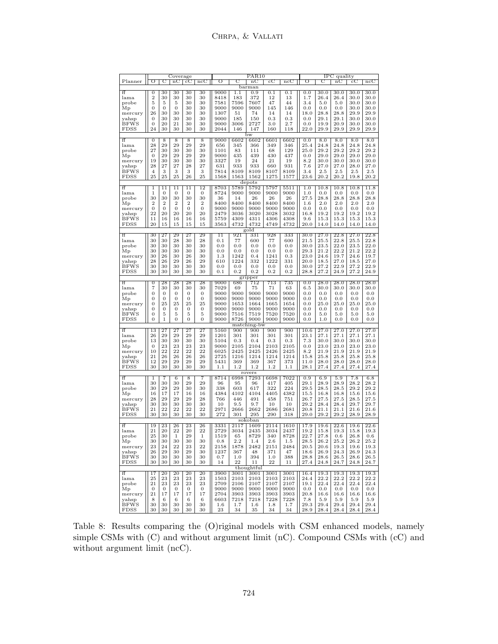|             |                  |                  | Coverage         |                  |                  |              |          | PAR <sub>10</sub> |             |          |          |             | IPC quality       |             |                   |
|-------------|------------------|------------------|------------------|------------------|------------------|--------------|----------|-------------------|-------------|----------|----------|-------------|-------------------|-------------|-------------------|
| Planner     | ᠥ                | C                | nC               | $_{\rm cC}$      | $\overline{ncC}$ | σ            | で        | $_{\rm nc}$       | $_{\rm cC}$ | ncC      | ᠥ        | C           | nC                | $_{\rm cC}$ | ncC               |
|             |                  |                  |                  |                  |                  |              |          | barman            |             |          |          |             |                   |             |                   |
| ff          | 0                | 30               | 30               | 30               | 30               | 9000         | 1.1      | 0.9               | 0.1         | 0.1      | 0.0      | 30.0        | 30.0              | 30.0        | 30.0              |
| lama        | $\boldsymbol{2}$ | 30               | 30               | 30               | 30               | 8418         | 183      | 372               | $12\,$      | 13       | 1.7      | 26.4        | 26.4              | 30.0        | 30.0              |
| probe       | 5                | 5                | 5                | 30               | 30               | 7581         | 7596     | 7607              | 47          | 44       | 3.4      | 5.0         | 5.0               | 30.0        | 30.0              |
| Mp          | 0                | 0                | $\boldsymbol{0}$ | 30               | 30               | 9000         | 9000     | 9000              | 145         | 146      | 0.0      | 0.0         | 0.0               | 30.0        | 30.0              |
| mercury     | 26               | 30               | 30               | 30               | 30               | 1307         | 51       | 74                | 14          | 14       | 18.0     | 28.8        | 28.8              | 29.9        | 29.9              |
| yahsp       | 0                | 30               | 30               | 30               | 30               | 9000         | 185      | 150               | 0.3         | 0.3      | 0.0      | 29.1        | 29.1              | 30.0        | 30.0              |
| <b>BFWS</b> | 0                | 20               | 21               | 30               | 30               | 9000         | 3006     | 2727              | 3.0         | 2.7      | 0.0      | 19.9        | 20.9              | 30.0        | 30.0              |
| <b>FDSS</b> | 24               | 30               | 30               | 30               | 30               | 2044         | 146      | 147               | 160         | 118      | 22.0     | 29.9        | 29.9              | 29.9        | 29.9              |
|             |                  |                  |                  |                  |                  |              |          | bw                |             |          |          |             |                   |             |                   |
| ff          | $\theta$         | 8                | 8                | 8                | 8                | 9000         | 6602     | 6602              | 6601        | 6602     | 0.0      | 8.0         | 8.0               | 8.0         | 8.0               |
| lama        | 28               | 29               | 29               | 29               | 29               | 656          | 345      | 366               | 349         | 346      | 25.4     | 24.8        | 24.8              | 24.8        | 24.8              |
| probe       | 27               | 30               | 30               | 30               | 30               | 1101         | 83       | 111               | 68          | 129      | 25.0     | 29.2        | 29.2              | 29.2        | 29.2              |
| Mр          | $\mathbf{0}$     | 29               | 29               | 29               | 29               | 9000         | 435      | 439               | 430         | 437      | 0.0      | 29.0        | 29.0              | 29.0        | 29.0              |
| mercury     | 19               | 30               | 30               | 30               | 30               | 3327         | 19       | 24                | 21          | 19       | 8.2      | 30.0        | 30.0              | 30.0        | 30.0              |
| yahsp       | 28               | 27               | 27               | 28               | 27               | 631          | 933      | 933               | 660         | 931      | 7.6      | 27.0        | 27.0              | 28.0        | 27.0              |
| <b>BFWS</b> | $\overline{4}$   | 3                | 3                | 3                | 3                | 7814         | 8109     | 8109              | 8107        | 8109     | 3.4      | 2.5         | 2.5               | 2.5         | 2.5               |
| <b>FDSS</b> | 25               | 25               | 25               | 26               | 25               | 1568         | 1563     | 1562              | 1275        | 1577     | 23.6     | 20.2        | 20.2              | 19.8        | 20.2              |
|             |                  |                  |                  |                  |                  |              |          | depots            |             |          |          |             |                   |             |                   |
| ff          | 1                | 11               | $\overline{11}$  | $\overline{11}$  | 12               | 8703         | 5789     | 5792              | 5797        | 5511     | 1.0      | 10.8        | 10.8              | 10.8        | 11.8              |
| lama        | $\mathbf 1$      | $\mathbf{0}$     | $\boldsymbol{0}$ | $\boldsymbol{0}$ | $\boldsymbol{0}$ | 8724         | 9000     | 9000              | 9000        | 9000     | 1.0      | 0.0         | 0.0               | 0.0         | $_{0.0}$          |
| probe       | 30               | 30               | 30               | 30               | 30               | 36           | 14       | 26                | 26          | 26       | 27.5     | 28.8        | 28.8              | 28.8        | 28.8              |
| Mp          | $\boldsymbol{2}$ | $\boldsymbol{2}$ | $\boldsymbol{2}$ | $\overline{2}$   | $\overline{2}$   | 8400         | 8400     | 8400              | 8400        | 8400     | 1.6      | 2.0         | 2.0               | 2.0         | 2.0               |
| mercury     | $\boldsymbol{0}$ | $\boldsymbol{0}$ | $\boldsymbol{0}$ | $\mathbf{0}$     | $\boldsymbol{0}$ | 9000         | 9000     | 9000              | 9000        | 9000     | 0.0      | 0.0         | $0.0\,$           | 0.0         | 0.0               |
| yahsp       | 22               | 20               | 20               | 20               | 20               | 2479         | 3036     | 3020              | 3028        | 3032     | 16.8     | 19.2        | 19.2              | 19.2        | 19.2              |
| <b>BFWS</b> | 11               | 16               | 16               | 16               | 16               | 5759         | 4309     | 4311              | 4306        | 4308     | 9.6      | 15.3        | 15.3              | 15.3        | 15.3              |
| <b>FDSS</b> | 20               | 15               | 15               | 15               | 15               | 3563         | 4732     | 4732              | 4749        | 4732     | 20.0     | 14.0        | 14.0              | 14.0        | 14.0              |
|             |                  |                  |                  |                  |                  |              |          | gold              |             |          |          |             |                   |             |                   |
| ff          | 30               | 27               | 29               | 27               | 29               | 11           | 921      | 331               | 928         | 333      | 30.0     | 27.0        | 22.8              | 27.0        | 22.8              |
| lama        | 30               | 30               | 28               | 30               | 28               | 0.1          | 77       | 600               | 77          | 600      | 21.5     | 25.5        | 22.8              | 25.5        | 22.8              |
| probe       | 30               | 30               | 30               | 30               | 30               | 0.0          | 0.0      | 0.0               | 0.0         | 0.0      | 30.0     | 23.5        | 22.0              | 23.5        | 22.0              |
| Mp          | 30               | 30               | 30               | 30               | 30               | 0.0          | $_{0.0}$ | 0.0               | 0.0         | $_{0.0}$ | 29.3     | 21.2        | 22.2              | 21.2        | 22.2              |
| mercury     | 30               | 26               | 30               | 26               | 30               | 1.3          | 1242     | 0.4               | 1241        | 0.3      | 23.0     | 24.6        | 19.7              | 24.6        | 19.7              |
| yahsp       | 28               | 26               | 29               | 26               | 29               | 610          | 1224     | 332               | 1222        | 331      | 20.0     | 18.5        | 27.0              | 18.5        | 27.0              |
| <b>BFWS</b> | 30               | 30               | 30               | 30               | 30               | 0.0          | 0.0      | 0.0               | 0.0         | 0.0      | 30.0     | 27.2        | 22.9              | 27.2        | 22.9              |
| FDSS        | 30               | 30               | 30               | 30               | 30               | 0.1          | 0.2      | 0.2               | 0.2         | 0.2      | 28.8     | 27.2        | 24.9              | 27.2        | 24.9              |
|             |                  |                  |                  |                  |                  |              |          | gripper           |             |          |          |             |                   |             |                   |
| ff          | $\overline{0}$   | 28               | 28               | 28               | $\overline{28}$  | 9000         | 686      | 712               | 713         | 735      | 0.0      | 28.0        | 28.0              | 28.0        | 28.0              |
| lama        | $\overline{7}$   | 30               | 30               | 30               | 30               | 7029         | 69       | 75                | 71          | 63       | 6.5      | 30.0        | 30.0              | 30.0        | 30.0              |
| probe       | $\mathbf{0}$     | 0                | 0                | $\mathbf{0}$     | 0                | 9000         | 9000     | 9000              | 9000        | 9000     | 0.0      | 0.0         | 0.0               | 0.0         | 0.0               |
| Mp          | $\overline{0}$   | $\boldsymbol{0}$ | $\mathbf{0}$     | $\mathbf{0}$     | $\boldsymbol{0}$ | 9000         | 9000     | 9000              | 9000        | 9000     | 0.0      | 0.0         | 0.0               | 0.0         | 0.0               |
| mercury     | 0                | 25               | 25               | 25               | 25               | 9000         | 1653     | 1664              | 1665        | 1654     | $0.0\,$  | 25.0        | 25.0              | 25.0        | 25.0              |
| yahsp       | 0                | $\boldsymbol{0}$ | $\boldsymbol{0}$ | $\boldsymbol{0}$ | $\boldsymbol{0}$ | 9000         | 9000     | 9000              | 9000        | 9000     | $_{0.0}$ | 0.0         | 0.0               | 0.0         | $_{0.0}$          |
| <b>BFWS</b> | 0                | 5                | 5                | 5                | 5                | 9000         | 7516     | 7519              | 7520        | 7520     | 0.0      | 5.0         | 5.0               | 5.0         | 5.0               |
| <b>FDSS</b> | 0                | $\mathbf 1$      | $\mathbf{0}$     | $\mathbf{0}$     | $\boldsymbol{0}$ | 9000         | 8726     | 9000              | 9000        | 9000     | $_{0.0}$ | 1.0         | 0.0               | 0.0         | $_{0.0}$          |
|             |                  |                  |                  |                  |                  |              |          | matching-bw       |             |          |          |             |                   |             |                   |
| ff          | 13               | 27               | $\overline{27}$  | $\overline{27}$  | $\overline{27}$  | 5160         | 900      | 900               | 900         | 900      | 10.6     | 27.0        | 27.0              | 27.0        | $\overline{27.0}$ |
| lama        | 26               | 29               | 29               | 29               | 29               | 1201         | 301      | 301               | 301         | 301      | 23.1     | 27.1        | 27.1              | 27.1        | 27.1              |
| probe       | 13               | 30               | 30               | 30               | 30               | 5104         | 0.3      | 0.4               | 0.3         | 0.3      | 7.3      | 30.0        | 30.0              | 30.0        | 30.0              |
| Mр          | $\theta$         | 23               | 23               | 23               | 23               | 9000         | 2105     | 2104              | 2103        | 2105     | 0.0      | 23.0        | 23.0              | 23.0        | 23.0              |
| mercury     | 10               | 22               | 22               | 22               | 22               | 6025         | 2425     | 2425              | 2426        | 2425     | 8.2      | 21.9        | 21.9              | 21.9        | 21.9              |
| yahsp       | 21               | 26               | 26               | 26               | 26               | 2725         | 1216     | 1214              | 1214        | 1214     | 15.8     | 25.8        | 25.8              | 25.8        | 25.8              |
| <b>BFWS</b> | 12               | 29               | 29               | 29               | 29               | 5431         | 369      | 369               | 367         | 373      | 11.0     | 28.0        | 28.0              | 28.0        | 28.0              |
| <b>FDSS</b> | 30               | 30               | 30               | 30               | 30               | 1.1          | 1.2      | 1.2               | 1.2         | 1.1      | 28.1     | 27.4        | 27.4              | 27.4        | 27.4              |
|             |                  |                  |                  |                  |                  |              |          | rovers            |             |          |          |             |                   |             |                   |
| ff          | T                | 7                | $\overline{6}$   | 8                | 7                | 8714         | 6998     | 7293              | 6698        | 7022     | 0.9      | 6.9         | 5.9               | 7.8         | 6.8               |
| lama        | 30               | 30               | 30               | 29               | 29               | 96           | 95       | 96                | 417         | 405      | 29.1     | 28.9        | 28.9              | 28.2        | 28.2              |
| probe       | 30               | 29               | 29               | 30               | 30               | 338          | 603      | 617               | 322         | 224      | 29.5     | 28.5        | 28.5              | 29.2        | 29.2              |
| Mp          | 16               | 17               | 17               | 16               | 16               | 4384         | 4102     | 4104              | 4405        | 4382     | 15.5     | 16.8        | 16.8              | 15.6        | 15.6              |
| mercury     | 28               | 29               | 29               | 29               | 28               | 766          | 446      | 491               | 458         | 751      | 26.7     | 27.5        | 27.5              | 28.5        | 27.5              |
| yahsp       | 30               | 30               | 30               | 30               | 30               | 10           | 9.5      | 9.7               | 10          | 10       | 29.2     | 28.4        | 28.4              | 29.7        | 29.7              |
| <b>BFWS</b> | 21               | 22               | 22               | 22               | 22               | 2971         | 2666     | 2662              | 2686        | 2681     | 20.8     | 21.1        | 21.1              | 21.6        | 21.6              |
| <b>FDSS</b> | 30               | 30               | 30               | 30               | 30               | 272          | 301      | 295               | 290         | 318      | 29.0     | 29.2        | 29.2              | 28.9        | 28.9              |
|             |                  |                  |                  |                  |                  |              |          | sokoban           |             |          |          |             |                   |             |                   |
| ff          | 19               | 23               | 26               | 23               | 26               | 3331         | 2117     | 1609              | 2114        | 1610     | 17.9     | 19.6        | $\overline{22.6}$ | 19.6        | 22.6              |
| lama        | 21               | 20               | 22               | 20               | 22               | 2729         | 3034     | 2435              | 3034        | 2437     | 19.2     | 15.8        | 19.3              | 15.8        | 19.3              |
| probe       | 25               | 30               | $\mathbf 1$      | 29               | 1                | 1519         | 65       | 8729              | 340         | 8728     | 22.7     | 27.8        | 0.6               | 26.8        | 0.6               |
| Мp          | 30               | 30               | 30               | 30               | 30               | 0.8          | $2.2\,$  | 1.4               | $2.6\,$     | 1.5      | 28.5     | 26.2        | 25.2              | 26.2        | 25.2              |
| mercury     | 23               | 24               | 22               | 23               | $^{22}$          | 2158         | 1878     | 2482              | 2151        | 2484     | 20.5     | 20.6        | 19.3              | 19.6        | 19.3              |
| yahsp       | 26               | 29               | 30               | 29               | 30               | 1237         | 367      | 48                | 371         | 47       | 18.6     | 26.9        | 24.3              | 26.9        | 24.3              |
| <b>BFWS</b> | 30               | 30               | 30               | 30               | 30               | 0.7          | 1.0      | 394               | 1.0         | 388      | 28.8     | 28.6        | 26.5              | 28.6        | 26.5              |
| FDSS        | 30               | 30               | 30               | 30               | 30               | $14\,$       | 22       | 11                | 22          | 11       | 27.4     | 24.8        | 24.7              | 24.8        | 24.7              |
|             |                  |                  |                  |                  |                  |              |          | thoughtful        |             |          |          |             |                   |             |                   |
|             |                  |                  | 20               |                  |                  |              | 3001     |                   | 3001        |          |          |             |                   |             |                   |
| ff          | 17<br>25         | 20<br>23         | 23               | 20<br>23         | 20<br>23         | 3900<br>1503 |          | 3001              |             | 3001     | 16.4     | 19.3        | 19.3              | 19.3        | 19.3              |
| lama        |                  |                  |                  |                  |                  |              | 2103     | 2103              | 2103        | 2103     | 24.4     | 22.2        | 22.2              | 22.2        | 22.2              |
| probe       | 21               | 23               | 23               | 23               | 23               | 2709         | 2106     | 2107              | 2107        | 2107     | 19.1     | 22.4        | 22.4              | 22.4        | 22.4              |
| Мp          | $\mathbf{0}$     | $\mathbf{0}$     | $\mathbf{0}$     | $\mathbf{0}$     | $\mathbf{0}$     | 9000         | 9000     | 9000              | 9000        | 9000     | 0.0      | 0.0         | 0.0               | 0.0         | 0.0               |
| mercury     | 21               | 17               | 17               | 17               | 17               | 2704         | 3903     | 3903              | 3903        | 3903     | 20.8     | 16.6        | 16.6              | 16.6        | 16.6              |
| yahsp       | 8                | 6                | 6                | 6                | 6                | 6603         | 7218     | 7218              | 7228        | 7228     | 7.8      | 5.9<br>29.4 | 5.9               | 5.9<br>29.4 | 5.9               |
| <b>BFWS</b> | 30               | 30               | 30               | 30               | 30               | $^{1.6}$     | 1.7      | $1.6\,$           | 1.8         | 1.7      | 29.3     |             | 29.4              |             | 29.4              |
| FDSS        | 30               | 30               | 30               | 30               | 30               | 23           | 34       | 35                | 34          | 34       | 28.9     | $\bf 28.4$  | 28.4              | 28.4        | 28.4              |

Table 8: Results comparing the (O)riginal models with CSM enhanced models, namely simple CSMs with (C) and without argument limit (nC). Compound CSMs with (cC) and without argument limit (ncC).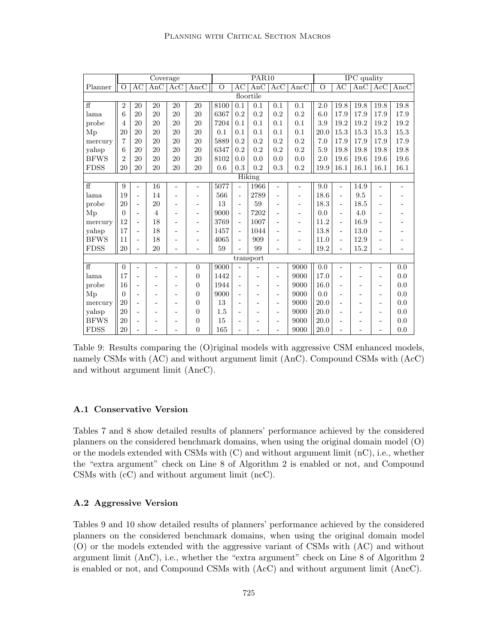|                |                |                   | Coverage                |                          |                          |                         |                          | PAR <sub>10</sub>        |                          |                          |                |                          | IPC quality |                   |                          |
|----------------|----------------|-------------------|-------------------------|--------------------------|--------------------------|-------------------------|--------------------------|--------------------------|--------------------------|--------------------------|----------------|--------------------------|-------------|-------------------|--------------------------|
| Planner        | $\overline{O}$ | $\overline{AC}$   | $\overline{\text{AnC}}$ | Acc                      | $\overline{\text{AncC}}$ | $\overline{\mathrm{o}}$ | $\overline{AC}$          | AnC                      | Acc                      | $\overline{\text{AncC}}$ | $\overline{O}$ | $\overline{AC}$          | AnC         | ACC               | $\overline{\text{AncC}}$ |
|                |                |                   |                         |                          |                          |                         |                          | floortile                |                          |                          |                |                          |             |                   |                          |
| $\overline{f}$ | $\overline{2}$ | 20                | 20                      | 20                       | 20                       | 8100                    | 0.1                      | 0.1                      | 0.1                      | 0.1                      | 2.0            | 19.8                     | 19.8        | 19.8              | 19.8                     |
| lama           | 6              | 20                | 20                      | 20                       | 20                       | 6367                    | 0.2                      | 0.2                      | 0.2                      | 0.2                      | 6.0            | 17.9                     | 17.9        | 17.9              | 17.9                     |
| probe          | 4              | 20                | 20                      | 20                       | 20                       | 7204                    | 0.1                      | 0.1                      | 0.1                      | 0.1                      | 3.9            | 19.2                     | 19.2        | 19.2              | 19.2                     |
| Mp             | 20             | 20                | 20                      | 20                       | 20                       | 0.1                     | 0.1                      | 0.1                      | 0.1                      | 0.1                      | 20.0           | 15.3                     | 15.3        | 15.3              | $15.3\,$                 |
| mercury        | 7              | 20                | 20                      | 20                       | 20                       | 5889                    | 0.2                      | 0.2                      | 0.2                      | 0.2                      | 7.0            | 17.9                     | 17.9        | 17.9              | 17.9                     |
| yahsp          | 6              | 20                | 20                      | 20                       | 20                       | 6347                    | 0.2                      | 0.2                      | 0.2                      | 0.2                      | 5.9            | 19.8                     | 19.8        | 19.8              | 19.8                     |
| <b>BFWS</b>    | 2              | 20                | 20                      | 20                       | 20                       | 8102                    | 0.0                      | 0.0                      | 0.0                      | 0.0                      | 2.0            | 19.6                     | 19.6        | 19.6              | 19.6                     |
| <b>FDSS</b>    | 20             | 20                | 20                      | 20                       | 20                       | 0.6                     | 0.3                      | 0.2                      | 0.3                      | $0.2\,$                  | 19.9           | 16.1                     | 16.1        | 16.1              | 16.1                     |
|                |                |                   |                         |                          |                          |                         |                          | <b>Hiking</b>            |                          |                          |                |                          |             |                   |                          |
| $\overline{f}$ | 9              | ÷,                | 16                      | $\overline{\phantom{a}}$ | ÷                        | 5077                    | ÷,                       | 1966                     | $\overline{\phantom{a}}$ | $\overline{\phantom{a}}$ | 9.0            | $\sim$                   | 14.9        | ÷,                | ٠                        |
| lama           | 19             | ÷,                | 14                      |                          | $\overline{a}$           | 566                     | $\overline{\phantom{a}}$ | 2789                     | $\overline{a}$           | ÷,                       | 18.6           | $\overline{\phantom{a}}$ | 9.5         |                   |                          |
| probe          | 20             | $\qquad \qquad -$ | 20                      | ۰                        | $\overline{a}$           | 13                      | $\overline{\phantom{a}}$ | 59                       | ۰                        | $\blacksquare$           | 18.3           | $\blacksquare$           | 18.5        | ÷                 | $\qquad \qquad -$        |
| Mp             | $\Omega$       | ۰                 | $\overline{4}$          | ۰                        | ۰                        | 9000                    | $\overline{a}$           | 7202                     | ۰                        | $\blacksquare$           | 0.0            | $\overline{\phantom{a}}$ | 4.0         |                   |                          |
| mercury        | 12             | ÷,                | 18                      | ۰                        | $\overline{a}$           | 3769                    | $\overline{\phantom{a}}$ | 1007                     |                          | $\overline{\phantom{a}}$ | 11.2           | $\overline{a}$           | 16.9        |                   |                          |
| yahsp          | 17             | ÷,                | 18                      | ÷                        | $\qquad \qquad -$        | 1457                    | $\overline{\phantom{a}}$ | 1044                     | ۰                        | $\overline{\phantom{a}}$ | 13.8           | $\blacksquare$           | 13.0        |                   | $\qquad \qquad -$        |
| <b>BFWS</b>    | 11             |                   | 18                      |                          | $\overline{a}$           | 4065                    | $\overline{\phantom{a}}$ | 909                      |                          | $\blacksquare$           | 11.0           | $\overline{\phantom{a}}$ | 12.9        |                   | $\qquad \qquad -$        |
| <b>FDSS</b>    | 20             |                   | 20                      | ٠                        | ۰                        | 59                      |                          | 99                       | ÷,                       |                          | 19.2           | $\blacksquare$           | 15.2        | ۳                 | $\overline{\phantom{a}}$ |
|                |                |                   |                         |                          |                          |                         |                          | transport                |                          |                          |                |                          |             |                   |                          |
| $\overline{f}$ | $\overline{0}$ | $\overline{a}$    |                         | ۰                        | $\boldsymbol{0}$         | 9000                    | L.                       |                          | $\overline{\phantom{0}}$ | 9000                     | 0.0            | $\overline{a}$           |             | L,                | 0.0                      |
| lama           | 17             |                   |                         | Ē,                       | $\overline{0}$           | 1442                    | $\overline{\phantom{a}}$ | $\overline{a}$           | $\overline{a}$           | 9000                     | 17.0           |                          |             | $\overline{a}$    | 0.0                      |
| probe          | 16             |                   |                         |                          | $\boldsymbol{0}$         | 1944                    | $\blacksquare$           | $\overline{\phantom{a}}$ | $\blacksquare$           | 9000                     | 16.0           | ۰                        |             |                   | 0.0                      |
| Mp             | $\Omega$       | $\overline{a}$    |                         | $\qquad \qquad -$        | $\overline{0}$           | 9000                    | $\overline{\phantom{a}}$ | $\overline{a}$           | $\overline{\phantom{a}}$ | 9000                     | 0.0            | $\overline{\phantom{a}}$ |             | $\qquad \qquad -$ | 0.0                      |
| mercury        | 20             | ۰                 |                         |                          | $\overline{0}$           | 13                      | $\blacksquare$           | $\overline{\phantom{a}}$ | $\overline{a}$           | 9000                     | 20.0           | $\overline{\phantom{a}}$ |             | ۰                 | 0.0                      |
| yahsp          | 20             | $\overline{a}$    |                         | $\qquad \qquad -$        | $\overline{0}$           | 1.5                     | ۰                        | $\overline{a}$           | $\overline{\phantom{a}}$ | 9000                     | 20.0           | ÷,                       |             | $\overline{a}$    | 0.0                      |
| <b>BFWS</b>    | 20             |                   |                         |                          | $\boldsymbol{0}$         | 15                      |                          |                          | $\qquad \qquad -$        | 9000                     | 20.0           | ÷                        |             |                   | 0.0                      |
| <b>FDSS</b>    | 20             |                   |                         |                          | $\overline{0}$           | 165                     |                          |                          | L.                       | 9000                     | 20.0           |                          |             |                   | 0.0                      |

Table 9: Results comparing the (O)riginal models with aggressive CSM enhanced models, namely CSMs with (AC) and without argument limit (AnC). Compound CSMs with (AcC) and without argument limit (AncC).

#### A.1 Conservative Version

Tables 7 and 8 show detailed results of planners' performance achieved by the considered planners on the considered benchmark domains, when using the original domain model (O) or the models extended with CSMs with  $(C)$  and without argument limit  $(nC)$ , i.e., whether the "extra argument" check on Line 8 of Algorithm 2 is enabled or not, and Compound CSMs with (cC) and without argument limit (ncC).

### A.2 Aggressive Version

Tables 9 and 10 show detailed results of planners' performance achieved by the considered planners on the considered benchmark domains, when using the original domain model (O) or the models extended with the aggressive variant of CSMs with (AC) and without argument limit (AnC), i.e., whether the "extra argument" check on Line 8 of Algorithm 2 is enabled or not, and Compound CSMs with (AcC) and without argument limit (AncC).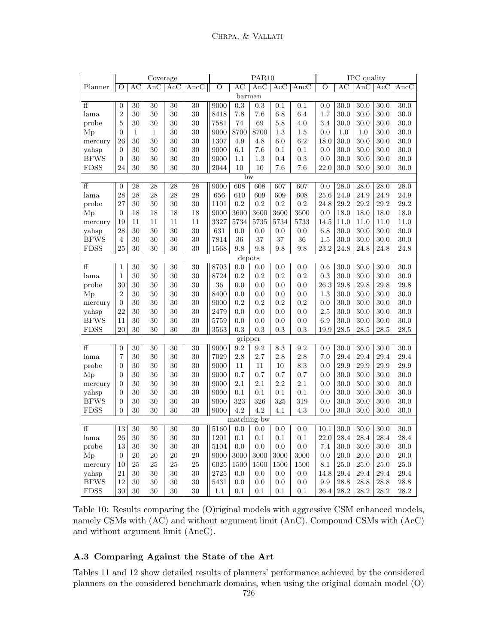|                |                         |              | Coverage    |            |                 |         |             | PAR <sub>10</sub>       |         |      |          |                 | <b>IPC</b> quality |                  |                          |
|----------------|-------------------------|--------------|-------------|------------|-----------------|---------|-------------|-------------------------|---------|------|----------|-----------------|--------------------|------------------|--------------------------|
| Planner        | O                       | AC           | AnC         | $\rm{AcC}$ | AncC            | $\circ$ | АC          | $\overline{\text{AnC}}$ | Acc     | AncC | $\circ$  | $\overline{AC}$ | AnC                | $\overline{Acc}$ | $\overline{\text{AncC}}$ |
|                |                         |              |             |            |                 |         | barman      |                         |         |      |          |                 |                    |                  |                          |
| ff             | $\boldsymbol{0}$        | 30           | 30          | 30         | 30              | 9000    | 0.3         | 0.3                     | 0.1     | 0.1  | 0.0      | 30.0            | 30.0               | 30.0             | 30.0                     |
| lama           | $\overline{2}$          | 30           | 30          | 30         | 30              | 8418    | 7.8         | 7.6                     | 6.8     | 6.4  | 1.7      | 30.0            | 30.0               | 30.0             | 30.0                     |
| probe          | $\overline{5}$          | 30           | 30          | 30         | 30              | 7581    | 74          | 69                      | 5.8     | 4.0  | 3.4      | 30.0            | 30.0               | 30.0             | 30.0                     |
| Mp             | $\overline{0}$          | $\mathbf{1}$ | $\mathbf 1$ | 30         | 30              | 9000    | 8700        | 8700                    | 1.3     | 1.5  | 0.0      | 1.0             | 1.0                | 30.0             | 30.0                     |
| mercury        | 26                      | 30           | 30          | 30         | 30              | 1307    | 4.9         | 4.8                     | 6.0     | 6.2  | 18.0     | 30.0            | 30.0               | 30.0             | 30.0                     |
| yahsp          | $\overline{0}$          | 30           | 30          | 30         | 30              | 9000    | 6.1         | 7.6                     | 0.1     | 0.1  | 0.0      | 30.0            | 30.0               | 30.0             | $30.0\,$                 |
| <b>BFWS</b>    | $\overline{0}$          | 30           | 30          | 30         | 30              | 9000    | 1.1         | 1.3                     | $0.4\,$ | 0.3  | 0.0      | $30.0\,$        | 30.0               | $30.0\,$         | 30.0                     |
| <b>FDSS</b>    | 24                      | 30           | 30          | 30         | 30              | 2044    | 10          | 10                      | 7.6     | 7.6  | $22.0\,$ | 30.0            | 30.0               | 30.0             | 30.0                     |
|                |                         |              |             |            |                 |         | bw          |                         |         |      |          |                 |                    |                  |                          |
| ff             | $\overline{0}$          | 28           | 28          | 28         | $\overline{28}$ | 9000    | 608         | 608                     | 607     | 607  | 0.0      | 28.0            | 28.0               | 28.0             | 28.0                     |
| lama           | 28                      | 28           | 28          | 28         | 28              | 656     | 610         | 609                     | 609     | 608  | 25.6     | 24.9            | 24.9               | 24.9             | 24.9                     |
| probe          | 27                      | 30           | 30          | 30         | 30              | 1101    | 0.2         | 0.2                     | 0.2     | 0.2  | 24.8     | 29.2            | 29.2               | 29.2             | 29.2                     |
| Mp             | $\overline{0}$          | 18           | 18          | 18         | 18              | 9000    | 3600        | 3600                    | 3600    | 3600 | 0.0      | 18.0            | 18.0               | 18.0             | 18.0                     |
| mercury        | 19                      | 11           | 11          | 11         | 11              | 3327    | 5734        | 5735                    | 5734    | 5733 | 14.5     | 11.0            | 11.0               | 11.0             | 11.0                     |
| yahsp          | 28                      | 30           | 30          | 30         | 30              | 631     | 0.0         | 0.0                     | 0.0     | 0.0  | 6.8      | 30.0            | 30.0               | 30.0             | 30.0                     |
| <b>BFWS</b>    | $\,4\,$                 | 30           | 30          | 30         | 30              | 7814    | 36          | 37                      | 37      | 36   | 1.5      | 30.0            | 30.0               | 30.0             | 30.0                     |
| <b>FDSS</b>    | 25                      | 30           | 30          | 30         | 30              | 1568    | 9.8         | 9.8                     | 9.8     | 9.8  | 23.2     | 24.8            | 24.8               | 24.8             | 24.8                     |
|                |                         |              |             |            |                 |         | depots      |                         |         |      |          |                 |                    |                  |                          |
| ff             | $\mathbf{1}$            | 30           | 30          | 30         | 30              | 8703    | 0.0         | 0.0                     | 0.0     | 0.0  | 0.6      | 30.0            | 30.0               | 30.0             | 30.0                     |
| lama           | $\mathbf{1}$            | 30           | 30          | 30         | 30              | 8724    | 0.2         | 0.2                     | 0.2     | 0.2  | 0.3      | 30.0            | 30.0               | 30.0             | 30.0                     |
| probe          | 30                      | 30           | 30          | 30         | 30              | 36      | 0.0         | 0.0                     | 0.0     | 0.0  | 26.3     | 29.8            | 29.8               | 29.8             | 29.8                     |
| Mp             | $\overline{2}$          | 30           | 30          | 30         | 30              | 8400    | 0.0         | 0.0                     | 0.0     | 0.0  | 1.3      | 30.0            | 30.0               | 30.0             | 30.0                     |
| mercury        | $\overline{0}$          | 30           | 30          | 30         | 30              | 9000    | 0.2         | 0.2                     | 0.2     | 0.2  | 0.0      | 30.0            | 30.0               | 30.0             | 30.0                     |
| yahsp          | 22                      | 30           | 30          | 30         | 30              | 2479    | 0.0         | $0.0\,$                 | 0.0     | 0.0  | 2.5      | 30.0            | 30.0               | 30.0             | 30.0                     |
| <b>BFWS</b>    | $11\,$                  | 30           | 30          | 30         | 30              | 5759    | 0.0         | 0.0                     | 0.0     | 0.0  | 6.9      | 30.0            | 30.0               | 30.0             | 30.0                     |
| <b>FDSS</b>    | 20                      | 30           | 30          | 30         | 30              | 3563    | 0.3         | 0.3                     | 0.3     | 0.3  | 19.9     | $28.5\,$        | $28.5\,$           | $28.5\,$         | 28.5                     |
|                |                         |              |             |            |                 |         | gripper     |                         |         |      |          |                 |                    |                  |                          |
| $\overline{f}$ | $\overline{0}$          | 30           | 30          | 30         | 30              | 9000    | 9.2         | 9.2                     | 8.3     | 9.2  | 0.0      | 30.0            | 30.0               | 30.0             | 30.0                     |
| lama           | $\overline{\mathbf{7}}$ | 30           | 30          | 30         | 30              | 7029    | 2.8         | 2.7                     | 2.8     | 2.8  | 7.0      | 29.4            | 29.4               | 29.4             | 29.4                     |
| probe          | $\overline{0}$          | 30           | 30          | 30         | 30              | 9000    | 11          | 11                      | 10      | 8.3  | 0.0      | 29.9            | 29.9               | 29.9             | 29.9                     |
| Mp             | $\overline{0}$          | 30           | 30          | 30         | 30              | 9000    | 0.7         | 0.7                     | 0.7     | 0.7  | 0.0      | 30.0            | 30.0               | 30.0             | 30.0                     |
| mercury        | $\overline{0}$          | 30           | 30          | 30         | 30              | 9000    | 2.1         | 2.1                     | 2.2     | 2.1  | 0.0      | 30.0            | 30.0               | 30.0             | 30.0                     |
| yahsp          | $\overline{0}$          | 30           | 30          | 30         | 30              | 9000    | 0.1         | 0.1                     | 0.1     | 0.1  | 0.0      | 30.0            | 30.0               | 30.0             | 30.0                     |
| <b>BFWS</b>    | $\overline{0}$          | 30           | 30          | 30         | 30              | 9000    | 323         | 326                     | 325     | 319  | 0.0      | 30.0            | 30.0               | 30.0             | 30.0                     |
| <b>FDSS</b>    | $\overline{0}$          | 30           | 30          | 30         | 30              | 9000    | 4.2         | 4.2                     | 4.1     | 4.3  | 0.0      | $30.0\,$        | 30.0               | 30.0             | 30.0                     |
|                |                         |              |             |            |                 |         | matching-bw |                         |         |      |          |                 |                    |                  |                          |
| ff             | 13                      | 30           | 30          | 30         | 30              | 5160    | 0.0         | 0.0                     | 0.0     | 0.0  | 10.1     | 30.0            | 30.0               | 30.0             | 30.0                     |
| lama           | 26                      | 30           | 30          | 30         | 30              | 1201    | 0.1         | 0.1                     | 0.1     | 0.1  | 22.0     | 28.4            | 28.4               | 28.4             | 28.4                     |
| probe          | 13                      | 30           | 30          | 30         | $30\,$          | 5104    | 0.0         | 0.0                     | 0.0     | 0.0  | 7.4      | 30.0            | 30.0               | 30.0             | 30.0                     |
| Mp             | $\overline{0}$          | 20           | 20          | 20         | 20              | 9000    | 3000        | 3000                    | 3000    | 3000 | 0.0      | 20.0            | 20.0               | 20.0             | 20.0                     |
| mercury        | 10                      | 25           | 25          | 25         | 25              | 6025    | 1500        | 1500                    | 1500    | 1500 | 8.1      | 25.0            | 25.0               | 25.0             | 25.0                     |
| yahsp          | 21                      | 30           | 30          | 30         | 30              | 2725    | 0.0         | 0.0                     | 0.0     | 0.0  | 14.8     | 29.4            | 29.4               | 29.4             | 29.4                     |
| <b>BFWS</b>    | 12                      | 30           | 30          | 30         | 30              | 5431    | 0.0         | 0.0                     | 0.0     | 0.0  | 9.9      | 28.8            | 28.8               | 28.8             | 28.8                     |
| <b>FDSS</b>    | 30                      | 30           | 30          | 30         | 30              | 1.1     | 0.1         | 0.1                     | 0.1     | 0.1  | 26.4     | 28.2            | 28.2               | 28.2             | 28.2                     |

Table 10: Results comparing the (O)riginal models with aggressive CSM enhanced models, namely CSMs with (AC) and without argument limit (AnC). Compound CSMs with (AcC) and without argument limit (AncC).

## A.3 Comparing Against the State of the Art

Tables 11 and 12 show detailed results of planners' performance achieved by the considered planners on the considered benchmark domains, when using the original domain model (O)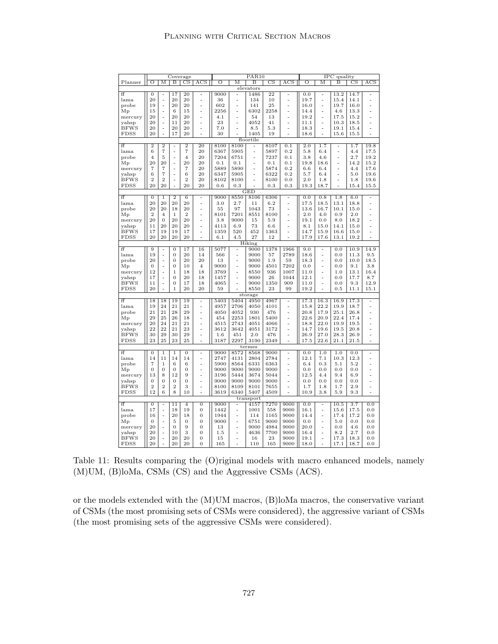|                  |                |                | Coverage         |                  |                                  |                   |                      | PAR <sub>10</sub> |             |                      |         |      | IPC quality      |             |                      |
|------------------|----------------|----------------|------------------|------------------|----------------------------------|-------------------|----------------------|-------------------|-------------|----------------------|---------|------|------------------|-------------|----------------------|
| Planner          | $\overline{O}$ | М              | Β                | $_{\rm CS}$      | ACS                              | $\overline{O}$    | М                    | В                 | $_{\rm CS}$ | ACS                  | Ο       | М    | В                | $_{\rm CS}$ | ACS                  |
|                  |                |                |                  |                  |                                  |                   |                      | elevators         |             |                      |         |      |                  |             |                      |
| ff               | 0              | ÷,             | 17               | 20               |                                  | 9000              | ÷,                   | 1486              | 22          | ÷,                   | 0.0     | L,   | 13.2             | 14.7        | L,                   |
| lama             | 20             | ÷              | 20               | 20               | ÷                                | 36                | L,                   | 134               | 10          | L,                   | 19.7    | ÷    | 15.4             | 14.1        |                      |
| probe            | 19             | $\overline{a}$ | 20               | 20               | $\overline{a}$                   | 602               | ÷,                   | 141               | 25          | ÷                    | 16.0    | ÷,   | 19.7             | 16.0        | L,                   |
|                  | 15             | ÷,             | $\,$ 6           | 15               |                                  | 2256              | L,                   | 6302              | 2258        | L,                   | 14.4    | L,   | 4.6              | 13.3        | L,                   |
| Mp               |                |                |                  |                  | $\overline{a}$<br>$\overline{a}$ |                   |                      |                   |             |                      |         |      |                  |             |                      |
| mercury          | 20             |                | 20               | 20               |                                  | 4.1               |                      | 54                | 13          |                      | 19.2    | L,   | 17.5             | 15.2        |                      |
| yahsp            | 20             | $\overline{a}$ | 11               | 20               | $\overline{a}$                   | 23                | L.                   | 4052              | 41          | L,                   | 11.1    | L,   | 10.3             | 18.5        | L,                   |
| <b>BFWS</b>      | 20             | L,             | 20               | 20               | L,                               | 7.0               | $\ddot{\phantom{1}}$ | 8.5               | 5.3         | $\ddot{\phantom{1}}$ | 18.3    | L,   | 19.1             | 15.4        | $\overline{a}$       |
| <b>FDSS</b>      | 20             | L,             | 17               | 20               | L.                               | 30                |                      | 1405              | 19          | L.                   | 18.6    | L.   | 15.6             | 15.5        | L.                   |
|                  |                |                |                  |                  |                                  |                   |                      | floortile         |             |                      |         |      |                  |             |                      |
| ff               | $\overline{2}$ | $\overline{2}$ | ÷                | $\overline{2}$   | 20                               | 8100              | 8100                 |                   | 8107        | 0.1                  | 2.0     | 1.7  | ۰                | 1.7         | 19.8                 |
| lama             | 6              | $\overline{7}$ | ÷,               | 7                | 20                               | 6367              | 5905                 | $\frac{1}{2}$     | 5897        | 0.2                  | 5.8     | 6.4  | L,               | 4.4         | 17.5                 |
| probe            | $\overline{4}$ | 5              | ÷                | $\overline{4}$   | 20                               | 7204              | 6751                 | L,                | 7237        | 0.1                  | 3.8     | 4.6  | L,               | 2.7         | 19.2                 |
| Мp               | $^{20}$        | 20             | $\overline{a}$   | 20               | 20                               | 0.1               | 0.1                  | L,                | 0.1         | 0.1                  | 19.8    | 18.6 | L,               | 14.2        | 15.2                 |
| mercury          | $\overline{7}$ | $\overline{7}$ | ÷                | $\overline{7}$   | 20                               | 5889              | 5890                 | L,                | 5874        | 0.2                  | 6.6     | 6.4  | ÷,               | 4.4         | 17.6                 |
| yahsp            | 6              | $\overline{7}$ | $\overline{a}$   | 6                | 20                               | 6347              | 5905                 | $\overline{a}$    | 6322        | 0.2                  | 5.7     | 6.4  | L.               | 5.0         | 19.6                 |
| <b>BFWS</b>      | $\overline{2}$ | $\overline{2}$ | $\overline{a}$   | $\overline{2}$   | 20                               | 8102              | 8100                 | $\overline{a}$    | 8100        | 0.0                  | 2.0     | 1.8  | L                | 1.8         | 19.6                 |
| <b>FDSS</b>      | 20             | 20             | $\overline{a}$   | 20               | 20                               | 0.6               | 0.3                  |                   | 0.3         | 0.3                  | 19.3    | 18.7 | L.               | 15.4        | 15.5                 |
|                  |                |                |                  |                  |                                  |                   |                      |                   |             |                      |         |      |                  |             |                      |
|                  |                |                |                  |                  |                                  |                   |                      | GED               |             |                      |         |      |                  |             |                      |
| ff               | $\overline{0}$ | ī              | $\overline{2}$   | $6\overline{6}$  | ÷,                               | 9000              | 8550                 | 8106              | 6306        | ÷,                   | 0.0     | 0.8  | $\overline{1.8}$ | 6.0         |                      |
| lama             | 20             | 20             | 20               | 20               | $\overline{a}$                   | 3.0               | 2.7                  | 11                | 6.2         | L,                   | 17.5    | 18.5 | 13.1             | 18.8        | $\ddot{\phantom{1}}$ |
| probe            | 20             | 20             | 18               | 20               | $\overline{a}$                   | 55                | 97                   | 1043              | 73          | $\overline{a}$       | 13.6    | 16.7 | 10.1             | 15.0        | L,                   |
| $M_{P}$          | $\sqrt{2}$     | $\overline{4}$ | $\,1$            | $\overline{2}$   | ÷                                | 8101              | 7201                 | 8551              | 8100        | L,                   | $2.0\,$ | 4.0  | 0.9              | 2.0         |                      |
| mercury          | 20             | $\overline{0}$ | 20               | 20               | $\overline{a}$                   | 3.8               | 9000                 | 15                | 5.9         | L,                   | 19.1    | 0.0  | 8.0              | 18.2        | L,                   |
| yahsp            | 11             | 20             | 20               | 20               | L,                               | 4113              | 6.9                  | 73                | 6.6         | L,                   | 8.1     | 15.0 | 14.1             | 15.0        | $\ddot{\phantom{1}}$ |
| <b>BFWS</b>      | 17             | 19             | 19               | 17               | $\overline{a}$                   | 1359              | 520                  | 452               | 1363        | L,                   | 14.7    | 15.9 | 16.6             | 15.0        |                      |
| FDSS             | 20             | 20             | 20               | 20               | $\overline{a}$                   | 6.1               | 4.5                  | 27                | 12          |                      | 17.9    | 17.6 | 13.1             | 19.2        | $\overline{a}$       |
|                  |                |                |                  |                  |                                  |                   |                      | Hiking            |             |                      |         |      |                  |             |                      |
| ff               | 9              | ÷,             | $\boldsymbol{0}$ | 17               | 16                               | 5077              | L,                   | 9000              | 1378        | 1966                 | 9.0     | ÷,   | 0.0              | 10.9        | 14.9                 |
| lama             | 19             | $\overline{a}$ | $\mathbf 0$      | 20               | 14                               | 566               | L,                   | 9000              | 57          | 2789                 | 18.6    | L,   | 0.0              | 11.3        | 9.5                  |
| probe            | 20             | $\overline{a}$ | $\overline{0}$   | 20               | 20                               | 13                | L,                   | 9000              | 1.9         | 59                   | 18.3    | L,   | 0.0              | 10.0        | 18.5                 |
|                  | $\theta$       | L,             | $\overline{0}$   | 10               | $\overline{4}$                   | 9000              | L,                   |                   | 4501        | 7202                 |         | L,   | 0.0              | 9.1         | 3.8                  |
| Mр               | 12             |                | $\mathbf{1}$     | 18               | 18                               | 3769              |                      | 9000<br>8550      | 936         | 1007                 | 0.0     |      | 1.0              | 13.1        | 16.4                 |
| mercury          |                | L,             |                  |                  |                                  |                   |                      |                   |             |                      | 11.0    |      |                  |             |                      |
| yahsp            | 17             | ÷,             | $\overline{0}$   | 20               | 18                               | 1457              | L,                   | 9000              | 26          | 1044                 | 12.1    | L,   | 0.0              | 17.7        | 8.7                  |
| <b>BFWS</b>      | 11             | L,             | $\overline{0}$   | 17               | 18                               | 4065              | L,                   | 9000              | 1350        | 909                  | 11.0    | L,   | 0.0              | 9.3         | 12.9                 |
| <b>FDSS</b>      | 20             |                | $\mathbf{1}$     | 20               | 20                               | 59                |                      | 8550              | 23          | 99                   | 19.2    |      | 0.5              | 11.1        | 15.1                 |
|                  |                |                |                  |                  |                                  |                   |                      | storage           |             |                      |         |      |                  |             |                      |
| ff               | 18             | 18             | 19               | 19               | ÷,                               | 5403              | 5404                 | 4950              | 4967        | L,                   | 17.3    | 16.3 | 16.9             | 17.3        | L,                   |
| lama             | 19             | 24             | 21               | 21               | ÷,                               | 4957              | 2706                 | 4050              | 4101        | L,                   | 15.8    | 22.2 | 19.9             | 18.7        | L,                   |
| probe            | 21             | 21             | 28               | 29               | $\overline{a}$                   | 4050              | 4052                 | 930               | 476         | $\overline{a}$       | 20.8    | 17.9 | 25.1             | 26.8        | L,                   |
| Мp               | 29             | 25             | 26               | 18               | L,                               | 454               | 2253                 | 1801              | 5400        | L,                   | 22.6    | 20.9 | 22.4             | 17.4        | $\ddot{\phantom{1}}$ |
| mercury          | 20             | 24             | 21               | 21               | $\overline{a}$                   | 4515              | 2743                 | 4051              | 4066        | $\overline{a}$       | 18.8    | 22.0 | 19.9             | 19.5        | $\overline{a}$       |
| yahsp            | 22             | 22             | 21               | 23               | $\overline{a}$                   | 3612              | 3642                 | 4051              | 3172        | L,                   | 14.7    | 19.6 | 19.5             | 20.8        |                      |
| <b>BFWS</b>      | 30             | 29             | 30               | 29               | L,                               | 1.6               | 451                  | 2.0               | 476         | L,                   | 26.9    | 27.0 | 28.3             | 26.9        | $\ddot{\phantom{1}}$ |
| <b>FDSS</b>      | 23             | 25             | 23               | 25               | L,                               | 3187              | 2297                 | 3190              | 2349        | L,                   | 17.5    | 22.6 | 21.1             | 21.5        | L,                   |
|                  |                |                |                  |                  |                                  |                   |                      |                   |             |                      |         |      |                  |             |                      |
|                  |                |                |                  |                  |                                  |                   |                      | termes            |             |                      |         |      |                  |             |                      |
| ff               | $\mathbf{0}$   | $\mathbf 1$    | $\mathbf{1}$     | $\mathbf{0}$     | L                                | 9000              | 8572                 | 8568              | 9000        | ÷                    | 0.0     | 1.0  | 1.0              | 0.0         | L,                   |
| lama             | 14             | 11             | 14               | 14               | -                                | 2747              | 4131                 | 2804              | 2784        | ÷                    | 12.1    | 7.1  | 10.3             | 12.3        | L,                   |
| probe            | $\overline{7}$ | $\mathbf 1$    | 6                | 6                | ÷,                               | 5900              | 8564                 | 6331              | 6363        | L,                   | 6.4     | 0.3  | 5.1              | 5.2         | $\ddot{\phantom{1}}$ |
| Mp               | $\overline{0}$ | $\overline{0}$ | $\overline{0}$   | $\overline{0}$   | $\overline{a}$                   | 9000              | 9000                 | 9000              | 9000        | L,                   | 0.0     | 0.0  | 0.0              | 0.0         | $\ddot{\phantom{1}}$ |
| mercury          | 13             | 8              | 12               | 9                | $\overline{a}$                   | 3196              | 5444                 | 3674              | 5044        | L,                   | 12.5    | 4.4  | 9.4              | 6.9         |                      |
| yahsp            | $\overline{0}$ | $\overline{0}$ | $\overline{0}$   | $\overline{0}$   | $\overline{a}$                   | 9000              | 9000                 | 9000              | 9000        | L,                   | 0.0     | 0.0  | 0.0              | 0.0         | L,                   |
| <b>BFWS</b>      | $\overline{2}$ | $\overline{2}$ | $\overline{2}$   | 3                | ÷                                | 8100              | 8109                 | 8101              | 7655        | $\overline{a}$       | 1.7     | 1.8  | 1.7              | 2.9         | L,                   |
| <b>FDSS</b>      | 12             | 6              | 8                | 10               |                                  | 3619              | 6340                 | 5407              | 4509        |                      | 10.9    | 3.8  | 5.9              | 9.3         |                      |
|                  |                |                |                  |                  |                                  |                   |                      | transport         |             |                      |         |      |                  |             |                      |
| ff               | $\overline{0}$ |                | $\overline{11}$  | $\overline{4}$   | $\overline{0}$                   | $\overline{9000}$ |                      | 4157              | 7270        | 9000                 | 0.0     | L,   | 10.5             | 3.7         | 0.0                  |
| lama             | 17             | $\overline{a}$ | 18               | 19               | $\overline{0}$                   | 1442              | $\ddot{\phantom{1}}$ | 1001              | 558         | 9000                 | 16.1    | ä,   | 15.6             | 17.5        | 0.0                  |
| probe            | 16             | ÷,             | 20               | 18               | $\overline{0}$                   | 1944              | $\overline{a}$       | 114               | 1165        | 9000                 | 14.4    | ÷,   | 17.4             | 17.2        | 0.0                  |
|                  |                |                |                  |                  |                                  |                   |                      |                   |             |                      |         |      |                  |             |                      |
| $_{\mathrm{Mp}}$ | $\mathbf{0}$   | L,             | 5                | $\boldsymbol{0}$ | $\mathbf{0}$                     | 9000              | L,                   | 6751              | 9000        | 9000                 | 0.0     | L,   | 5.0              | 0.0         | 0.0                  |
| mercury          | 20             | ÷,             | $\overline{0}$   | 9                | $\overline{0}$                   | 13                | ÷                    | 9000              | 4984        | 9000                 | 20.0    | L,   | 0.0              | 4.6         | 0.0                  |
| yahsp            | 20             | L,             | 10               | 3                | $\mathbf{0}$                     | 1.5               |                      | 4636              | 7700        | 9000                 | 16.4    |      | 8.2              | 2.7         | 0.0                  |
| <b>BFWS</b>      | 20             | $\overline{a}$ | 20               | 20               | $\overline{0}$                   | 15                | L,                   | 16                | 23          | 9000                 | 19.1    | L,   | 17.3             | 18.3        | 0.0                  |
| <b>FDSS</b>      | 20             |                | 20               | 20               | $\overline{0}$                   | 165               |                      | 110               | 165         | 9000                 | 18.0    |      | 17.1             | 18.7        | 0.0                  |

Table 11: Results comparing the (O)riginal models with macro enhanced models, namely (M)UM, (B)loMa, CSMs (CS) and the Aggressive CSMs (ACS).

or the models extended with the (M)UM macros, (B)loMa macros, the conservative variant of CSMs (the most promising sets of CSMs were considered), the aggressive variant of CSMs (the most promising sets of the aggressive CSMs were considered).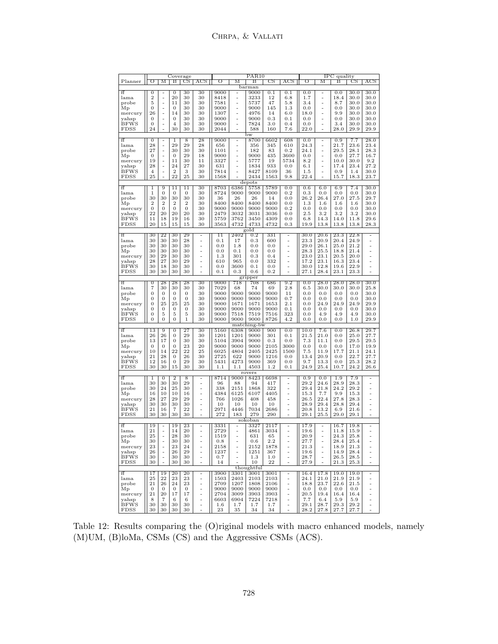|                      |                     |                    | Coverage               |                    |                                  |                 |                | PAR <sub>10</sub> |                 |                     |              |                | IPC quality        |              |                               |
|----------------------|---------------------|--------------------|------------------------|--------------------|----------------------------------|-----------------|----------------|-------------------|-----------------|---------------------|--------------|----------------|--------------------|--------------|-------------------------------|
| Planner              | Ο                   | М                  | в                      | $_{\rm CS}$        | $_{\rm ACS}$                     | ○               | М              | в                 | $_{\rm CS}$     | $_{\rm ACS}$        | ○            | М              | в                  | $_{\rm CS}$  | ACS                           |
|                      |                     |                    |                        |                    |                                  |                 |                | barman            |                 |                     |              |                |                    |              |                               |
| ff                   | 0                   |                    | $\overline{0}$         | 30                 | 30                               | 9000            |                | 9000              | 0.1             | 0.1                 | 0.0          | -              | 0.0                | 30.0         | 30.0                          |
| lama                 | $\overline{2}$      | -                  | 20                     | 30                 | 30                               | 8418            |                | 3233              | 12              | 6.8                 | 1.7          | -              | 18.4               | 30.0         | 30.0                          |
| probe                | 5                   | $\overline{a}$     | 11                     | 30                 | 30                               | 7581            | ÷              | 5737              | 47              | 5.8                 | 3.4          | -              | 8.7                | 30.0         | 30.0                          |
| Мp                   | $\mathbf{0}$        | ÷,                 | $\boldsymbol{0}$       | 30                 | 30                               | 9000            | $\overline{a}$ | 9000              | 145             | 1.3                 | 0.0          | -              | 0.0                | 30.0         | 30.0                          |
| mercury              | 26                  | ÷,                 | 14                     | 30                 | 30                               | 1307            | $\overline{a}$ | 4976              | 14              | 6.0                 | $^{18.0}$    | -              | 9.9                | 30.0         | 30.0                          |
| yahsp                | 0                   | $\overline{a}$     | $\mathbf{0}$           | 30                 | 30                               | 9000            | -              | 9000              | $_{0.3}$        | 0.1                 | 0.0          | ÷              | 0.0                | 30.0         | 30.0                          |
| <b>BFWS</b>          | 0                   | $\overline{a}$     | 4                      | 30                 | 30                               | 9000            | ÷,             | 7824              | $3.0\,$         | 0.4                 | 0.0          | -              | 3.4                | 30.0         | 30.0                          |
| <b>FDSS</b>          | 24                  |                    | 30                     | 30                 | 30                               | 2044            |                | 588               | 160             | 7.6                 | 22.0         |                | 28.0               | 29.9         | 29.9                          |
|                      |                     |                    |                        |                    |                                  |                 |                | bw                |                 |                     |              |                |                    |              |                               |
| ff                   | 0                   |                    | 1                      | 8                  | 28                               | 9000            | ÷,             | 8700              | 6602            | 608                 | 0.0          | -              | 0.9                | 7.7          | 28.0                          |
| lama                 | 28                  | $\frac{1}{2}$      | 29                     | 29                 | 28                               | 656             | -              | 356               | 345             | 610                 | 24.3         | -              | 21.7               | 23.6         | 23.4                          |
| probe                | 27                  |                    | 30                     | 30                 | 30                               | 1101            | ÷,             | 182               | 83              | 0.2                 | 24.1         | $\overline{a}$ | 29.5               | 28.1         | 28.3                          |
| Мp                   | $\mathbf{0}$        | $\frac{1}{2}$      | 0                      | 29                 | 18                               | 9000            |                | 9000              | 435             | 3600                | 0.0          | -              | 0.0                | 27.7         | 16.7                          |
| mercury              | 19                  |                    | 11                     | 30                 | 11                               | 3327            |                | 5777              | 19              | 5734                | 8.2          | -              | 10.0               | 30.0         | 9.2<br>27.2                   |
| yahsp                | 28                  | ÷,                 | 24<br>$\overline{2}$   | 27                 | 30                               | 631             |                | 1834              | 933             | 0.0                 | 6.1          | -              | 17.4               | 23.4         |                               |
| <b>BFWS</b>          | $\overline{4}$      | -                  |                        | 3                  | 30                               | 7814            | L.             | 8427              | 8109            | 36                  | 1.5          | -              | 0.9                | 1.4          | 30.0                          |
| FDSS                 | 25                  | L                  | 22                     | 25                 | 30                               | 1568            |                | 2434              | 1563            | 9.8                 | 22.4         | L              | 15.7               | 18.3         | 23.7                          |
| depots               |                     |                    |                        |                    |                                  |                 |                |                   |                 |                     |              |                |                    |              |                               |
| ff                   | 1                   | 9                  | 11                     | $\overline{11}$    | 30                               | 8703            | 6386           | 5758              | 5789            | $_{0.0}$            | 0.6          | 6.0            | 6.9                | 7.4          | 30.0                          |
| lama                 | 1                   | $\mathbf{0}$       | $\mathbf{0}$           | $\mathbf{0}$       | 30                               | 8724            | 9000           | 9000              | 9000            | 0.2                 | 0.3          | 0.0            | 0.0                | 0.0          | 30.0                          |
| probe                | 30                  | 30                 | 30                     | 30                 | 30                               | 36              | 26             | 26                | 14              | 0.0                 | 26.2         | 26.4           | 27.0               | 27.5         | 29.7                          |
| Мp                   | $\overline{2}$      | $\boldsymbol{2}$   | $\boldsymbol{2}$       | $\overline{2}$     | 30                               | 8400            | 8400           | 8400              | 8400            | $0.0\,$             | 1.3          | 1.6            | 1.6                | 1.6          | 30.0                          |
| mercury              | $\mathbf{0}$        | $\mathbf{0}$       | $\boldsymbol{0}$       | $\mathbf{0}$       | 30                               | 9000            | 9000           | 9000              | 9000            | 0.2                 | $_{0.0}$     | 0.0            | 0.0                | $_{0.0}$     | 30.0                          |
| yahsp                | 22                  | 20                 | 20                     | 20                 | 30                               | 2479            | 3032           | 3031              | 3036            | 0.0                 | 2.5          | 3.2            | 3.2                | 3.2          | 30.0                          |
| <b>BFWS</b>          | 11                  | 18                 | 19                     | 16                 | 30                               | 5759            | 3762           | 3450              | 4309            | $_{0.0}$            | 6.8          | 14.3           | 14.0               | 11.8         | 29.6                          |
| FDSS                 | 20                  | 15                 | 15                     | 15                 | 30                               | 3563            | 4732           | 4733              | 4732            | $_{0.3}$            | 19.9         | 13.8           | 13.8               | 13.8         | 28.3                          |
| gold                 |                     |                    |                        |                    |                                  |                 |                |                   |                 |                     |              |                |                    |              |                               |
| ff                   | 30                  | $\overline{22}$    | 30                     | 29                 |                                  | 11              | 2402           | 0.2               | 331             | $\overline{a}$      | 30.0         | 20.6           | 23.3               | 22.8         |                               |
| lama                 | 30                  | 30<br>30           | 30                     | 28                 | $\overline{a}$<br>$\overline{a}$ | 0.1             | 17             | 0.3               | 600             | $\frac{1}{2}$       | 23.3<br>29.0 | 20.9           | 20.4               | 24.9         | ÷                             |
| probe                | 30<br>30            | 30                 | 30<br>30               | 30<br>30           |                                  | 0.0<br>0.0      | 1.8<br>0.1     | 0.0<br>0.0        | 0.0<br>$_{0.0}$ | L,                  | 28.3         | 26.1<br>25.5   | 25.0<br>18.8       | 21.2<br>21.4 | L,                            |
| Mp                   |                     | 29                 |                        |                    | ÷                                |                 |                |                   |                 |                     |              |                |                    | 20.0         |                               |
| mercury              | 30                  | 27                 | 30                     | 30                 | $\overline{a}$                   | 1.3             | 301            | 0.3               | 0.4             |                     | 23.0         | 23.1           | 20.5               |              | ٠                             |
| yahsp<br><b>BFWS</b> | 28<br>30            | 18                 | 30                     | 29                 | ÷                                | 610             | 965            | 0.0               | 332             |                     | 17.2<br>30.0 | 23.1<br>12.8   | 16.3               | 23.4<br>22.9 |                               |
|                      | 30                  | 30                 | 30<br>30               | 30<br>30           | ÷                                | $_{0.0}$<br>0.1 | 3600<br>0.3    | 0.1<br>0.6        | 0.0<br>0.2      |                     | 27.1         |                | 19.6               | 23.3         | Ē,                            |
| FDSS                 |                     |                    |                        |                    |                                  |                 |                |                   |                 |                     |              | 28.4           | 23.1               |              |                               |
|                      |                     | 28                 |                        |                    |                                  |                 |                | gripper           |                 |                     |              |                |                    |              |                               |
| ff                   | $\overline{0}$<br>7 | 30                 | 28<br>30               | 28<br>30           | 30                               | 9000            | 718            | 708<br>74         | 686             | 9.2                 | 0.0          | 28.0           | 28.0               | 28.0<br>30.0 | 30.0<br>25.8                  |
| lama                 | $\mathbf{0}$        | $\mathbf{0}$       |                        | $\mathbf{0}$       | 30<br>30                         | 7029<br>9000    | 68             | 9000              | 69<br>9000      | 2.8                 | 6.5<br>0.0   | 30.0           | 30.0               |              |                               |
| probe                |                     |                    | 0                      |                    |                                  |                 | 9000<br>9000   |                   |                 | 11                  |              | 0.0            | 0.0                | 0.0          | 30.0                          |
| Mр                   | 0<br>0              | $\mathbf{0}$<br>25 | 0<br>25                | $\mathbf{0}$<br>25 | 30<br>30                         | 9000<br>9000    | 1671           | 9000<br>1671      | 9000<br>1653    | 0.7<br>2.1          | 0.0<br>0.0   | 0.0<br>24.9    | 0.0<br>24.9        | 0.0<br>24.9  | 30.0<br>29.9                  |
| mercury              | 0                   | $\boldsymbol{0}$   | $\boldsymbol{0}$       | $\mathbf{0}$       | 30                               | 9000            | 9000           | 9000              | 9000            | 0.1                 | 0.0          | 0.0            | 0.0                | 0.0          | 30.0                          |
| yahsp<br><b>BFWS</b> | 0                   | 5                  | 5                      | 5                  | 30                               | 9000            | 7518           | 7519              |                 | 323                 |              | 4.9            | 4.9                | 4.9          | 30.0                          |
|                      | 0                   | $\mathbf{0}$       | $\mathbf{0}$           | $\mathbf{1}$       | 30                               | 9000            | 9000           | 9000              | 7516<br>8726    | 4.2                 | $_{0.0}$     |                |                    |              | 29.9                          |
| FDSS                 |                     |                    |                        |                    |                                  |                 |                |                   |                 |                     | $_{0.0}$     | $_{0.0}$       | $_{0.0}$           | 1.0          |                               |
|                      |                     |                    |                        |                    |                                  |                 |                | matching-bw       |                 |                     |              |                |                    |              | 29.7                          |
| ff                   | 13                  | $\overline{9}$     | $\overline{0}$         | 27                 | 30                               | 5160            | 6308           | 9000              | 900             | 0.0                 | 10.0         | 7.6            | $_{0.0}$           | 26.8         |                               |
| lama                 | 26                  | 26                 | 0                      | 29                 | 30                               | 1201            | 1201           | 9000              | 301             | 0.1                 | 21.5         | 21.0           | $_{0.0}$           | 25.0         | 27.7                          |
| probe                | 13                  | 17                 | 0                      | 30                 | 30                               | 5104            | 3904           | 9000              | 0.3             | 0.0                 | 7.3          | 11.1           | 0.0                | 29.5         | 29.5                          |
| Mр                   | $\mathbf{0}$        | $\mathbf{0}$       | 0                      | 23<br>22           | 20                               | 9000            | 9000           | 9000              | 2105            | 3000                | 0.0          | 0.0            | 0.0                | 17.0         | 19.9                          |
| mercury              | 10<br>21            | 14<br>28           | 22<br>$\boldsymbol{0}$ | 26                 | 25<br>30                         | 6025            | 4804<br>622    | 2405<br>9000      | 2425<br>1216    | 1500                | 7.5<br>13.4  | 11.9<br>20.9   | 17.7               | 21.1<br>22.7 | 24.1                          |
| yahsp<br><b>BFWS</b> | 12                  | 16                 | $\boldsymbol{0}$       | 29                 | 30                               | 2725<br>5431    | 4273           | 9000              |                 | 0.0                 |              | 13.3           | 0.0<br>0.0         | 25.3         | 27.7<br>28.2                  |
| <b>FDSS</b>          | 30                  | 30                 | 15                     | 30                 | 30                               | 1.1             | 1.1            | 4503              | 369<br>1.2      | $_{0.0}$<br>0.1     | 9.7<br>24.9  |                | 10.7               | 24.2         |                               |
|                      |                     |                    |                        |                    |                                  |                 |                |                   |                 |                     |              | 25.4           |                    |              | 26.6                          |
| ff                   | 1                   | $\overline{0}$     | $\overline{2}$         | $\overline{8}$     |                                  | 8714            | 9000           | rovers<br>8423    | 6698            |                     | $_{0.9}$     | 0.0            | 1.9                | 7.9          |                               |
| lama                 | 30                  | 30                 | 30                     | 29                 | ÷,                               | 96              | 88             | 94                | 417             |                     | 29.2         | 24.6           | 28.9               | 28.3         | $\overline{a}$                |
| probe                | 30                  | 24                 | 25                     | 30                 | ÷,                               | 338             | 2151           | 1868              | 322             |                     | 29.4         | 21.8           | 24.2               | 29.2         | -                             |
|                      | 16                  | 10                 | 10                     | 16                 | ÷,                               | 4384            | 6125           | 6107              | 4405            |                     | 15.3         | 7.7            | 9.9                | 15.3         | ÷                             |
| Mр                   | 28                  | 27                 | 29                     | 29                 | $\overline{a}$                   | 766             | 1026           | 408               | 458             |                     | 26.5         | 22.4           | 27.8               | 28.3         | ÷,                            |
| mercury              | 30                  | 30                 | 30                     | 30                 | ÷,                               | 10              | 10             | 10                | 10              |                     | 28.9         | 29.4           | 28.8               | 29.4         | L,                            |
| yahsp<br><b>BFWS</b> | 21                  | 16                 | $\overline{7}$         | 22                 |                                  | 2971            | 4446           | 7034              | 2686            |                     | 20.8         | 13.2           | 6.9                | $21.6\,$     |                               |
| FDSS                 | 30                  | 30                 | 30                     | 30                 | ÷                                | 272             | 183            | 279               | 290             |                     | 29.1         | 25.5           | 29.0               | 29.1         |                               |
|                      |                     |                    |                        |                    |                                  |                 |                | sokoban           |                 |                     |              |                |                    |              |                               |
| ff                   | 19                  |                    | 19                     | 23                 |                                  | 3331            |                | 3327              | 2117            |                     | 17.9         |                | 16.7               | 19.8         |                               |
| lama                 | 21                  | -<br>÷,            | 14                     | 20                 | L,                               | 2729            | $\ddot{ }$     | 4861              | 3034            | ۰                   | 19.6         | $\overline{a}$ | 11.8               | 15.9         | ۰                             |
| probe                | 25                  |                    | 28                     | 30                 |                                  | 1519            |                | 631               | 65              |                     | 20.9         |                | 24.3               | 25.8         |                               |
| Mр                   | $30\,$              |                    | 30                     | 30                 |                                  | 0.8             |                | 0.6               | $2.2\,$         |                     | 27.7         |                | $\hphantom{0}28.4$ | 25.4         |                               |
| mercury              | 23                  |                    | 23                     | 24                 |                                  | 2158            | $\overline{a}$ | 2152              | 1878            |                     | 21.3         | -<br>÷         | 18.9               | 21.3         | ۰                             |
| yahsp                | 26                  | İ                  | 26                     | 29                 | $\frac{1}{2}$<br>$\blacksquare$  | 1237            | ÷,             | 1251              | 367             | ÷<br>÷,             | 19.6         | $\overline{a}$ | 14.9               | 28.4         | $\blacksquare$                |
| <b>BFWS</b>          | 30                  | $\frac{1}{2}$      | 30                     | 30                 | $\frac{1}{2}$                    | 0.7             | $\overline{a}$ | $1.3\,$           | 1.0             | ÷,                  | 28.7         | $\frac{1}{2}$  | 26.5               | 28.5         | ÷,                            |
| FDSS                 | 30                  | ÷,                 | 30                     | 30                 | L,                               | 14              | ä,             | 10                | $^{22}$         | ÷,                  | 27.9         | ÷,             | 21.3               | 25.3         | ä,                            |
|                      |                     |                    |                        |                    |                                  |                 |                | thoughtful        |                 |                     |              |                |                    |              |                               |
| ff                   | 17                  | 19                 | 20                     | 20                 |                                  | 3900            | 3301           | 3001              | 3001            |                     | 16.4         | 17.8           | 19.0               | 19.0         |                               |
| lama                 | 25                  | 22                 | 23                     | 23                 | ÷<br>$\blacksquare$              | 1503            | 2403           | 2103              | 2103            | ÷<br>$\blacksquare$ | 24.1         | 21.0           | 21.9               | 21.9         | ۳<br>$\overline{\phantom{m}}$ |
| probe                | 21                  | 26                 | 24                     | 23                 | ÷                                | 2709            | 1207           | 1808              | 2106            | $\frac{1}{2}$       | 18.8         | 23.7           | 22.6               | 21.5         | $\overline{\phantom{m}}$      |
| Мp                   | $\mathbf{0}$        | $\mathbf{0}$       | $\mathbf{0}$           | $\mathbf{0}$       | $\frac{1}{2}$                    | 9000            | 9000           | 9000              | 9000            | ÷                   | 0.0          | 0.0            | 0.0                | 0.0          | ÷                             |
| mercury              | 21                  | 20                 | 17                     | 17                 | $\frac{1}{2}$                    | 2704            | 3009           | 3903              | 3903            |                     | 20.5         | 19.4           | 16.4               | 16.4         | $\frac{1}{2}$                 |
| yahsp                | 8                   | $\overline{7}$     | 6                      | 6                  | ÷,                               | 6603            | 6904           | 7224              | 7218            | $\frac{1}{2}$       | 7.7          | 6.4            | 5.9                | 5.9          | ÷                             |
| <b>BFWS</b>          | 30                  | 30                 | 30                     | 30                 | ÷,                               | $1.6\,$         | 1.7            | 1.7               | 1.7             |                     | 29.1         | 28.7           | 29.3               | 29.2         |                               |
| FDSS                 | 30                  | 30                 | 30                     | 30                 |                                  | 23              | 35             | 34                | 34              | $\overline{a}$      | 28.2         | 27.8           | 27.7               | 27.7         |                               |

Table 12: Results comparing the (O)riginal models with macro enhanced models, namely (M)UM, (B)loMa, CSMs (CS) and the Aggressive CSMs (ACS).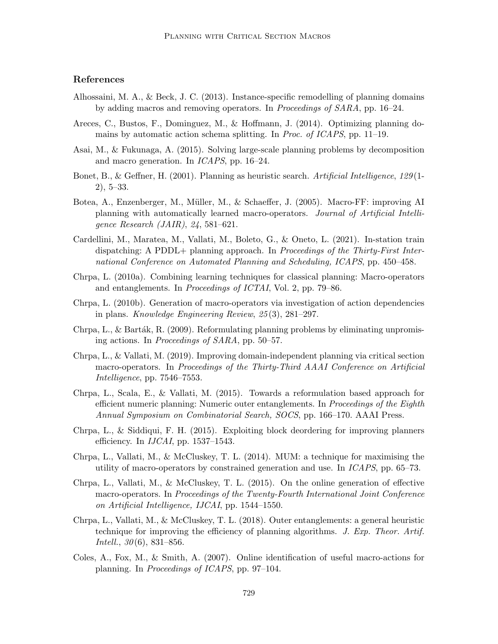## References

- Alhossaini, M. A., & Beck, J. C. (2013). Instance-specific remodelling of planning domains by adding macros and removing operators. In Proceedings of SARA, pp. 16–24.
- Areces, C., Bustos, F., Dominguez, M., & Hoffmann, J. (2014). Optimizing planning domains by automatic action schema splitting. In Proc. of ICAPS, pp. 11–19.
- Asai, M., & Fukunaga, A. (2015). Solving large-scale planning problems by decomposition and macro generation. In ICAPS, pp. 16–24.
- Bonet, B., & Geffner, H. (2001). Planning as heuristic search. Artificial Intelligence, 129(1-2), 5–33.
- Botea, A., Enzenberger, M., M¨uller, M., & Schaeffer, J. (2005). Macro-FF: improving AI planning with automatically learned macro-operators. Journal of Artificial Intelligence Research (JAIR), 24, 581–621.
- Cardellini, M., Maratea, M., Vallati, M., Boleto, G., & Oneto, L. (2021). In-station train dispatching: A PDDL+ planning approach. In Proceedings of the Thirty-First International Conference on Automated Planning and Scheduling, ICAPS, pp. 450–458.
- Chrpa, L. (2010a). Combining learning techniques for classical planning: Macro-operators and entanglements. In Proceedings of ICTAI, Vol. 2, pp. 79–86.
- Chrpa, L. (2010b). Generation of macro-operators via investigation of action dependencies in plans. Knowledge Engineering Review, 25 (3), 281–297.
- Chrpa, L., & Barták, R. (2009). Reformulating planning problems by eliminating unpromising actions. In Proceedings of SARA, pp. 50–57.
- Chrpa, L., & Vallati, M. (2019). Improving domain-independent planning via critical section macro-operators. In Proceedings of the Thirty-Third AAAI Conference on Artificial Intelligence, pp. 7546–7553.
- Chrpa, L., Scala, E., & Vallati, M. (2015). Towards a reformulation based approach for efficient numeric planning: Numeric outer entanglements. In Proceedings of the Eighth Annual Symposium on Combinatorial Search, SOCS, pp. 166–170. AAAI Press.
- Chrpa, L., & Siddiqui, F. H. (2015). Exploiting block deordering for improving planners efficiency. In  $IJCAI$ , pp. 1537–1543.
- Chrpa, L., Vallati, M., & McCluskey, T. L. (2014). MUM: a technique for maximising the utility of macro-operators by constrained generation and use. In ICAPS, pp. 65–73.
- Chrpa, L., Vallati, M., & McCluskey, T. L. (2015). On the online generation of effective macro-operators. In Proceedings of the Twenty-Fourth International Joint Conference on Artificial Intelligence, IJCAI, pp. 1544–1550.
- Chrpa, L., Vallati, M., & McCluskey, T. L. (2018). Outer entanglements: a general heuristic technique for improving the efficiency of planning algorithms. J. Exp. Theor. Artif. *Intell.*,  $30(6)$ ,  $831-856$ .
- Coles, A., Fox, M., & Smith, A. (2007). Online identification of useful macro-actions for planning. In Proceedings of ICAPS, pp. 97–104.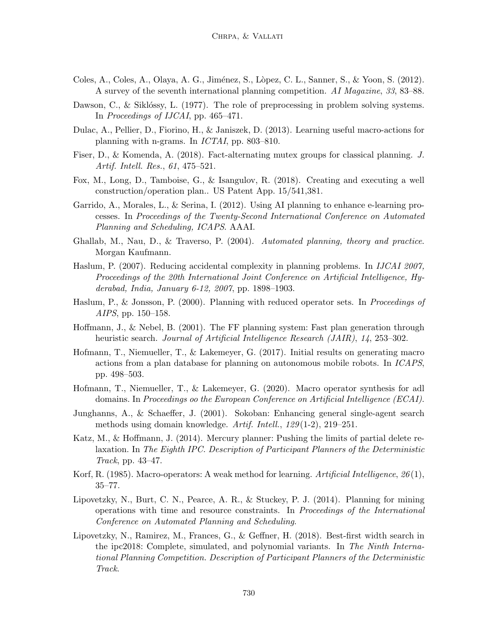- Coles, A., Coles, A., Olaya, A. G., Jiménez, S., Lòpez, C. L., Sanner, S., & Yoon, S. (2012). A survey of the seventh international planning competition. AI Magazine, 33, 83–88.
- Dawson, C., & Siklóssy, L.  $(1977)$ . The role of preprocessing in problem solving systems. In Proceedings of IJCAI, pp. 465–471.
- Dulac, A., Pellier, D., Fiorino, H., & Janiszek, D. (2013). Learning useful macro-actions for planning with n-grams. In ICTAI, pp. 803–810.
- Fiser, D., & Komenda, A. (2018). Fact-alternating mutex groups for classical planning. J. Artif. Intell. Res., 61, 475–521.
- Fox, M., Long, D., Tamboise, G., & Isangulov, R. (2018). Creating and executing a well construction/operation plan.. US Patent App. 15/541,381.
- Garrido, A., Morales, L., & Serina, I. (2012). Using AI planning to enhance e-learning processes. In Proceedings of the Twenty-Second International Conference on Automated Planning and Scheduling, ICAPS. AAAI.
- Ghallab, M., Nau, D., & Traverso, P. (2004). Automated planning, theory and practice. Morgan Kaufmann.
- Haslum, P. (2007). Reducing accidental complexity in planning problems. In IJCAI 2007, Proceedings of the 20th International Joint Conference on Artificial Intelligence, Hyderabad, India, January 6-12, 2007, pp. 1898–1903.
- Haslum, P., & Jonsson, P. (2000). Planning with reduced operator sets. In Proceedings of AIPS, pp. 150–158.
- Hoffmann, J., & Nebel, B. (2001). The FF planning system: Fast plan generation through heuristic search. Journal of Artificial Intelligence Research (JAIR), 14, 253–302.
- Hofmann, T., Niemueller, T., & Lakemeyer, G. (2017). Initial results on generating macro actions from a plan database for planning on autonomous mobile robots. In ICAPS, pp. 498–503.
- Hofmann, T., Niemueller, T., & Lakemeyer, G. (2020). Macro operator synthesis for adl domains. In Proceedings oo the European Conference on Artificial Intelligence (ECAI).
- Junghanns, A., & Schaeffer, J. (2001). Sokoban: Enhancing general single-agent search methods using domain knowledge. Artif. Intell., 129 (1-2), 219–251.
- Katz, M., & Hoffmann, J. (2014). Mercury planner: Pushing the limits of partial delete relaxation. In The Eighth IPC. Description of Participant Planners of the Deterministic Track, pp. 43–47.
- Korf, R. (1985). Macro-operators: A weak method for learning. Artificial Intelligence,  $26(1)$ , 35–77.
- Lipovetzky, N., Burt, C. N., Pearce, A. R., & Stuckey, P. J. (2014). Planning for mining operations with time and resource constraints. In Proceedings of the International Conference on Automated Planning and Scheduling.
- Lipovetzky, N., Ramirez, M., Frances, G., & Geffner, H. (2018). Best-first width search in the ipc2018: Complete, simulated, and polynomial variants. In The Ninth International Planning Competition. Description of Participant Planners of the Deterministic Track.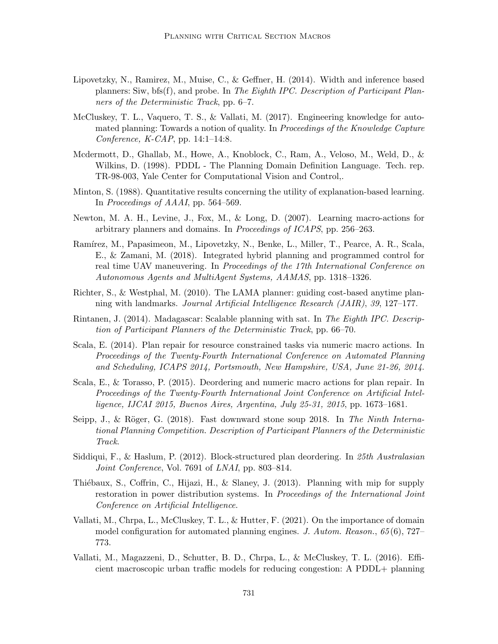- Lipovetzky, N., Ramirez, M., Muise, C., & Geffner, H. (2014). Width and inference based planners: Siw, bfs(f), and probe. In The Eighth IPC. Description of Participant Planners of the Deterministic Track, pp. 6–7.
- McCluskey, T. L., Vaquero, T. S., & Vallati, M. (2017). Engineering knowledge for automated planning: Towards a notion of quality. In Proceedings of the Knowledge Capture Conference,  $K\text{-}CAP$ , pp. 14:1–14:8.
- Mcdermott, D., Ghallab, M., Howe, A., Knoblock, C., Ram, A., Veloso, M., Weld, D., & Wilkins, D. (1998). PDDL - The Planning Domain Definition Language. Tech. rep. TR-98-003, Yale Center for Computational Vision and Control,.
- Minton, S. (1988). Quantitative results concerning the utility of explanation-based learning. In Proceedings of AAAI, pp. 564–569.
- Newton, M. A. H., Levine, J., Fox, M., & Long, D. (2007). Learning macro-actions for arbitrary planners and domains. In Proceedings of ICAPS, pp. 256–263.
- Ramírez, M., Papasimeon, M., Lipovetzky, N., Benke, L., Miller, T., Pearce, A. R., Scala, E., & Zamani, M. (2018). Integrated hybrid planning and programmed control for real time UAV maneuvering. In Proceedings of the 17th International Conference on Autonomous Agents and MultiAgent Systems, AAMAS, pp. 1318–1326.
- Richter, S., & Westphal, M. (2010). The LAMA planner: guiding cost-based anytime planning with landmarks. Journal Artificial Intelligence Research (JAIR), 39, 127–177.
- Rintanen, J. (2014). Madagascar: Scalable planning with sat. In The Eighth IPC. Description of Participant Planners of the Deterministic Track, pp. 66–70.
- Scala, E. (2014). Plan repair for resource constrained tasks via numeric macro actions. In Proceedings of the Twenty-Fourth International Conference on Automated Planning and Scheduling, ICAPS 2014, Portsmouth, New Hampshire, USA, June 21-26, 2014.
- Scala, E., & Torasso, P. (2015). Deordering and numeric macro actions for plan repair. In Proceedings of the Twenty-Fourth International Joint Conference on Artificial Intelligence, IJCAI 2015, Buenos Aires, Argentina, July 25-31, 2015, pp. 1673–1681.
- Seipp, J., & Röger, G. (2018). Fast downward stone soup 2018. In The Ninth International Planning Competition. Description of Participant Planners of the Deterministic Track.
- Siddiqui, F., & Haslum, P. (2012). Block-structured plan deordering. In 25th Australasian Joint Conference, Vol. 7691 of LNAI, pp. 803–814.
- Thiébaux, S., Coffrin, C., Hijazi, H., & Slaney, J.  $(2013)$ . Planning with mip for supply restoration in power distribution systems. In *Proceedings of the International Joint* Conference on Artificial Intelligence.
- Vallati, M., Chrpa, L., McCluskey, T. L., & Hutter, F. (2021). On the importance of domain model configuration for automated planning engines. J. Autom. Reason., 65 (6), 727– 773.
- Vallati, M., Magazzeni, D., Schutter, B. D., Chrpa, L., & McCluskey, T. L. (2016). Efficient macroscopic urban traffic models for reducing congestion: A PDDL+ planning